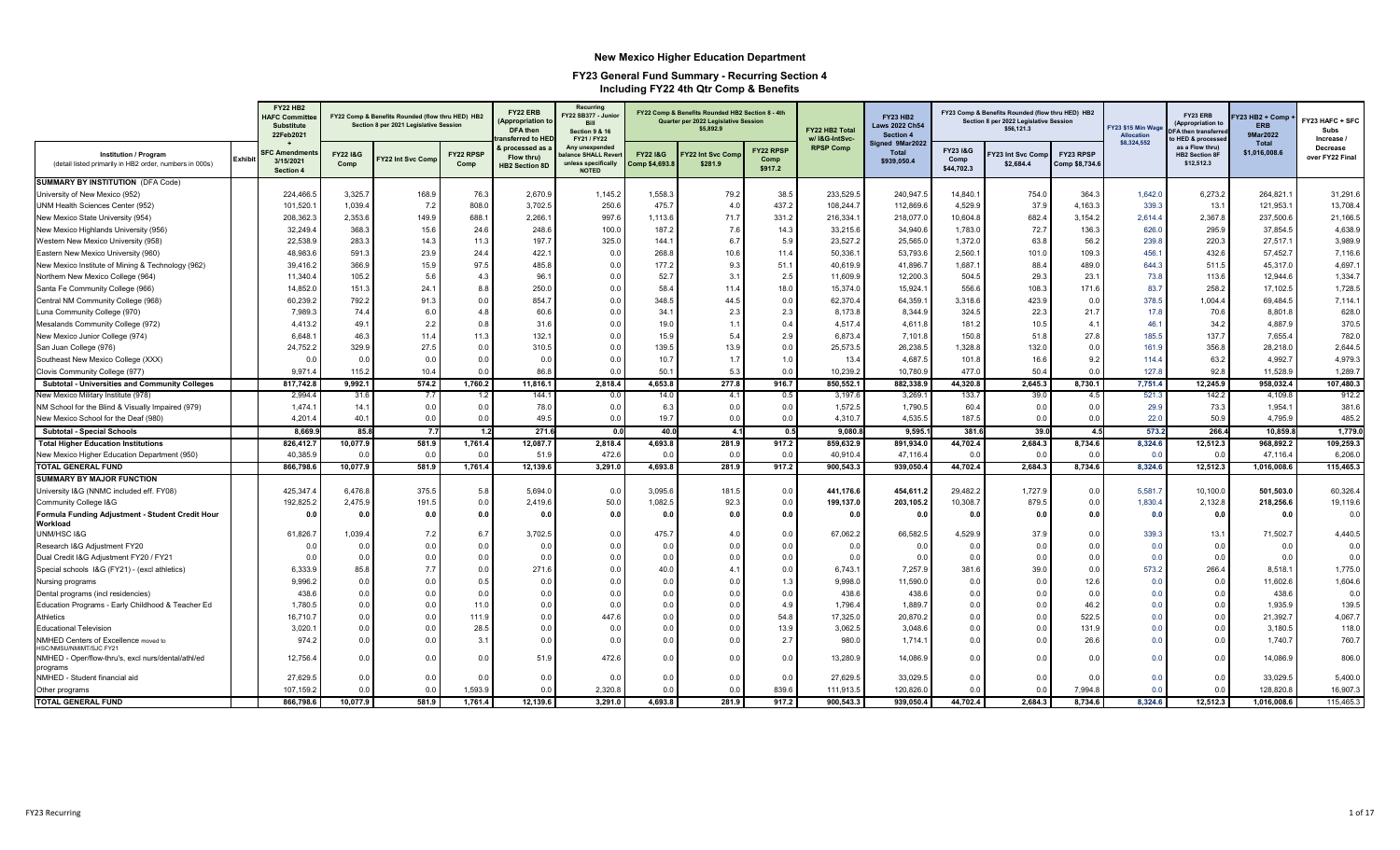|                                                                                         |                | <b>FY22 HB2</b><br><b>HAFC Committe</b><br><b>Substitute</b><br>22Feb2021 |                  | FY22 Comp & Benefits Rounded (flow thru HED) HB2<br>Section 8 per 2021 Legislative Session |                   | FY22 ERB<br><b>Appropriation to</b><br><b>DFA</b> then<br>ansferred to HEI | Recurring<br>FY22 SB377 - Junior<br><b>Bill</b><br><b>Section 9 &amp; 16</b><br>FY21 / FY22 |                                            | FY22 Comp & Benefits Rounded HB2 Section 8 - 4th<br>Quarter per 2022 Legislative Session<br>\$5,892.9 |                              | FY22 HB2 Total<br>w/ I&G-IntSvc- | <b>FY23 HB2</b><br><b>Laws 2022 Ch54</b><br><b>Section 4</b> |                                | FY23 Comp & Benefits Rounded (flow thru HED) HB2<br>Section 8 per 2022 Legislative Session<br>\$56,121.3 |                             | Y23 \$15 Min Wag<br>Allocation | FY23 ERB<br>(Appropriation to<br>FA then transferre<br>o HED & processe | Y23 HB2 + Comp<br>ERB<br>9Mar2022 | Y23 HAFC + SFC<br>Subs<br>Increase / |
|-----------------------------------------------------------------------------------------|----------------|---------------------------------------------------------------------------|------------------|--------------------------------------------------------------------------------------------|-------------------|----------------------------------------------------------------------------|---------------------------------------------------------------------------------------------|--------------------------------------------|-------------------------------------------------------------------------------------------------------|------------------------------|----------------------------------|--------------------------------------------------------------|--------------------------------|----------------------------------------------------------------------------------------------------------|-----------------------------|--------------------------------|-------------------------------------------------------------------------|-----------------------------------|--------------------------------------|
| <b>Institution / Program</b><br>(detail listed primarily in HB2 order, numbers in 000s) | <b>Exhibit</b> | <b>SFC Amendme</b><br>3/15/2021<br>Section 4                              | FY22 1&G<br>Comp | Y22 Int Svc Com                                                                            | FY22 RPSP<br>Comp | orocessed as<br>Flow thru)<br><b>HB2 Section 8D</b>                        | Any unexpended<br>lance SHALL Reve<br>unless specifically<br><b>NOTED</b>                   | <b>FY221&amp;G</b><br><b>Comp \$4,693.</b> | Y22 Int Svc Com<br>\$281.9                                                                            | FY22 RPSP<br>Comp<br>\$917.2 | <b>RPSP Comp</b>                 | Signed 9Mar2022<br><b>Total</b><br>\$939,050.4               | FY23 I&G<br>Comp<br>\$44,702.3 | Y23 Int Svc Com<br>\$2,684.4                                                                             | FY23 RPSP<br>Comp \$8,734.6 | \$8,324,552                    | as a Flow thru)<br><b>HB2 Section 8F</b><br>\$12,512.3                  | <b>Total</b><br>\$1,016,008.6     | Decrease<br>over FY22 Final          |
| <b>SUMMARY BY INSTITUTION (DFA Code)</b>                                                |                |                                                                           |                  |                                                                                            |                   |                                                                            |                                                                                             |                                            |                                                                                                       |                              |                                  |                                                              |                                |                                                                                                          |                             |                                |                                                                         |                                   |                                      |
| University of New Mexico (952)                                                          |                | 224,466.5                                                                 | 3,325.7          | 168.9                                                                                      | 76.3              | 2,670.9                                                                    | 1,145.2                                                                                     | 1,558.3                                    | 79.2                                                                                                  | 38.5                         | 233,529.5                        | 240,947.                                                     | 14,840.1                       | 754.0                                                                                                    | 364.3                       | 1,642.0                        | 6,273.2                                                                 | 264,821.                          | 31,291.6                             |
| UNM Health Sciences Center (952)                                                        |                | 101,520.                                                                  | 1,039.4          | 7.2                                                                                        | 808.0             | 3,702.5                                                                    | 250.6                                                                                       | 475.7                                      | 4.0                                                                                                   | 437.2                        | 108,244.7                        | 112,869.6                                                    | 4,529.9                        | 37.9                                                                                                     | 4,163.3                     | 339.3                          | 13.1                                                                    | 121,953.1                         | 13,708.4                             |
| New Mexico State University (954)                                                       |                | 208,362.3                                                                 | 2,353.6          | 149.9                                                                                      | 688.              | 2,266.                                                                     | 997.6                                                                                       | 1,113.6                                    | 71.7                                                                                                  | 331.2                        | 216,334.                         | 218,077.                                                     | 10,604.8                       | 682.4                                                                                                    | 3,154.2                     | 2,614.4                        | 2,367.8                                                                 | 237,500.6                         | 21,166.5                             |
| New Mexico Highlands University (956)                                                   |                | 32,249.4                                                                  | 368.3            | 15.6                                                                                       | 24.6              | 248.6                                                                      | 100.0                                                                                       | 187.2                                      | 7.6                                                                                                   | 14.3                         | 33,215.6                         | 34,940.6                                                     | 1,783.0                        | 72.7                                                                                                     | 136.3                       | 626.0                          | 295.9                                                                   | 37,854.5                          | 4,638.9                              |
| Western New Mexico University (958)                                                     |                | 22,538.9                                                                  | 283.3            | 14.3                                                                                       | 11.3              | 197.7                                                                      | 325.0                                                                                       | 144.1                                      | 6.7                                                                                                   | 5.9                          | 23,527.2                         | 25,565.0                                                     | 1,372.0                        | 63.8                                                                                                     | 56.2                        | 239.8                          | 220.3                                                                   | 27,517.1                          | 3,989.9                              |
| Eastern New Mexico University (960)                                                     |                | 48,983.6                                                                  | 591.3            | 23.9                                                                                       | 24.4              | 422.7                                                                      | 0.0                                                                                         | 268.8                                      | 10.6                                                                                                  | 11.4                         | 50,336.1                         | 53,793.6                                                     | 2,560.1                        | 101.0                                                                                                    | 109.3                       | 456.1                          | 432.6                                                                   | 57,452.7                          | 7,116.6                              |
| New Mexico Institute of Mining & Technology (962)                                       |                | 39,416.2                                                                  | 366.9            | 15.9                                                                                       | 97.5              | 485.8                                                                      | 0.0                                                                                         | 177.2                                      | 9.3                                                                                                   | 51.1                         | 40,619.9                         | 41,896.7                                                     | 1,687.1                        | 88.4                                                                                                     | 489.0                       | 644.3                          | 511.5                                                                   | 45,317.0                          | 4,697.                               |
| Northern New Mexico College (964)                                                       |                | 11,340.4                                                                  | 105.2            | 5.6                                                                                        | 4.3               | 96.                                                                        | 0.0                                                                                         | 52.7                                       | 3.1                                                                                                   | 2.5                          | 11,609.9                         | 12,200.3                                                     | 504.5                          | 29.3                                                                                                     | 23.1                        | 73.8                           | 113.6                                                                   | 12,944.6                          | 1,334.7                              |
| Santa Fe Community College (966)                                                        |                | 14,852.0                                                                  | 151.3            | 24.1                                                                                       | 8.8               | 250.0                                                                      | 0.0                                                                                         | 58.4                                       | 11.4                                                                                                  | 18.0                         | 15,374.0                         | 15,924.                                                      | 556.6                          | 108.3                                                                                                    | 171.6                       | 83.7                           | 258.2                                                                   | 17,102.5                          | 1,728.5                              |
| Central NM Community College (968)                                                      |                | 60,239.2                                                                  | 792.2            | 91.3                                                                                       | 0.0               | 854.                                                                       | 0.0                                                                                         | 348.5                                      | 44.5                                                                                                  | 0.0                          | 62,370.4                         | 64,359.                                                      | 3,318.6                        | 423.9                                                                                                    | 0.0                         | 378.5                          | 1,004.4                                                                 | 69,484.5                          | 7,114.1                              |
| Luna Community College (970)                                                            |                | 7,989.3                                                                   | 74.4             | 6.0                                                                                        | 4.8               | 60.6                                                                       | 0.0                                                                                         | 34.                                        | 2.3                                                                                                   | 2.3                          | 8,173.8                          | 8,344.9                                                      | 324.5                          | 22.3                                                                                                     | 21.7                        | 17.8                           | 70.6                                                                    | 8,801.8                           | 628.0                                |
| Mesalands Community College (972)                                                       |                | 4.413.2                                                                   | 49.1             | 2.2                                                                                        | 0.8               | 31.6                                                                       | 0.0                                                                                         | 19.0                                       | $\mathbf{1}$                                                                                          | 0.4                          | 4,517.4                          | 4,611.8                                                      | 181.2                          | 10.5                                                                                                     | 4.1                         | 46.                            | 34.2                                                                    | 4,887.9                           | 370.5                                |
| New Mexico Junior College (974)                                                         |                | 6,648.                                                                    | 46.3             | 11.4                                                                                       | 11.3              | 132.7                                                                      | 0.0                                                                                         | 15.9                                       | 5.4                                                                                                   | 2.9                          | 6,873.4                          | 7,101.8                                                      | 150.8                          | 51.8                                                                                                     | 27.8                        | 185.5                          | 137.7                                                                   | 7,655.4                           | 782.0                                |
| San Juan College (976)                                                                  |                | 24,752.2                                                                  | 329.9            | 27.5                                                                                       | 0.0               | 310.5                                                                      | 0.0                                                                                         | 139.5                                      | 13.9                                                                                                  | 0.0                          | 25,573.5                         | 26,238.                                                      | 1,328.8                        | 132.0                                                                                                    | 0.0                         | 161.9                          | 356.8                                                                   | 28,218.0                          | 2,644.5                              |
| Southeast New Mexico College (XXX)                                                      |                | 0.0                                                                       | 0.0              | 0.0                                                                                        | 0.0               | 0.0                                                                        | 0.0                                                                                         | 10.7                                       | 1.7                                                                                                   | 1.0                          | 13.4                             | 4,687.                                                       | 101.8                          | 16.6                                                                                                     | 9.2                         | 114.4                          | 63.2                                                                    | 4,992.7                           | 4,979.3                              |
| Clovis Community College (977)                                                          |                | 9,971.                                                                    | 115.2            | 10.4                                                                                       | 0.0               | 86.8                                                                       | 0.0                                                                                         | 50.1                                       | 5.3                                                                                                   | 0.0                          | 10,239.2                         | 10,780.9                                                     | 477.0                          | 50.4                                                                                                     | 0.0                         | 127.8                          | 92.8                                                                    | 11,528.9                          | 1,289.7                              |
| Subtotal - Universities and Community Colleges                                          |                | 817.742.8                                                                 | 9.992.1          | 574.2                                                                                      | 1,760.2           | 11,816.1                                                                   | 2,818.4                                                                                     | 4,653.8                                    | 277.8                                                                                                 | 916.7                        | 850.552.1                        | 882.338.9                                                    | 44.320.8                       | 2,645.3                                                                                                  | 8,730.1                     | 7,751.4                        | 12,245.9                                                                | 958.032.4                         | 107,480.3                            |
| New Mexico Military Institute (978)                                                     |                | 2,994.4                                                                   | 31.6             | 7.7                                                                                        | 1.2               | 144.1                                                                      | 0.0                                                                                         | 14.0                                       | 4.1                                                                                                   | 0.5                          | 3,197.6                          | 3,269.                                                       | 133.7                          | 39.0                                                                                                     | 4.5                         | 521.3                          | 142.2                                                                   | 4,109.8                           | 912.2                                |
| NM School for the Blind & Visually Impaired (979)                                       |                | 1,474.1                                                                   | 14.1             | 0.0                                                                                        | 0.0               | 78.0                                                                       | 0.0                                                                                         | 6.3                                        | 0.0                                                                                                   | 0.0                          | 1,572.5                          | 1,790.5                                                      | 60.4                           | 0.0                                                                                                      | 0.0                         | 29.9                           | 73.3                                                                    | 1,954.1                           | 381.6                                |
| New Mexico School for the Deaf (980)                                                    |                | 4,201.4                                                                   | 40.1             | 0.0                                                                                        | 0.0               | 49.5                                                                       | 0.0                                                                                         | 19.7                                       | 0.0                                                                                                   | 0.0                          | 4,310.7                          | 4,535.5                                                      | 187.5                          | 0.0                                                                                                      | 0.0                         | 22.0                           | 50.9                                                                    | 4,795.9                           | 485.2                                |
| <b>Subtotal - Special Schools</b>                                                       |                | 8,669.                                                                    | 85.8             | 7.7                                                                                        | 1.2               | 271.0                                                                      | 0.0                                                                                         | 40.0                                       | 4.1                                                                                                   | 0.5                          | 9,080.8                          | 9,595.                                                       | 381.                           | 39.0                                                                                                     | 4.5                         | 573.2                          | 266.4                                                                   | 10,859.                           | 1,779.0                              |
| <b>Total Higher Education Institutions</b>                                              |                | 826,412.7                                                                 | 10,077.9         | 581.9                                                                                      | 1,761.4           | 12,087.7                                                                   | 2,818.4                                                                                     | 4,693.8                                    | 281.9                                                                                                 | 917.2                        | 859,632.9                        | 891,934.0                                                    | 44,702.4                       | 2,684.3                                                                                                  | 8,734.6                     | 8,324.6                        | 12,512.3                                                                | 968,892.2                         | 109,259.3                            |
| New Mexico Higher Education Department (950)                                            |                | 40,385.9                                                                  | 0.0              | 0.0                                                                                        | 0.0               | 51.9                                                                       | 472.6                                                                                       | 0.0                                        | 0.0                                                                                                   | 0.0                          | 40,910.4                         | 47,116.4                                                     | 0.0                            | 0.0                                                                                                      | 0.0                         | 0.0                            | 0.0                                                                     | 47,116.4                          | 6,206.0                              |
| <b>TOTAL GENERAL FUND</b>                                                               |                | 866,798.6                                                                 | 10,077.9         | 581.9                                                                                      | 1,761.4           | 12,139.6                                                                   | 3,291.0                                                                                     | 4,693.8                                    | 281.9                                                                                                 | 917.2                        | 900,543.3                        | 939,050.4                                                    | 44,702.4                       | 2,684.3                                                                                                  | 8,734.6                     | 8,324.6                        | 12,512.3                                                                | 1,016,008.6                       | 115,465.3                            |
| <b>SUMMARY BY MAJOR FUNCTION</b>                                                        |                |                                                                           |                  |                                                                                            |                   |                                                                            |                                                                                             |                                            |                                                                                                       |                              |                                  |                                                              |                                |                                                                                                          |                             |                                |                                                                         |                                   |                                      |
| University I&G (NNMC included eff. FY08)                                                |                | 425.347.                                                                  | 6,476.8          | 375.5                                                                                      | 5.8               | 5,694.                                                                     | 0.0                                                                                         | 3,095.6                                    | 181.5                                                                                                 | 0.0                          | 441,176.6                        | 454,611.2                                                    | 29,482.2                       | 1,727.9                                                                                                  | 0.0                         | 5,581.                         | 10,100.0                                                                | 501,503.0                         | 60,326.4                             |
| Community College I&G                                                                   |                | 192,825.2                                                                 | 2,475.9          | 191.                                                                                       | 0. <sub>C</sub>   | 2,419.6                                                                    | 50.0                                                                                        | 1,082.5                                    | 92.3                                                                                                  | 0.0                          | 199,137.0                        | 203,105.2                                                    | 10,308.7                       | 879.5                                                                                                    | 0.0                         | 1,830.4                        | 2,132.8                                                                 | 218,256.6                         | 19,119.6                             |
| Formula Funding Adjustment - Student Credit Hour<br>Workload<br>UNM/HSC I&G             |                | 0.0<br>61,826.7                                                           | 0.0<br>1,039.4   | 0.0<br>7.2                                                                                 | 0.0<br>6.7        | 0.0<br>3,702.5                                                             | 0.0<br>0.0                                                                                  | 0.0<br>475.7                               | 0.0<br>4.0                                                                                            | 0.0<br>0.0                   | 0.0<br>67,062.2                  | 0.0<br>66,582.5                                              | 0.0<br>4,529.9                 | 0.0<br>37.9                                                                                              | 0.0<br>0.0                  | 0.0<br>339.3                   | 0.0<br>13.1                                                             | 0.0<br>71,502.7                   | 0.0<br>4,440.5                       |
| Research I&G Adjustment FY20                                                            |                | 0.0                                                                       | 0.0              | 0.0                                                                                        | 0.0               | 0.0                                                                        | 0.0                                                                                         | 0.0                                        | 0.0                                                                                                   | 0.0                          | 0.0                              | 0.0                                                          | 0.0                            | 0.0                                                                                                      | 0.0                         | 0.0                            | 0.0                                                                     | 0.0                               | 0.0                                  |
| Dual Credit I&G Adjustment FY20 / FY21                                                  |                | 0.0                                                                       | 0.0              | 0.0                                                                                        | 0.0               | 0.0                                                                        | 0.0                                                                                         | 0.0                                        | 0.0                                                                                                   | 0.0                          | 0.0                              | 0.0                                                          | 0.0                            | 0.0                                                                                                      | 0.0                         | 0.0                            | 0.0                                                                     | 0.0                               | 0.0                                  |
| Special schools I&G (FY21) - (excl athletics)                                           |                | 6,333.9                                                                   | 85.8             | 7.7                                                                                        | 0.0               | 271.6                                                                      | 0.0                                                                                         | 40.0                                       | $\overline{a}$                                                                                        | 0.0                          | 6,743.1                          | 7,257.9                                                      | 381.6                          | 39.0                                                                                                     | 0.0                         | 573.2                          | 266.4                                                                   | 8,518.1                           | 1,775.0                              |
| Nursing programs                                                                        |                | 9,996.2                                                                   | 0.0              | 0.0                                                                                        | 0.5               | 0.0                                                                        | 0.0                                                                                         | 0.0                                        | 0.0                                                                                                   | 1.3                          | 9,998.0                          | 11,590.0                                                     | 0.0                            | 0.0                                                                                                      | 12.6                        | 0.0                            | 0.0                                                                     | 11,602.6                          | 1,604.6                              |
| Dental programs (incl residencies)                                                      |                | 438.6                                                                     | 0.0              | 0.0                                                                                        | 0. <sub>C</sub>   | 0.0                                                                        | 0.0                                                                                         | 0.0                                        | 0.0                                                                                                   | 0.0                          | 438.6                            | 438.6                                                        | 0.0                            | 0.0                                                                                                      | 0.0                         | 0.0                            | 0.0                                                                     | 438.6                             | 0.0                                  |
| Education Programs - Early Childhood & Teacher Ed                                       |                | 1,780.5                                                                   | 0.0              | 0.0                                                                                        | 11.0              | 0.0                                                                        | 0.0                                                                                         | 0.0                                        | 0.0                                                                                                   | 4.9                          | 1,796.4                          | 1,889.7                                                      | 0.0                            | 0.0                                                                                                      | 46.2                        | 0.0                            | 0.0                                                                     | 1,935.9                           | 139.5                                |
| Athletics                                                                               |                | 16,710.7                                                                  | 0.0              | 0.0                                                                                        | 111.9             | 0.0                                                                        | 447.6                                                                                       | 0.0                                        | 0.0                                                                                                   | 54.8                         | 17,325.0                         | 20,870.2                                                     | 0.0                            | 0.0                                                                                                      | 522.5                       | 0.0                            | 0.0                                                                     | 21,392.7                          | 4,067.7                              |
| <b>Educational Television</b>                                                           |                | 3,020.                                                                    | 0.0              | 0.0                                                                                        | 28.5              | 0.0                                                                        | 0.0                                                                                         | 0.0                                        | 0.0                                                                                                   | 13.9                         | 3,062.5                          | 3,048.6                                                      | 0.0                            | 0.0                                                                                                      | 131.9                       | 0.0                            | 0.0                                                                     | 3,180.5                           | 118.0                                |
| NMHED Centers of Excellence moved to                                                    |                | 974.2                                                                     | 0.0              | 0.0                                                                                        | 3.1               | 0.0                                                                        | 0.0                                                                                         | 0.0                                        | 0.0                                                                                                   | 2.7                          | 980.0                            | 1,714.                                                       | 0.0                            | 0.0                                                                                                      | 26.6                        | 0.0                            | 0.0                                                                     | 1,740.7                           | 760.7                                |
| HSC/NMSU/NMIMT/SJC FY21<br>NMHED - Oper/flow-thru's, excl nurs/dental/athl/ed           |                | 12,756.4                                                                  | 0.0              | 0.0                                                                                        | 0.1               | 51.9                                                                       | 472.6                                                                                       | 0.0                                        | 0.0                                                                                                   | 0.0                          | 13,280.9                         | 14,086.9                                                     | 0.0                            | 0.0                                                                                                      | 0.0                         | 0.0                            | 0.0                                                                     | 14,086.9                          | 806.0                                |
| programs<br>NMHED - Student financial aid                                               |                | 27,629.5                                                                  | 0.0              | 0.0                                                                                        | 0.0               | 0.0                                                                        | 0.0                                                                                         | 0.0                                        | 0.0                                                                                                   | 0.0                          | 27,629.5                         | 33,029.5                                                     | 0.0                            | 0.0                                                                                                      | 0.0                         | 0.0                            | 0.0                                                                     | 33,029.5                          | 5,400.0                              |
| Other programs                                                                          |                | 107.159.2                                                                 | 0.0              | 0.0                                                                                        | 1.593.9           | 0.0                                                                        | 2.320.8                                                                                     | 0.0                                        | 0.0                                                                                                   | 839.6                        | 111,913.5                        | 120.826.0                                                    | n r                            | 0.0                                                                                                      | 7.994.8                     | 0.0                            | 0.0                                                                     | 128,820.8                         | 16,907.3                             |
| <b>TOTAL GENERAL FUND</b>                                                               |                | 866,798.6                                                                 | 10,077.9         | 581.9                                                                                      | 1.761.4           | 12,139.6                                                                   | 3,291.0                                                                                     | 4,693.8                                    | 281.9                                                                                                 | 917.2                        | 900,543.3                        | 939,050.4                                                    | 44,702.4                       | 2,684.3                                                                                                  | 8,734.6                     | 8,324.6                        | 12,512.3                                                                | 1,016,008.6                       | 115,465.3                            |
|                                                                                         |                |                                                                           |                  |                                                                                            |                   |                                                                            |                                                                                             |                                            |                                                                                                       |                              |                                  |                                                              |                                |                                                                                                          |                             |                                |                                                                         |                                   |                                      |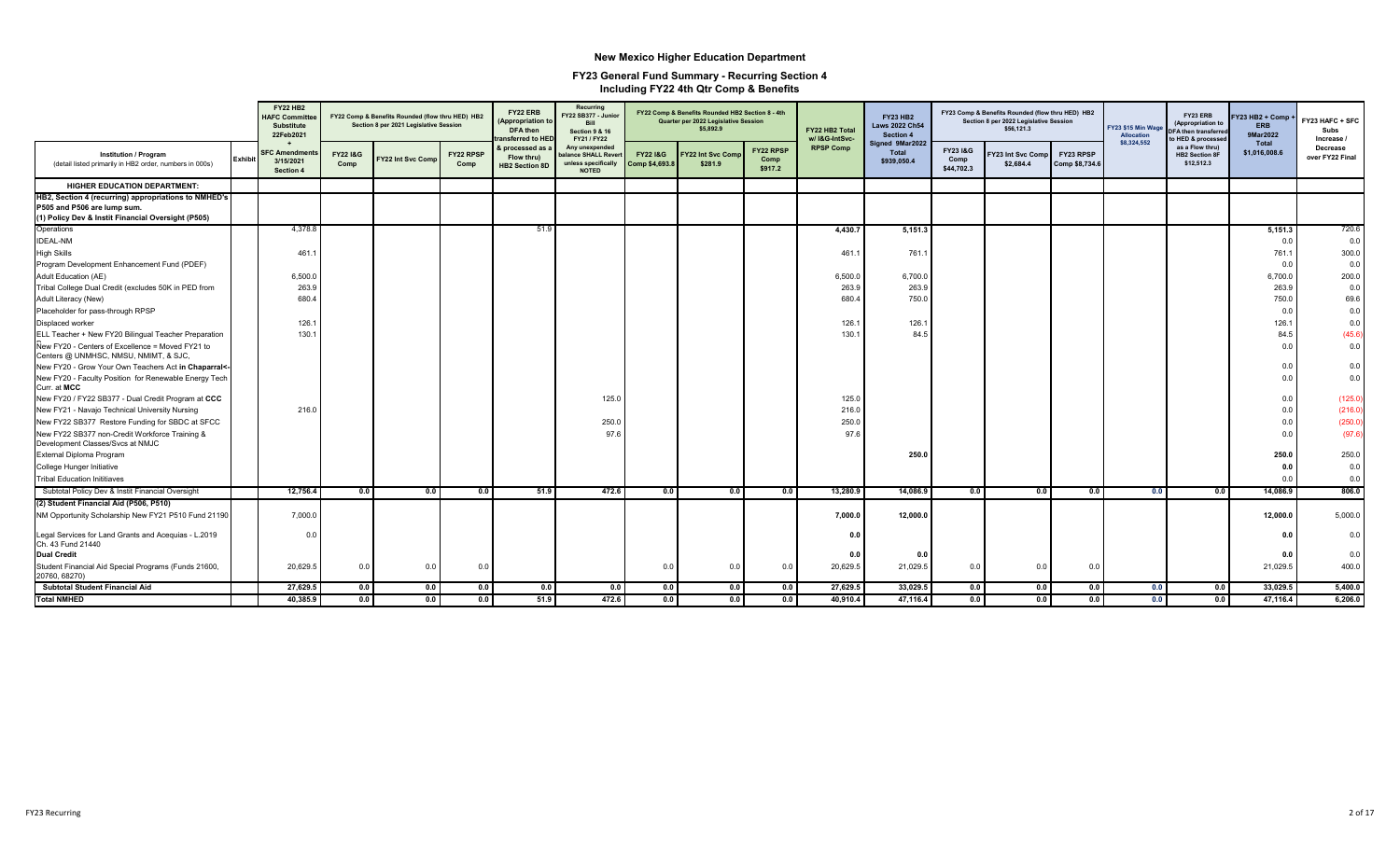|                                                                                                                                           |                | <b>FY22 HB2</b><br><b>HAFC Committe</b><br><b>Substitute</b><br>22Feb2021 |                             | FY22 Comp & Benefits Rounded (flow thru HED) HB2<br>Section 8 per 2021 Legislative Session |                   | FY22 ERB<br><b>Appropriation t</b><br>DFA then<br>ansferred to HED | Recurring<br>Y22 SB377 - Junior<br>Rill<br><b>Section 9 &amp; 16</b><br>FY21 / FY22 |                                      | FY22 Comp & Benefits Rounded HB2 Section 8 - 4th<br>Quarter per 2022 Legislative Session<br>\$5,892.9 |                              | FY22 HB2 Total<br>w/ I&G-IntSvc- | <b>FY23 HB2</b><br><b>Laws 2022 Ch54</b><br>Section 4 |                                           | FY23 Comp & Benefits Rounded (flow thru HED) HB2<br>Section 8 per 2022 Legislative Session<br>\$56,121.3 |                             | <b>FY23 \$15 Min Wag</b><br>Allocation<br>\$8,324,552 | FY23 ERB<br>(Appropriation to<br>DFA then transferre<br>o HED & processed | Y23 HB2 + Comp<br><b>ERB</b><br>9Mar2022 | FY23 HAFC + SFC<br>Subs<br>Increase / |
|-------------------------------------------------------------------------------------------------------------------------------------------|----------------|---------------------------------------------------------------------------|-----------------------------|--------------------------------------------------------------------------------------------|-------------------|--------------------------------------------------------------------|-------------------------------------------------------------------------------------|--------------------------------------|-------------------------------------------------------------------------------------------------------|------------------------------|----------------------------------|-------------------------------------------------------|-------------------------------------------|----------------------------------------------------------------------------------------------------------|-----------------------------|-------------------------------------------------------|---------------------------------------------------------------------------|------------------------------------------|---------------------------------------|
| <b>Institution / Program</b><br>(detail listed primarily in HB2 order, numbers in 000s)                                                   | <b>Exhibit</b> | <b>SFC Amendment</b><br>3/15/2021<br><b>Section 4</b>                     | <b>FY22 1&amp;G</b><br>Comp | FY22 Int Svc Comp                                                                          | FY22 RPSP<br>Comp | <b>&amp; processed as a</b><br>Flow thru)<br><b>HB2 Section 8D</b> | Any unexpended<br>alance SHALL Rever<br>unless specifically<br><b>NOTED</b>         | <b>FY221&amp;G</b><br>Comp \$4,693.8 | <b>FY22 Int Svc Comp</b><br>\$281.9                                                                   | FY22 RPSP<br>Comp<br>\$917.2 | <b>RPSP Comp</b>                 | Signed 9Mar2022<br><b>Total</b><br>\$939,050.4        | <b>FY23 I&amp;G</b><br>Comp<br>\$44.702.3 | Y23 Int Svc Comp<br>\$2,684.4                                                                            | FY23 RPSP<br>Comp \$8,734.6 |                                                       | as a Flow thru)<br><b>HB2 Section 8F</b><br>\$12,512.3                    | Total<br>\$1,016,008.6                   | Decrease<br>over FY22 Final           |
| <b>HIGHER EDUCATION DEPARTMENT:</b>                                                                                                       |                |                                                                           |                             |                                                                                            |                   |                                                                    |                                                                                     |                                      |                                                                                                       |                              |                                  |                                                       |                                           |                                                                                                          |                             |                                                       |                                                                           |                                          |                                       |
| HB2, Section 4 (recurring) appropriations to NMHED's<br>P505 and P506 are lump sum.<br>(1) Policy Dev & Instit Financial Oversight (P505) |                |                                                                           |                             |                                                                                            |                   |                                                                    |                                                                                     |                                      |                                                                                                       |                              |                                  |                                                       |                                           |                                                                                                          |                             |                                                       |                                                                           |                                          |                                       |
| Operations                                                                                                                                |                | 4,378.8                                                                   |                             |                                                                                            |                   | 51.9                                                               |                                                                                     |                                      |                                                                                                       |                              | 4,430.7                          | 5,151.3                                               |                                           |                                                                                                          |                             |                                                       |                                                                           | 5,151.3                                  | 720.6                                 |
| <b>IDEAL-NM</b>                                                                                                                           |                |                                                                           |                             |                                                                                            |                   |                                                                    |                                                                                     |                                      |                                                                                                       |                              |                                  |                                                       |                                           |                                                                                                          |                             |                                                       |                                                                           | 0.0                                      | 0.0                                   |
| <b>High Skills</b>                                                                                                                        |                | 461                                                                       |                             |                                                                                            |                   |                                                                    |                                                                                     |                                      |                                                                                                       |                              | 461.                             | 761.                                                  |                                           |                                                                                                          |                             |                                                       |                                                                           | 761.1                                    | 300.0                                 |
| Program Development Enhancement Fund (PDEF)                                                                                               |                |                                                                           |                             |                                                                                            |                   |                                                                    |                                                                                     |                                      |                                                                                                       |                              |                                  |                                                       |                                           |                                                                                                          |                             |                                                       |                                                                           | 0.0                                      | 0.0                                   |
| Adult Education (AE)                                                                                                                      |                | 6,500.0                                                                   |                             |                                                                                            |                   |                                                                    |                                                                                     |                                      |                                                                                                       |                              | 6,500.0                          | 6,700.0                                               |                                           |                                                                                                          |                             |                                                       |                                                                           | 6,700.0                                  | 200.0                                 |
| Tribal College Dual Credit (excludes 50K in PED from                                                                                      |                | 263.9                                                                     |                             |                                                                                            |                   |                                                                    |                                                                                     |                                      |                                                                                                       |                              | 263.9                            | 263.9                                                 |                                           |                                                                                                          |                             |                                                       |                                                                           | 263.9                                    | 0.0                                   |
| Adult Literacy (New)                                                                                                                      |                | 680.4                                                                     |                             |                                                                                            |                   |                                                                    |                                                                                     |                                      |                                                                                                       |                              | 680.4                            | 750.0                                                 |                                           |                                                                                                          |                             |                                                       |                                                                           | 750.0                                    | 69.6                                  |
| Placeholder for pass-through RPSP                                                                                                         |                |                                                                           |                             |                                                                                            |                   |                                                                    |                                                                                     |                                      |                                                                                                       |                              |                                  |                                                       |                                           |                                                                                                          |                             |                                                       |                                                                           | 0.0                                      | 0.0                                   |
| Displaced worker                                                                                                                          |                | 126.1                                                                     |                             |                                                                                            |                   |                                                                    |                                                                                     |                                      |                                                                                                       |                              | 126.                             | 126.7                                                 |                                           |                                                                                                          |                             |                                                       |                                                                           | 126.1                                    | 0.0                                   |
| ELL Teacher + New FY20 Bilingual Teacher Preparation                                                                                      |                | 130.1                                                                     |                             |                                                                                            |                   |                                                                    |                                                                                     |                                      |                                                                                                       |                              | 130.1                            | 84.5                                                  |                                           |                                                                                                          |                             |                                                       |                                                                           | 84.5                                     | (45.6)                                |
| New FY20 - Centers of Excellence = Moved FY21 to<br>Centers @ UNMHSC, NMSU, NMIMT, & SJC,                                                 |                |                                                                           |                             |                                                                                            |                   |                                                                    |                                                                                     |                                      |                                                                                                       |                              |                                  |                                                       |                                           |                                                                                                          |                             |                                                       |                                                                           | 0.0                                      | 0.0                                   |
| New FY20 - Grow Your Own Teachers Act in Chaparral<-                                                                                      |                |                                                                           |                             |                                                                                            |                   |                                                                    |                                                                                     |                                      |                                                                                                       |                              |                                  |                                                       |                                           |                                                                                                          |                             |                                                       |                                                                           | 0.0                                      | 0.0                                   |
| New FY20 - Faculty Position for Renewable Energy Tech<br>Curr. at MCC                                                                     |                |                                                                           |                             |                                                                                            |                   |                                                                    |                                                                                     |                                      |                                                                                                       |                              |                                  |                                                       |                                           |                                                                                                          |                             |                                                       |                                                                           | 0.0                                      | 0.0                                   |
| New FY20 / FY22 SB377 - Dual Credit Program at CCC                                                                                        |                |                                                                           |                             |                                                                                            |                   |                                                                    | 125.0                                                                               |                                      |                                                                                                       |                              | 125.0                            |                                                       |                                           |                                                                                                          |                             |                                                       |                                                                           | 0.0                                      | (125.0)                               |
| New FY21 - Navajo Technical University Nursing                                                                                            |                | 216.0                                                                     |                             |                                                                                            |                   |                                                                    |                                                                                     |                                      |                                                                                                       |                              | 216.0                            |                                                       |                                           |                                                                                                          |                             |                                                       |                                                                           | 0.0                                      | (216.0)                               |
| New FY22 SB377 Restore Funding for SBDC at SFCC                                                                                           |                |                                                                           |                             |                                                                                            |                   |                                                                    | 250.0                                                                               |                                      |                                                                                                       |                              | 250.0                            |                                                       |                                           |                                                                                                          |                             |                                                       |                                                                           | 0.0                                      | (250.0)                               |
| New FY22 SB377 non-Credit Workforce Training &<br>Development Classes/Svcs at NMJC                                                        |                |                                                                           |                             |                                                                                            |                   |                                                                    | 97.6                                                                                |                                      |                                                                                                       |                              | 97.6                             |                                                       |                                           |                                                                                                          |                             |                                                       |                                                                           | 0.0                                      | (97.6)                                |
| <b>External Diploma Program</b>                                                                                                           |                |                                                                           |                             |                                                                                            |                   |                                                                    |                                                                                     |                                      |                                                                                                       |                              |                                  | 250.0                                                 |                                           |                                                                                                          |                             |                                                       |                                                                           | 250.0                                    | 250.0                                 |
| College Hunger Initiative                                                                                                                 |                |                                                                           |                             |                                                                                            |                   |                                                                    |                                                                                     |                                      |                                                                                                       |                              |                                  |                                                       |                                           |                                                                                                          |                             |                                                       |                                                                           | 0.0                                      | 0.0                                   |
| <b>Tribal Education Inititiaves</b>                                                                                                       |                |                                                                           |                             |                                                                                            |                   |                                                                    |                                                                                     |                                      |                                                                                                       |                              |                                  |                                                       |                                           |                                                                                                          |                             |                                                       |                                                                           | 0.0                                      | 0.0                                   |
| Subtotal Policy Dev & Instit Financial Oversight                                                                                          |                | 12,756.4                                                                  | 0.0                         | 0.0                                                                                        | 0.0               | 51.9                                                               | 472.6                                                                               | 0.0                                  | $\overline{0.0}$                                                                                      | 0.0                          | 13,280.9                         | 14.086.9                                              | 0.0                                       | 0.0                                                                                                      | 0.0                         | 0.0                                                   | 0.0                                                                       | 14.086.9                                 | 806.0                                 |
| (2) Student Financial Aid (P506, P510)                                                                                                    |                |                                                                           |                             |                                                                                            |                   |                                                                    |                                                                                     |                                      |                                                                                                       |                              |                                  |                                                       |                                           |                                                                                                          |                             |                                                       |                                                                           |                                          |                                       |
| NM Opportunity Scholarship New FY21 P510 Fund 21190                                                                                       |                | 7,000.0                                                                   |                             |                                                                                            |                   |                                                                    |                                                                                     |                                      |                                                                                                       |                              | 7,000.0                          | 12,000.0                                              |                                           |                                                                                                          |                             |                                                       |                                                                           | 12,000.0                                 | 5,000.0                               |
| Legal Services for Land Grants and Acequias - L.2019<br>Ch. 43 Fund 21440                                                                 |                | 0.0                                                                       |                             |                                                                                            |                   |                                                                    |                                                                                     |                                      |                                                                                                       |                              | 0.0                              |                                                       |                                           |                                                                                                          |                             |                                                       |                                                                           | 0.0                                      | 0.0                                   |
| <b>Dual Credit</b>                                                                                                                        |                |                                                                           |                             |                                                                                            |                   |                                                                    |                                                                                     |                                      |                                                                                                       |                              | 0.0                              | 0.0                                                   |                                           |                                                                                                          |                             |                                                       |                                                                           | 0.0                                      | 0.0                                   |
| Student Financial Aid Special Programs (Funds 21600,<br>20760, 68270)                                                                     |                | 20,629.5                                                                  | 0.0                         | 0.0                                                                                        | 0.0               |                                                                    |                                                                                     | 0.0                                  | 0.0                                                                                                   | 0.0                          | 20,629.5                         | 21,029.5                                              | 0.0                                       | $0.0\,$                                                                                                  | 0.0                         |                                                       |                                                                           | 21,029.5                                 | 400.0                                 |
| Subtotal Student Financial Aid                                                                                                            |                | 27,629.5                                                                  | 0.0                         | 0.0                                                                                        | 0.0               | 0.0                                                                | 0.0                                                                                 | 0.0                                  | 0.0                                                                                                   | 0.0                          | 27,629.5                         | 33,029.5                                              | 0.0                                       | 0.0                                                                                                      | 0.0                         | 0.0                                                   | 0.0                                                                       | 33,029.5                                 | 5,400.0                               |
| <b>Total NMHED</b>                                                                                                                        |                | 40,385.9                                                                  | 0.0                         | 0.0                                                                                        | 0.0               | 51.9                                                               | 472.6                                                                               | 0.0                                  | 0.0                                                                                                   | 0.0                          | 40,910.4                         | 47,116.4                                              | 0.0                                       | 0.0                                                                                                      | 0.0                         | 0.0                                                   | 0.0                                                                       | 47,116.4                                 | 6,206.0                               |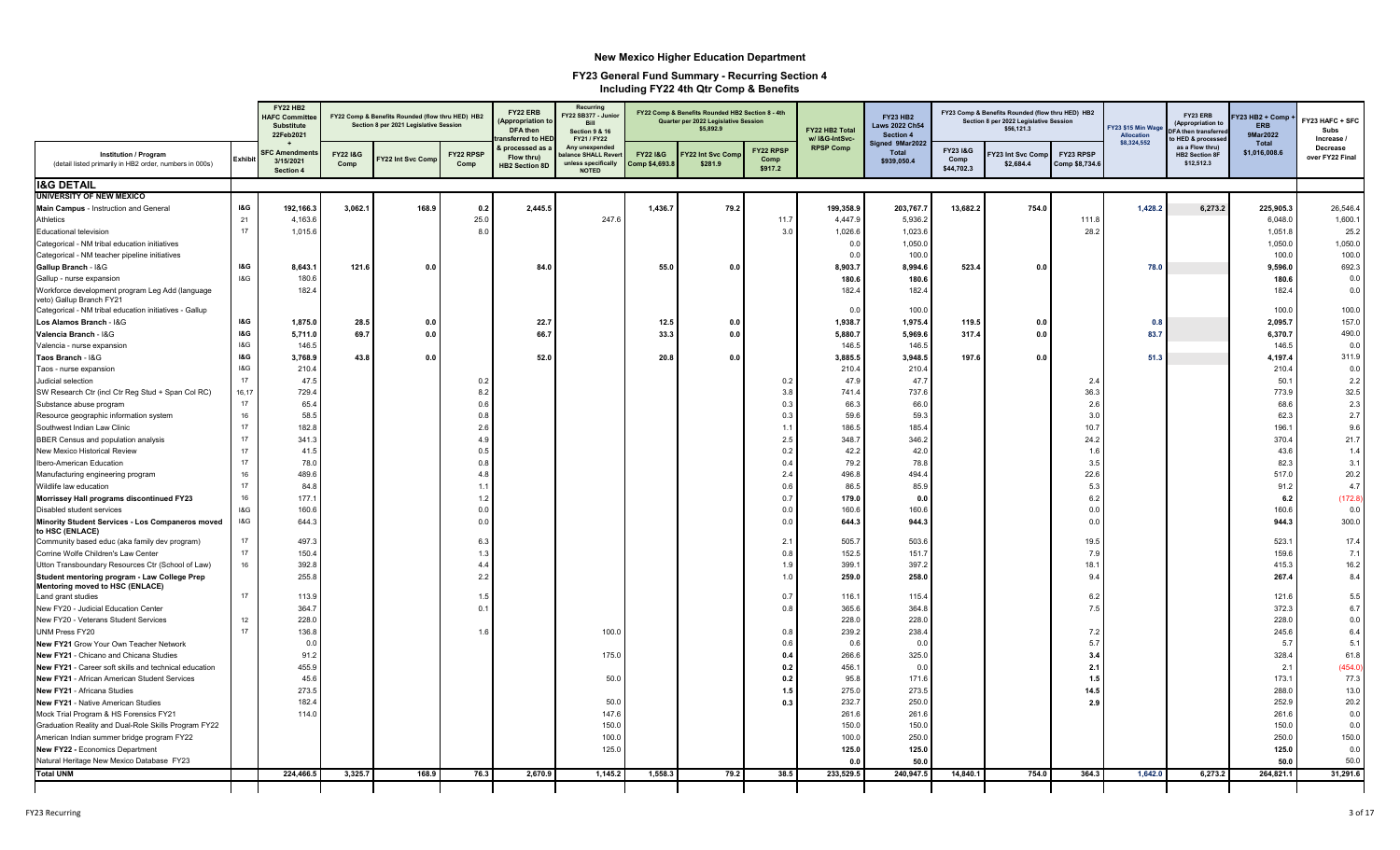|                                                                                         |                | <b>FY22 HB2</b><br><b>HAFC Committe</b><br><b>Substitute</b><br>22Feb2021 |                  | FY22 Comp & Benefits Rounded (flow thru HED) HB2<br>Section 8 per 2021 Legislative Session |                   | FY22 ERB<br><b>Appropriation 1</b><br>DFA then<br>ansferred to HEI | Recurring<br>Y22 SB377 - Junio<br><b>Bill</b><br><b>Section 9 &amp; 16</b><br>FY21 / FY22 |                        | FY22 Comp & Benefits Rounded HB2 Section 8 - 4th<br>Quarter per 2022 Legislative Session<br>\$5,892.9 |                              | FY22 HB2 Total<br>w/ I&G-IntSvc- | <b>FY23 HB2</b><br>Laws 2022 Ch54<br>Section 4 |                                | FY23 Comp & Benefits Rounded (flow thru HED) HB2<br>Section 8 per 2022 Legislative Session<br>\$56,121.3 |                             | <b>FY23 \$15 Min Wag</b><br>Allocation | FY23 ERB<br>(Appropriation to<br>A then transferre<br><b>HED &amp; processe</b> | Y23 HB2 + Comp<br><b>ERB</b><br>9Mar2022 | FY23 HAFC + SFC<br>Subs<br>Increase / |
|-----------------------------------------------------------------------------------------|----------------|---------------------------------------------------------------------------|------------------|--------------------------------------------------------------------------------------------|-------------------|--------------------------------------------------------------------|-------------------------------------------------------------------------------------------|------------------------|-------------------------------------------------------------------------------------------------------|------------------------------|----------------------------------|------------------------------------------------|--------------------------------|----------------------------------------------------------------------------------------------------------|-----------------------------|----------------------------------------|---------------------------------------------------------------------------------|------------------------------------------|---------------------------------------|
| <b>Institution / Program</b><br>(detail listed primarily in HB2 order, numbers in 000s) | <b>Exhibit</b> | <b>FC Amendmen</b><br>3/15/2021<br>Section 4                              | FY22 1&G<br>Comp | Y22 Int Svc Comp                                                                           | FY22 RPSP<br>Comp | processed as<br>Flow thru)<br>HB2 Section 8D                       | Any unexpended<br>alance SHALL Rever<br>unless specifically<br><b>NOTED</b>               | FY221&G<br>omp \$4,693 | Y22 Int Svc Con<br>\$281.9                                                                            | FY22 RPSP<br>Comp<br>\$917.2 | <b>RPSP Comp</b>                 | Signed 9Mar2022<br><b>Total</b><br>\$939,050.4 | FY23 I&G<br>Comp<br>\$44,702.3 | Y23 Int Svc Comp<br>\$2,684.4                                                                            | FY23 RPSP<br>Comp \$8,734.6 | \$8,324,552                            | as a Flow thru)<br><b>HB2 Section 8F</b><br>\$12,512.3                          | Total<br>\$1,016,008.6                   | Decrease<br>over FY22 Final           |
| <b>I&amp;G DETAIL</b>                                                                   |                |                                                                           |                  |                                                                                            |                   |                                                                    |                                                                                           |                        |                                                                                                       |                              |                                  |                                                |                                |                                                                                                          |                             |                                        |                                                                                 |                                          |                                       |
| <b>UNIVERSITY OF NEW MEXICO</b>                                                         |                |                                                                           |                  |                                                                                            |                   |                                                                    |                                                                                           |                        |                                                                                                       |                              |                                  |                                                |                                |                                                                                                          |                             |                                        |                                                                                 |                                          |                                       |
| Main Campus - Instruction and General                                                   | <b>1&amp;G</b> | 192,166.3                                                                 | 3,062.1          | 168.9                                                                                      | 0.2               | 2,445.5                                                            |                                                                                           | 1,436.7                | 79.2                                                                                                  |                              | 199,358.9                        | 203,767.                                       | 13,682.2                       | 754.0                                                                                                    |                             | 1,428.2                                | 6,273.2                                                                         | 225,905.3                                | 26,546.4                              |
| <b>Athletics</b>                                                                        | 21             | 4.163.6                                                                   |                  |                                                                                            | 25.0              |                                                                    | 247.6                                                                                     |                        |                                                                                                       | 11.7                         | 4,447.9                          | 5,936.2                                        |                                |                                                                                                          | 111.8                       |                                        |                                                                                 | 6,048.0                                  | 1,600.7                               |
| Educational television                                                                  | 17             | 1,015.6                                                                   |                  |                                                                                            | 8.0               |                                                                    |                                                                                           |                        |                                                                                                       | 3.0                          | 1,026.6                          | 1,023.6                                        |                                |                                                                                                          | 28.2                        |                                        |                                                                                 | 1,051.8                                  | 25.2                                  |
| Categorical - NM tribal education initiatives                                           |                |                                                                           |                  |                                                                                            |                   |                                                                    |                                                                                           |                        |                                                                                                       |                              | 0.0                              | 1,050.0                                        |                                |                                                                                                          |                             |                                        |                                                                                 | 1,050.0                                  | 1,050.0                               |
| Categorical - NM teacher pipeline initiatives                                           |                |                                                                           |                  |                                                                                            |                   |                                                                    |                                                                                           |                        |                                                                                                       |                              | 0.0                              | 100.0                                          |                                |                                                                                                          |                             |                                        |                                                                                 | 100.0                                    | 100.0                                 |
| Gallup Branch - I&G                                                                     | I&G            | 8,643.1                                                                   | 121.6            | 0.0                                                                                        |                   | 84.0                                                               |                                                                                           | 55.0                   | 0.0                                                                                                   |                              | 8,903.7                          | 8,994.6                                        | 523.4                          | 0.0                                                                                                      |                             | 78.0                                   |                                                                                 | 9,596.0                                  | 692.3                                 |
| Gallup - nurse expansion                                                                | 18G            | 180.6                                                                     |                  |                                                                                            |                   |                                                                    |                                                                                           |                        |                                                                                                       |                              | 180.6                            | 180.6                                          |                                |                                                                                                          |                             |                                        |                                                                                 | 180.6                                    | 0.0                                   |
| Workforce development program Leg Add (language<br>veto) Gallup Branch FY21             |                | 182.4                                                                     |                  |                                                                                            |                   |                                                                    |                                                                                           |                        |                                                                                                       |                              | 182.4                            | 182.4                                          |                                |                                                                                                          |                             |                                        |                                                                                 | 182.4                                    | 0.0                                   |
| Categorical - NM tribal education initiatives - Gallup                                  |                |                                                                           |                  |                                                                                            |                   |                                                                    |                                                                                           |                        |                                                                                                       |                              | 0.0                              | 100.0                                          |                                |                                                                                                          |                             |                                        |                                                                                 | 100.0                                    | 100.0                                 |
| Los Alamos Branch - I&G                                                                 | I&G            | 1,875.0                                                                   | 28.5             | 0.0                                                                                        |                   | 22.7                                                               |                                                                                           | 12.5                   | 0.0                                                                                                   |                              | 1,938.7                          | 1,975.4                                        | 119.5                          | 0.0                                                                                                      |                             | 0.8                                    |                                                                                 | 2,095.7                                  | 157.0                                 |
| Valencia Branch - I&G                                                                   | <b>1&amp;G</b> | 5,711.0                                                                   | 69.7             | 0.0                                                                                        |                   | 66.7                                                               |                                                                                           | 33.3                   | 0.0                                                                                                   |                              | 5,880.7                          | 5,969.6                                        | 317.4                          | 0.0                                                                                                      |                             | 83.7                                   |                                                                                 | 6,370.7                                  | 490.0                                 |
| Valencia - nurse expansion                                                              | 18G            | 146.5                                                                     |                  |                                                                                            |                   |                                                                    |                                                                                           |                        |                                                                                                       |                              | 146.5                            | 146.5                                          |                                |                                                                                                          |                             |                                        |                                                                                 | 146.5                                    | 0.0                                   |
| Taos Branch - I&G                                                                       | <b>I&amp;G</b> | 3,768.9                                                                   | 43.8             | 0.0                                                                                        |                   | 52.0                                                               |                                                                                           | 20.8                   | 0.0                                                                                                   |                              | 3,885.5                          | 3,948.5                                        | 197.6                          | 0.0                                                                                                      |                             | 51.3                                   |                                                                                 | 4,197.4                                  | 311.9                                 |
| Taos - nurse expansion                                                                  | 18G            | 210.4                                                                     |                  |                                                                                            |                   |                                                                    |                                                                                           |                        |                                                                                                       |                              | 210.4                            | 210.4                                          |                                |                                                                                                          |                             |                                        |                                                                                 | 210.4                                    | 0.0                                   |
| Judicial selection                                                                      | 17             | 47.5                                                                      |                  |                                                                                            | 0.2               |                                                                    |                                                                                           |                        |                                                                                                       | 0.2                          | 47.9                             | 47.7                                           |                                |                                                                                                          | 2.4                         |                                        |                                                                                 | 50.1                                     | 2.2                                   |
| SW Research Ctr (incl Ctr Reg Stud + Span Col RC)                                       | 16,17          | 729.4                                                                     |                  |                                                                                            | 8.2               |                                                                    |                                                                                           |                        |                                                                                                       | 3.8                          | 741.4                            | 737.6                                          |                                |                                                                                                          | 36.3                        |                                        |                                                                                 | 773.9                                    | 32.5                                  |
| Substance abuse program                                                                 | 17             | 65.4                                                                      |                  |                                                                                            | 0.6               |                                                                    |                                                                                           |                        |                                                                                                       | 0.3                          | 66.3                             | 66.0                                           |                                |                                                                                                          | 2.6                         |                                        |                                                                                 | 68.6                                     | 2.3                                   |
| Resource geographic information system                                                  | 16             | 58.5                                                                      |                  |                                                                                            | 0.8               |                                                                    |                                                                                           |                        |                                                                                                       | 0.3                          | 59.6                             | 59.3                                           |                                |                                                                                                          | 3.0                         |                                        |                                                                                 | 62.3                                     | 2.7                                   |
| Southwest Indian Law Clinic                                                             | 17             | 182.8                                                                     |                  |                                                                                            | 2.6               |                                                                    |                                                                                           |                        |                                                                                                       | 1.1                          | 186.5                            | 185.4                                          |                                |                                                                                                          | 10.7                        |                                        |                                                                                 | 196.1                                    | 9.6                                   |
| BBER Census and population analysis                                                     | $17\,$         | 341.                                                                      |                  |                                                                                            | 4.9               |                                                                    |                                                                                           |                        |                                                                                                       | 2.5                          | 348.7                            | 346.2                                          |                                |                                                                                                          | 24.2                        |                                        |                                                                                 | 370.4                                    | 21.7                                  |
| New Mexico Historical Review                                                            | 17             | 41.5                                                                      |                  |                                                                                            | 0.5               |                                                                    |                                                                                           |                        |                                                                                                       | 0.2                          | 42.2                             | 42.0                                           |                                |                                                                                                          | 1.6                         |                                        |                                                                                 | 43.6                                     | 1.4                                   |
| Ibero-American Education                                                                | 17             | 78.0                                                                      |                  |                                                                                            | 0.8               |                                                                    |                                                                                           |                        |                                                                                                       | 0.4                          | 79.2                             | 78.8                                           |                                |                                                                                                          | 3.5                         |                                        |                                                                                 | 82.3                                     | 3.1                                   |
| Manufacturing engineering program                                                       | 16             | 489.6                                                                     |                  |                                                                                            | 4.8               |                                                                    |                                                                                           |                        |                                                                                                       | 2.4                          | 496.8                            | 494.4                                          |                                |                                                                                                          | 22.6                        |                                        |                                                                                 | 517.0                                    | 20.2                                  |
| Wildlife law education                                                                  | 17             | 84.8                                                                      |                  |                                                                                            | $1$ .             |                                                                    |                                                                                           |                        |                                                                                                       | 0.6                          | 86.                              | 85.9                                           |                                |                                                                                                          | 5.3                         |                                        |                                                                                 | 91.2                                     | 4.7                                   |
| Morrissey Hall programs discontinued FY23                                               | 16             | 177.1                                                                     |                  |                                                                                            | 1.2               |                                                                    |                                                                                           |                        |                                                                                                       | 0.7                          | 179.0                            | 0.0                                            |                                |                                                                                                          | 6.2                         |                                        |                                                                                 | 6.2                                      | (172.8)                               |
| Disabled student services                                                               | 18G            | 160.6                                                                     |                  |                                                                                            | 0.0               |                                                                    |                                                                                           |                        |                                                                                                       | 0.0                          | 160.6                            | 160.6                                          |                                |                                                                                                          | 0.0                         |                                        |                                                                                 | 160.6                                    | 0.0                                   |
| Minority Student Services - Los Companeros moved<br>to HSC (ENLACE)                     | <b>1&amp;G</b> | 644.3                                                                     |                  |                                                                                            | 0.0               |                                                                    |                                                                                           |                        |                                                                                                       | 0.0                          | 644.3                            | 944.3                                          |                                |                                                                                                          | 0.0                         |                                        |                                                                                 | 944.3                                    | 300.C                                 |
| Community based educ (aka family dev program)                                           | 17             | 497.3                                                                     |                  |                                                                                            | 6.3               |                                                                    |                                                                                           |                        |                                                                                                       | 2.1                          | 505.7                            | 503.6                                          |                                |                                                                                                          | 19.5                        |                                        |                                                                                 | 523.1                                    | 17.4                                  |
| Corrine Wolfe Children's Law Center                                                     | 17             | 150.4                                                                     |                  |                                                                                            | 1.3               |                                                                    |                                                                                           |                        |                                                                                                       | 0.8                          | 152.5                            | 151.7                                          |                                |                                                                                                          | 7.9                         |                                        |                                                                                 | 159.6                                    | 7.1                                   |
| Utton Transboundary Resources Ctr (School of Law)                                       | 16             | 392.8                                                                     |                  |                                                                                            | 4.4               |                                                                    |                                                                                           |                        |                                                                                                       | 1.9                          | 399.                             | 397.2                                          |                                |                                                                                                          | 18.7                        |                                        |                                                                                 | 415.3                                    | 16.2                                  |
| Student mentoring program - Law College Prep<br>Mentoring moved to HSC (ENLACE)         |                | 255.8                                                                     |                  |                                                                                            | 2.2               |                                                                    |                                                                                           |                        |                                                                                                       | 1.0                          | 259.0                            | 258.0                                          |                                |                                                                                                          | 9.4                         |                                        |                                                                                 | 267.4                                    | 8.4                                   |
| Land grant studies                                                                      | 17             | 113.9                                                                     |                  |                                                                                            | 1.5               |                                                                    |                                                                                           |                        |                                                                                                       | 0.7                          | 116.1                            | 115.4                                          |                                |                                                                                                          | 6.2                         |                                        |                                                                                 | 121.6                                    | 5.5                                   |
| New FY20 - Judicial Education Center                                                    |                | 364.7                                                                     |                  |                                                                                            | 0.                |                                                                    |                                                                                           |                        |                                                                                                       | 0.8                          | 365.6                            | 364.8                                          |                                |                                                                                                          | 7.5                         |                                        |                                                                                 | 372.3                                    | 6.7                                   |
| New FY20 - Veterans Student Services                                                    | 12             | 228.0                                                                     |                  |                                                                                            |                   |                                                                    |                                                                                           |                        |                                                                                                       |                              | 228.0                            | 228.0                                          |                                |                                                                                                          |                             |                                        |                                                                                 | 228.0                                    | 0.0                                   |
| UNM Press FY20                                                                          | 17             | 136.8                                                                     |                  |                                                                                            | 1.6               |                                                                    | 100.0                                                                                     |                        |                                                                                                       | 0.8                          | 239.2                            | 238.4                                          |                                |                                                                                                          | 7.2                         |                                        |                                                                                 | 245.6                                    | 6.4                                   |
| New FY21 Grow Your Own Teacher Network                                                  |                | 0.0                                                                       |                  |                                                                                            |                   |                                                                    |                                                                                           |                        |                                                                                                       | 0.6                          | 0.6                              | 0.0                                            |                                |                                                                                                          | 5.7                         |                                        |                                                                                 | 5.7                                      | 5.1                                   |
| New FY21 - Chicano and Chicana Studies                                                  |                | 91.2                                                                      |                  |                                                                                            |                   |                                                                    | 175.0                                                                                     |                        |                                                                                                       | 0.4                          | 266.6                            | 325.0                                          |                                |                                                                                                          | 3.4                         |                                        |                                                                                 | 328.4                                    | 61.8                                  |
| New FY21 - Career soft skills and technical education                                   |                | 455.9                                                                     |                  |                                                                                            |                   |                                                                    |                                                                                           |                        |                                                                                                       | 0.2                          | 456.1                            | 0.0                                            |                                |                                                                                                          | 2.1                         |                                        |                                                                                 | 2.1                                      | (454.0)                               |
| <b>New FY21 - African American Student Services</b>                                     |                | 45.6                                                                      |                  |                                                                                            |                   |                                                                    | 50.0                                                                                      |                        |                                                                                                       | 0.2                          | 95.8                             | 171.6                                          |                                |                                                                                                          | 1.5                         |                                        |                                                                                 | 173.1                                    | 77.3                                  |
| New FY21 - Africana Studies                                                             |                | 273.5                                                                     |                  |                                                                                            |                   |                                                                    |                                                                                           |                        |                                                                                                       | 1.5                          | 275.0                            | 273.5                                          |                                |                                                                                                          | 14.5                        |                                        |                                                                                 | 288.0                                    | 13.0                                  |
| New FY21 - Native American Studies                                                      |                | 182.4                                                                     |                  |                                                                                            |                   |                                                                    | 50.0                                                                                      |                        |                                                                                                       | 0.3                          | 232.7                            | 250.0                                          |                                |                                                                                                          | 2.9                         |                                        |                                                                                 | 252.9                                    | 20.2                                  |
| Mock Trial Program & HS Forensics FY21                                                  |                | 114.0                                                                     |                  |                                                                                            |                   |                                                                    | 147.6                                                                                     |                        |                                                                                                       |                              | 261.6                            | 261.6                                          |                                |                                                                                                          |                             |                                        |                                                                                 | 261.6                                    | 0.0                                   |
| Graduation Reality and Dual-Role Skills Program FY22                                    |                |                                                                           |                  |                                                                                            |                   |                                                                    | 150.0                                                                                     |                        |                                                                                                       |                              | 150.0                            | 150.0                                          |                                |                                                                                                          |                             |                                        |                                                                                 | 150.0                                    | 0.0                                   |
| American Indian summer bridge program FY22                                              |                |                                                                           |                  |                                                                                            |                   |                                                                    | 100.0                                                                                     |                        |                                                                                                       |                              | 100.0                            | 250.0                                          |                                |                                                                                                          |                             |                                        |                                                                                 | 250.0                                    | 150.0                                 |
| New FY22 - Economics Department                                                         |                |                                                                           |                  |                                                                                            |                   |                                                                    | 125.0                                                                                     |                        |                                                                                                       |                              | 125.0                            | 125.0                                          |                                |                                                                                                          |                             |                                        |                                                                                 | 125.0                                    | 0.0                                   |
| Natural Heritage New Mexico Database FY23                                               |                |                                                                           |                  |                                                                                            |                   |                                                                    |                                                                                           |                        |                                                                                                       |                              | 0.0                              | 50.0                                           |                                |                                                                                                          |                             |                                        |                                                                                 | 50.0                                     | 50.0                                  |
| <b>Total UNM</b>                                                                        |                | 224,466.5                                                                 | 3,325.7          | 168.9                                                                                      | 76.3              | 2,670.9                                                            | 1,145.2                                                                                   | 1,558.3                | 79.2                                                                                                  | 38.5                         | 233,529.5                        | 240,947.5                                      | 14,840.1                       | 754.0                                                                                                    | 364.3                       | 1,642.0                                | 6,273.2                                                                         | 264,821.1                                | 31,291.6                              |
|                                                                                         |                |                                                                           |                  |                                                                                            |                   |                                                                    |                                                                                           |                        |                                                                                                       |                              |                                  |                                                |                                |                                                                                                          |                             |                                        |                                                                                 |                                          |                                       |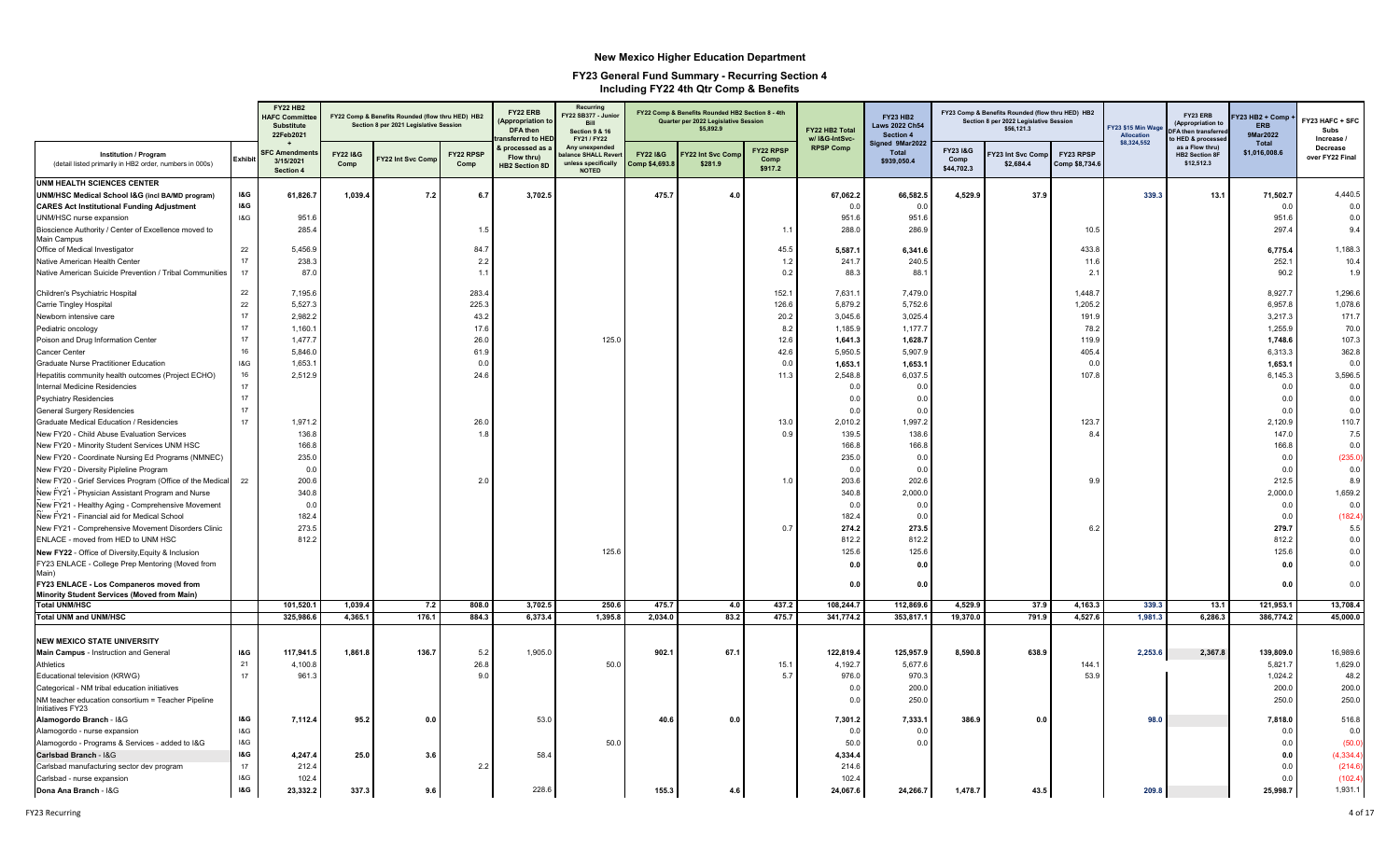|                                                                                          |                | <b>FY22 HB2</b><br><b>HAFC Committer</b><br><b>Substitute</b><br>22Feb2021 |                             | FY22 Comp & Benefits Rounded (flow thru HED) HB2<br>Section 8 per 2021 Legislative Session |                   | FY22 ERB<br><b>Appropriation t</b><br>DFA then<br>ansferred to HEI | Recurring<br>Y22 SB377 - Junio<br><b>Bill</b><br><b>Section 9 &amp; 16</b><br>FY21 / FY22 |                                      | FY22 Comp & Benefits Rounded HB2 Section 8 - 4th<br>Quarter per 2022 Legislative Session<br>\$5,892.9 |                              | FY22 HB2 Total<br>w/ I&G-IntSvc- | <b>FY23 HB2</b><br><b>Laws 2022 Ch54</b><br>Section 4<br>Signed 9Mar2022 |                                | FY23 Comp & Benefits Rounded (flow thru HED) HB2<br>Section 8 per 2022 Legislative Session<br>\$56,121.3 |                             | Y23 \$15 Min Wage<br><b>Allocation</b><br>\$8,324,552 | FY23 ERB<br>(Appropriation to<br>FA then transferre<br>o HED & processe | Y23 HB2 + Comp<br><b>FRR</b><br>9Mar2022<br><b>Total</b> | FY23 HAFC + SFC<br>Subs<br>Increase / |
|------------------------------------------------------------------------------------------|----------------|----------------------------------------------------------------------------|-----------------------------|--------------------------------------------------------------------------------------------|-------------------|--------------------------------------------------------------------|-------------------------------------------------------------------------------------------|--------------------------------------|-------------------------------------------------------------------------------------------------------|------------------------------|----------------------------------|--------------------------------------------------------------------------|--------------------------------|----------------------------------------------------------------------------------------------------------|-----------------------------|-------------------------------------------------------|-------------------------------------------------------------------------|----------------------------------------------------------|---------------------------------------|
| <b>Institution / Program</b><br>(detail listed primarily in HB2 order, numbers in 000s)  | Exhibit        | <b>SFC Amendme</b><br>3/15/2021<br>Section 4                               | <b>FY22 1&amp;G</b><br>Comp | Y22 Int Svc Comp                                                                           | FY22 RPSP<br>Comp | processed as<br>Flow thru)<br><b>HB2 Section 8D</b>                | Any unexpended<br>alance SHALL Rever<br>unless specifically<br><b>NOTED</b>               | <b>FY221&amp;G</b><br>Comp \$4,693.8 | Y22 Int Svc Con<br>\$281.9                                                                            | FY22 RPSP<br>Comp<br>\$917.2 | <b>RPSP Comp</b>                 | <b>Total</b><br>\$939,050.4                                              | FY23 I&G<br>Comp<br>\$44,702.3 | Y23 Int Svc Comp<br>\$2,684.4                                                                            | FY23 RPSP<br>Comp \$8,734.6 |                                                       | as a Flow thru)<br><b>HB2 Section 8F</b><br>\$12,512.3                  | \$1,016,008.6                                            | Decrease<br>over FY22 Final           |
| <b>UNM HEALTH SCIENCES CENTER</b>                                                        |                |                                                                            |                             |                                                                                            |                   |                                                                    |                                                                                           |                                      |                                                                                                       |                              |                                  |                                                                          |                                |                                                                                                          |                             |                                                       |                                                                         |                                                          |                                       |
| UNM/HSC Medical School I&G (incl BA/MD program)                                          | <b>1&amp;G</b> | 61,826.7                                                                   | 1,039.4                     | 7.2                                                                                        | 6.7               | 3,702.5                                                            |                                                                                           | 475.7                                | 4.0                                                                                                   |                              | 67,062.2                         | 66,582.5                                                                 | 4,529.9                        | 37.9                                                                                                     |                             | 339.3                                                 | 13.1                                                                    | 71,502.7                                                 | 4,440.5                               |
| <b>CARES Act Institutional Funding Adjustment</b>                                        | <b>I&amp;G</b> |                                                                            |                             |                                                                                            |                   |                                                                    |                                                                                           |                                      |                                                                                                       |                              | 0.0                              | 0.0                                                                      |                                |                                                                                                          |                             |                                                       |                                                                         | 0.0                                                      | 0.0                                   |
| UNM/HSC nurse expansion                                                                  | 18G            | 951.6                                                                      |                             |                                                                                            |                   |                                                                    |                                                                                           |                                      |                                                                                                       |                              | 951.6                            | 951.6                                                                    |                                |                                                                                                          |                             |                                                       |                                                                         | 951.6                                                    | 0.0                                   |
| Bioscience Authority / Center of Excellence moved to<br>Main Campus                      |                | 285.4                                                                      |                             |                                                                                            | 1.5               |                                                                    |                                                                                           |                                      |                                                                                                       | $\sim$ 1.1                   | 288.0                            | 286.9                                                                    |                                |                                                                                                          | 10.5                        |                                                       |                                                                         | 297.4                                                    | 9.4                                   |
| Office of Medical Investigator                                                           | 22<br>17       | 5,456.9                                                                    |                             |                                                                                            | 84.7              |                                                                    |                                                                                           |                                      |                                                                                                       | 45.5                         | 5,587.1                          | 6,341.6                                                                  |                                |                                                                                                          | 433.8                       |                                                       |                                                                         | 6,775.4                                                  | 1,188.3                               |
| Native American Health Center<br>Native American Suicide Prevention / Tribal Communities | 17             | 238.3<br>87.0                                                              |                             |                                                                                            | 2.2<br>1.1        |                                                                    |                                                                                           |                                      |                                                                                                       | 1.2<br>0.2                   | 241.7<br>88.3                    | 240.5<br>88.                                                             |                                |                                                                                                          | 11.6<br>2.1                 |                                                       |                                                                         | 252.1<br>90.2                                            | 10.4<br>1.9                           |
| Children's Psychiatric Hospital                                                          | 22             | 7,195.6                                                                    |                             |                                                                                            | 283.4             |                                                                    |                                                                                           |                                      |                                                                                                       | 152.1                        | 7,631.1                          | 7,479.0                                                                  |                                |                                                                                                          | 1,448.7                     |                                                       |                                                                         | 8,927.7                                                  | 1,296.6                               |
| Carrie Tingley Hospital                                                                  | 22             | 5,527.3                                                                    |                             |                                                                                            | 225.3             |                                                                    |                                                                                           |                                      |                                                                                                       | 126.6                        | 5,879.2                          | 5,752.6                                                                  |                                |                                                                                                          | 1,205.2                     |                                                       |                                                                         | 6,957.8                                                  | 1,078.6                               |
| Newborn intensive care                                                                   | 17             | 2,982.2                                                                    |                             |                                                                                            | 43.2              |                                                                    |                                                                                           |                                      |                                                                                                       | 20.2                         | 3,045.6                          | 3,025.4                                                                  |                                |                                                                                                          | 191.9                       |                                                       |                                                                         | 3,217.3                                                  | 171.7                                 |
| Pediatric oncology                                                                       | 17             | 1,160.7                                                                    |                             |                                                                                            | 17.6              |                                                                    |                                                                                           |                                      |                                                                                                       | 8.2                          | 1,185.9                          | 1,177.7                                                                  |                                |                                                                                                          | 78.2                        |                                                       |                                                                         | 1,255.9                                                  | 70.0                                  |
| Poison and Drug Information Center                                                       | 17             | 1,477.7                                                                    |                             |                                                                                            | 26.0              |                                                                    | 125.0                                                                                     |                                      |                                                                                                       | 12.6                         | 1,641.3                          | 1,628.7                                                                  |                                |                                                                                                          | 119.9                       |                                                       |                                                                         | 1,748.6                                                  | 107.3                                 |
| Cancer Center                                                                            | 16             | 5,846.0                                                                    |                             |                                                                                            | 61.9              |                                                                    |                                                                                           |                                      |                                                                                                       | 42.6                         | 5,950.5                          | 5,907.9                                                                  |                                |                                                                                                          | 405.4                       |                                                       |                                                                         | 6,313.3                                                  | 362.8                                 |
| Graduate Nurse Practitioner Education                                                    | 18G            | 1,653.1                                                                    |                             |                                                                                            | 0.0               |                                                                    |                                                                                           |                                      |                                                                                                       | 0.0                          | 1,653.1                          | 1,653.1                                                                  |                                |                                                                                                          | 0.0                         |                                                       |                                                                         | 1,653.1                                                  | 0.0                                   |
| Hepatitis community health outcomes (Project ECHO)                                       | 16             | 2,512.9                                                                    |                             |                                                                                            | 24.6              |                                                                    |                                                                                           |                                      |                                                                                                       | 11.3                         | 2,548.8                          | 6,037.5                                                                  |                                |                                                                                                          | 107.8                       |                                                       |                                                                         | 6,145.3                                                  | 3,596.5                               |
| Internal Medicine Residencies                                                            | 17             |                                                                            |                             |                                                                                            |                   |                                                                    |                                                                                           |                                      |                                                                                                       |                              | 0.0                              | 0.0                                                                      |                                |                                                                                                          |                             |                                                       |                                                                         | 0.0                                                      | 0.0                                   |
| <b>Psychiatry Residencies</b>                                                            | 17             |                                                                            |                             |                                                                                            |                   |                                                                    |                                                                                           |                                      |                                                                                                       |                              | 0.0                              | 0.0                                                                      |                                |                                                                                                          |                             |                                                       |                                                                         | 0.0                                                      | 0.0                                   |
| <b>General Surgery Residencies</b>                                                       | 17             |                                                                            |                             |                                                                                            |                   |                                                                    |                                                                                           |                                      |                                                                                                       |                              | 0.0                              | 0.0                                                                      |                                |                                                                                                          |                             |                                                       |                                                                         | 0.0                                                      | 0.0                                   |
| Graduate Medical Education / Residencies                                                 | 17             | 1,971.2                                                                    |                             |                                                                                            | 26.0              |                                                                    |                                                                                           |                                      |                                                                                                       | 13.0                         | 2,010.2                          | 1,997.2                                                                  |                                |                                                                                                          | 123.7                       |                                                       |                                                                         | 2,120.9                                                  | 110.7                                 |
| New FY20 - Child Abuse Evaluation Services                                               |                | 136.8                                                                      |                             |                                                                                            | 1.8               |                                                                    |                                                                                           |                                      |                                                                                                       | 0.9                          | 139.5                            | 138.6                                                                    |                                |                                                                                                          | 8.4                         |                                                       |                                                                         | 147.0                                                    | 7.5                                   |
| New FY20 - Minority Student Services UNM HSC                                             |                | 166.8                                                                      |                             |                                                                                            |                   |                                                                    |                                                                                           |                                      |                                                                                                       |                              | 166.8                            | 166.8                                                                    |                                |                                                                                                          |                             |                                                       |                                                                         | 166.8                                                    | 0.0                                   |
| New FY20 - Coordinate Nursing Ed Programs (NMNEC)                                        |                | 235.0                                                                      |                             |                                                                                            |                   |                                                                    |                                                                                           |                                      |                                                                                                       |                              | 235.0                            | 0.0                                                                      |                                |                                                                                                          |                             |                                                       |                                                                         | 0.0                                                      | (235.0)                               |
| New FY20 - Diversity Pipleline Program                                                   |                | 0.0                                                                        |                             |                                                                                            |                   |                                                                    |                                                                                           |                                      |                                                                                                       |                              | 0.0                              | 0.0                                                                      |                                |                                                                                                          |                             |                                                       |                                                                         | 0.0                                                      | 0.0                                   |
| New FY20 - Grief Services Program (Office of the Medical                                 | 22             | 200.6                                                                      |                             |                                                                                            | 2.0               |                                                                    |                                                                                           |                                      |                                                                                                       | 1.0                          | 203.6                            | 202.6                                                                    |                                |                                                                                                          | 9.9                         |                                                       |                                                                         | 212.5                                                    | 8.9                                   |
| New FY21 - Physician Assistant Program and Nurse                                         |                | 340.8                                                                      |                             |                                                                                            |                   |                                                                    |                                                                                           |                                      |                                                                                                       |                              | 340.8                            | 2,000.0                                                                  |                                |                                                                                                          |                             |                                                       |                                                                         | 2,000.0                                                  | 1,659.2                               |
| New FY21 - Healthy Aging - Comprehensive Movement                                        |                | 0.0                                                                        |                             |                                                                                            |                   |                                                                    |                                                                                           |                                      |                                                                                                       |                              | 0.0                              | 0.0                                                                      |                                |                                                                                                          |                             |                                                       |                                                                         | 0.0                                                      | 0.0                                   |
| New FY21 - Financial aid for Medical School                                              |                | 182.4                                                                      |                             |                                                                                            |                   |                                                                    |                                                                                           |                                      |                                                                                                       |                              | 182.4                            | 0.0                                                                      |                                |                                                                                                          |                             |                                                       |                                                                         | 0.0                                                      | (182.4)                               |
| New FY21 - Comprehensive Movement Disorders Clinic                                       |                | 273.5                                                                      |                             |                                                                                            |                   |                                                                    |                                                                                           |                                      |                                                                                                       | 0.                           | 274.2                            | 273.5                                                                    |                                |                                                                                                          | 6.2                         |                                                       |                                                                         | 279.7                                                    | 5.5                                   |
| ENLACE - moved from HED to UNM HSC                                                       |                | 812.2                                                                      |                             |                                                                                            |                   |                                                                    |                                                                                           |                                      |                                                                                                       |                              | 812.2                            | 812.2                                                                    |                                |                                                                                                          |                             |                                                       |                                                                         | 812.2                                                    | 0.0                                   |
| New FY22 - Office of Diversity, Equity & Inclusion                                       |                |                                                                            |                             |                                                                                            |                   |                                                                    | 125.6                                                                                     |                                      |                                                                                                       |                              | 125.6                            | 125.6                                                                    |                                |                                                                                                          |                             |                                                       |                                                                         | 125.6                                                    | 0.0                                   |
| FY23 ENLACE - College Prep Mentoring (Moved from<br>Main)                                |                |                                                                            |                             |                                                                                            |                   |                                                                    |                                                                                           |                                      |                                                                                                       |                              | 0.0                              | 0.0                                                                      |                                |                                                                                                          |                             |                                                       |                                                                         | 0.0                                                      | 0.0                                   |
| FY23 ENLACE - Los Companeros moved from<br>Minority Student Services (Moved from Main)   |                |                                                                            |                             |                                                                                            |                   |                                                                    |                                                                                           |                                      |                                                                                                       |                              | 0.0                              | 0.0                                                                      |                                |                                                                                                          |                             |                                                       |                                                                         | 0.0                                                      | 0.0                                   |
| <b>Total UNM/HSC</b>                                                                     |                | 101,520.1                                                                  | 1,039.4                     | 7.2                                                                                        | 808.0             | 3,702.5                                                            | 250.6                                                                                     | 475.7                                | 4.0                                                                                                   | 437.2                        | 108,244.7                        | 112,869.6                                                                | 4,529.9                        | 37.9                                                                                                     | 4,163.3                     | 339.3                                                 | 13.1                                                                    | 121,953.1                                                | 13,708.4                              |
| <b>Total UNM and UNM/HSC</b>                                                             |                | 325,986.6                                                                  | 4,365.1                     | 176.1                                                                                      | 884.3             | 6,373.4                                                            | 1,395.8                                                                                   | 2,034.0                              | 83.2                                                                                                  | 475.7                        | 341,774.2                        | 353,817.                                                                 | 19,370.0                       | 791.9                                                                                                    | 4,527.6                     | 1,981.3                                               | 6,286.3                                                                 | 386,774.2                                                | 45,000.0                              |
| <b>NEW MEXICO STATE UNIVERSITY</b>                                                       |                |                                                                            |                             |                                                                                            |                   |                                                                    |                                                                                           |                                      |                                                                                                       |                              |                                  |                                                                          |                                |                                                                                                          |                             |                                                       |                                                                         |                                                          |                                       |
| Main Campus - Instruction and General                                                    | <b>1&amp;G</b> | 117,941.5                                                                  | 1,861.8                     | 136.7                                                                                      | 5.2               | 1,905.0                                                            |                                                                                           | 902.1                                | 67.1                                                                                                  |                              | 122,819.4                        | 125,957.9                                                                | 8,590.8                        | 638.9                                                                                                    |                             | 2,253.6                                               | 2,367.8                                                                 | 139,809.0                                                | 16,989.6                              |
| Athletics                                                                                | 21             | 4,100.8                                                                    |                             |                                                                                            | 26.8              |                                                                    | 50.0                                                                                      |                                      |                                                                                                       | 15.1                         | 4,192.7                          | 5,677.6                                                                  |                                |                                                                                                          | 144.1                       |                                                       |                                                                         | 5,821.7                                                  | 1,629.0                               |
| Educational television (KRWG)                                                            | 17             | 961.3                                                                      |                             |                                                                                            | 9 <sub>c</sub>    |                                                                    |                                                                                           |                                      |                                                                                                       | 5.                           | 976.0                            | 970.3                                                                    |                                |                                                                                                          | 53.9                        |                                                       |                                                                         | 1,024.2                                                  | 48.2                                  |
| Categorical - NM tribal education initiatives                                            |                |                                                                            |                             |                                                                                            |                   |                                                                    |                                                                                           |                                      |                                                                                                       |                              | 0.0                              | 200.0                                                                    |                                |                                                                                                          |                             |                                                       |                                                                         | 200.0                                                    | 200.0                                 |
| NM teacher education consortium = Teacher Pipeline<br>Initiatives FY23                   |                |                                                                            |                             |                                                                                            |                   |                                                                    |                                                                                           |                                      |                                                                                                       |                              | 0.0                              | 250.0                                                                    |                                |                                                                                                          |                             |                                                       |                                                                         | 250.0                                                    | 250.0                                 |
| Alamogordo Branch - I&G                                                                  | I&G            | 7,112.4                                                                    | 95.2                        | 0.0                                                                                        |                   | 53.0                                                               |                                                                                           | 40.6                                 | 0.0                                                                                                   |                              | 7,301.2                          | 7,333.1                                                                  | 386.9                          | 0.0                                                                                                      |                             | 98.0                                                  |                                                                         | 7,818.0                                                  | 516.8                                 |
| Alamogordo - nurse expansion                                                             | I&G            |                                                                            |                             |                                                                                            |                   |                                                                    |                                                                                           |                                      |                                                                                                       |                              | 0.0                              | 0.0                                                                      |                                |                                                                                                          |                             |                                                       |                                                                         | 0.0                                                      | 0.0                                   |
| Alamogordo - Programs & Services - added to I&G                                          | I&G            |                                                                            |                             |                                                                                            |                   |                                                                    | 50.0                                                                                      |                                      |                                                                                                       |                              | 50.0                             | 0.0                                                                      |                                |                                                                                                          |                             |                                                       |                                                                         | 0.0                                                      | (50.0)                                |
| Carlsbad Branch - I&G                                                                    | <b>I&amp;G</b> | 4,247.4                                                                    | 25.0                        | 3.6                                                                                        |                   | 58.4                                                               |                                                                                           |                                      |                                                                                                       |                              | 4,334.4                          |                                                                          |                                |                                                                                                          |                             |                                                       |                                                                         | 0.0                                                      | (4,334.4)                             |
| Carlsbad manufacturing sector dev program                                                | 17             | 212.4                                                                      |                             |                                                                                            | 2.2               |                                                                    |                                                                                           |                                      |                                                                                                       |                              | 214.6                            |                                                                          |                                |                                                                                                          |                             |                                                       |                                                                         | 0.0                                                      | (214.6)                               |
| Carlsbad - nurse expansion                                                               | 18G            | 102.4                                                                      |                             |                                                                                            |                   |                                                                    |                                                                                           |                                      |                                                                                                       |                              | 102.4                            |                                                                          |                                |                                                                                                          |                             |                                                       |                                                                         | 0.0                                                      | (102.4)                               |
| Dona Ana Branch - I&G                                                                    | <b>I&amp;G</b> | 23.332.2                                                                   | 337.3                       | 9.6                                                                                        |                   | 228.6                                                              |                                                                                           | 155.3                                | 4.6                                                                                                   |                              | 24,067.6                         | 24.266.7                                                                 | 1.478.7                        | 43.5                                                                                                     |                             | 209.8                                                 |                                                                         | 25.998.7                                                 | 1,931.1                               |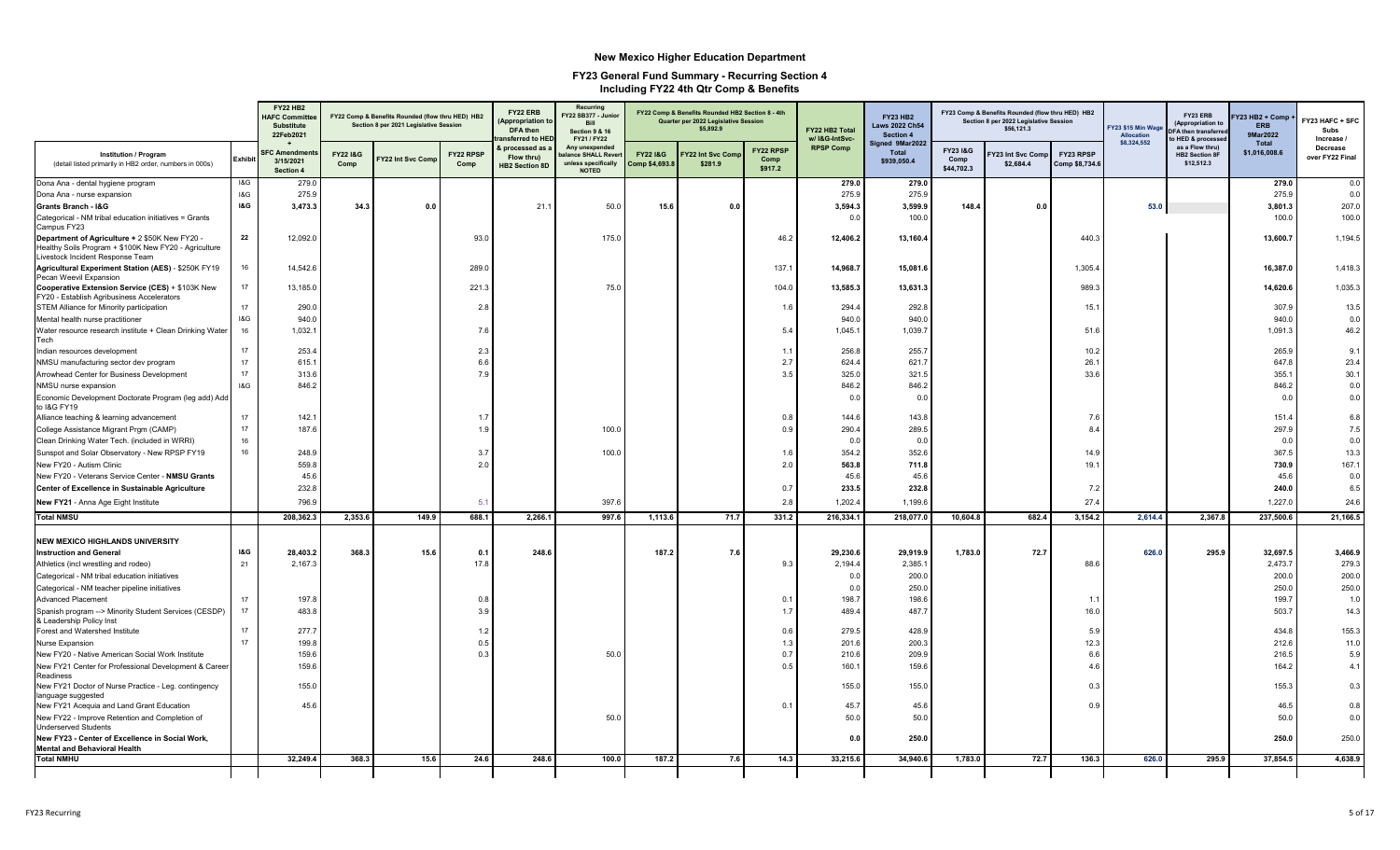|                                                                                                                                             |         | <b>FY22 HB2</b><br><b>HAFC Committe</b><br><b>Substitute</b><br>22Feb2021 |                             | FY22 Comp & Benefits Rounded (flow thru HED) HB2<br>Section 8 per 2021 Legislative Session |                   | FY22 ERB<br><b>Appropriation t</b><br><b>DFA</b> then<br>nsferred to HE | Recurring<br>FY22 SB377 - Junio<br>Rill<br><b>Section 9 &amp; 16</b><br>FY21 / FY22 |                                     | FY22 Comp & Benefits Rounded HB2 Section 8 - 4th<br>Quarter per 2022 Legislative Session<br>\$5,892.9 |                              | FY22 HB2 Total<br>w/ I&G-IntSvc- | <b>FY23 HB2</b><br><b>Laws 2022 Ch54</b><br>Section 4<br>Signed 9Mar2022 |                                | FY23 Comp & Benefits Rounded (flow thru HED) HB2<br>Section 8 per 2022 Legislative Session<br>\$56,121.3 |                            | FY23 \$15 Min Wag<br>Allocation<br>\$8,324,552 | FY23 ERB<br><b>Appropriation t</b><br><b>DFA then transfer</b><br>HED & processe | Y23 HB2 + Comp<br><b>ERB</b><br>9Mar2022<br>Total | FY23 HAFC + SFC<br>Subs<br>Increase / |
|---------------------------------------------------------------------------------------------------------------------------------------------|---------|---------------------------------------------------------------------------|-----------------------------|--------------------------------------------------------------------------------------------|-------------------|-------------------------------------------------------------------------|-------------------------------------------------------------------------------------|-------------------------------------|-------------------------------------------------------------------------------------------------------|------------------------------|----------------------------------|--------------------------------------------------------------------------|--------------------------------|----------------------------------------------------------------------------------------------------------|----------------------------|------------------------------------------------|----------------------------------------------------------------------------------|---------------------------------------------------|---------------------------------------|
| Institution / Program<br>(detail listed primarily in HB2 order, numbers in 000s)                                                            | Exhibit | <b>FC Amendme</b><br>3/15/2021<br>Section 4                               | <b>FY22 1&amp;G</b><br>Comp | Y22 Int Svc Comp                                                                           | FY22 RPSP<br>Comp | processed as<br>Flow thru)<br><b>HB2 Section 8D</b>                     | Any unexpended<br>alance SHALL Reve<br>unless specifically<br><b>NOTED</b>          | <b>FY221&amp;G</b><br>Comp \$4,693. | Y22 Int Svc Com<br>\$281.9                                                                            | FY22 RPSP<br>Comp<br>\$917.2 | <b>RPSP Comp</b>                 | <b>Total</b><br>\$939,050.4                                              | FY23 I&G<br>Comp<br>\$44,702.3 | Y23 Int Svc Comp<br>\$2,684.4                                                                            | FY23 RPSP<br>Comp \$8,734. |                                                | as a Flow thru)<br><b>HB2 Section 8F</b><br>\$12,512.3                           | \$1,016,008.6                                     | Decrease<br>over FY22 Final           |
| Dona Ana - dental hygiene program                                                                                                           | 1&G     | 279.0                                                                     |                             |                                                                                            |                   |                                                                         |                                                                                     |                                     |                                                                                                       |                              | 279.0                            | 279.0                                                                    |                                |                                                                                                          |                            |                                                |                                                                                  | 279.0                                             | 0.0                                   |
| Dona Ana - nurse expansion                                                                                                                  | I&G     | 275.9                                                                     |                             |                                                                                            |                   |                                                                         |                                                                                     |                                     |                                                                                                       |                              | 275.9                            | 275.9                                                                    |                                |                                                                                                          |                            |                                                |                                                                                  | 275.9                                             | 0.0                                   |
| Grants Branch - I&G                                                                                                                         | I&G     | 3,473.3                                                                   | 34.3                        | 0.0                                                                                        |                   | 21.1                                                                    | 50.0                                                                                | 15.6                                | 0.0                                                                                                   |                              | 3,594.3                          | 3,599.9                                                                  | 148.4                          | 0.0                                                                                                      |                            | 53.0                                           |                                                                                  | 3,801.3                                           | 207.0                                 |
| Categorical - NM tribal education initiatives = Grants<br>Campus FY23                                                                       |         |                                                                           |                             |                                                                                            |                   |                                                                         |                                                                                     |                                     |                                                                                                       |                              | 0.0                              | 100.0                                                                    |                                |                                                                                                          |                            |                                                |                                                                                  | 100.0                                             | 100.0                                 |
| Department of Agriculture + 2 \$50K New FY20 -<br>Healthy Soils Program + \$100K New FY20 - Agriculture<br>Livestock Incident Response Team | 22      | 12,092.0                                                                  |                             |                                                                                            | 93.0              |                                                                         | 175.0                                                                               |                                     |                                                                                                       | 46.2                         | 12,406.2                         | 13,160.4                                                                 |                                |                                                                                                          | 440.3                      |                                                |                                                                                  | 13,600.7                                          | 1,194.5                               |
| Agricultural Experiment Station (AES) - \$250K FY19<br>Pecan Weevil Expansion                                                               | 16      | 14,542.6                                                                  |                             |                                                                                            | 289.0             |                                                                         |                                                                                     |                                     |                                                                                                       | 137.1                        | 14,968.7                         | 15,081.6                                                                 |                                |                                                                                                          | 1,305.4                    |                                                |                                                                                  | 16,387.0                                          | 1,418.3                               |
| Cooperative Extension Service (CES) + \$103K New<br>FY20 - Establish Agribusiness Accelerators                                              | 17      | 13,185.0                                                                  |                             |                                                                                            | 221.3             |                                                                         | 75.0                                                                                |                                     |                                                                                                       | 104.0                        | 13,585.3                         | 13,631.3                                                                 |                                |                                                                                                          | 989.3                      |                                                |                                                                                  | 14,620.6                                          | 1,035.3                               |
| STEM Alliance for Minority participation                                                                                                    | 17      | 290.0                                                                     |                             |                                                                                            | 2.8               |                                                                         |                                                                                     |                                     |                                                                                                       | 1.6                          | 294.4                            | 292.8                                                                    |                                |                                                                                                          | 15.1                       |                                                |                                                                                  | 307.9                                             | 13.5                                  |
| Mental health nurse practitioner                                                                                                            | I&G     | 940.0                                                                     |                             |                                                                                            |                   |                                                                         |                                                                                     |                                     |                                                                                                       |                              | 940.0                            | 940.0                                                                    |                                |                                                                                                          |                            |                                                |                                                                                  | 940.0                                             | 0.0                                   |
| Water resource research institute + Clean Drinking Water<br>Tech                                                                            | 16      | 1,032.1                                                                   |                             |                                                                                            | 7.6               |                                                                         |                                                                                     |                                     |                                                                                                       | 5.4                          | 1.045.1                          | 1,039.7                                                                  |                                |                                                                                                          | 51.6                       |                                                |                                                                                  | 1.091.3                                           | 46.2                                  |
| Indian resources development                                                                                                                | 17      | 253.4                                                                     |                             |                                                                                            | 2.3               |                                                                         |                                                                                     |                                     |                                                                                                       | 1.1                          | 256.8                            | 255.7                                                                    |                                |                                                                                                          | 10.2                       |                                                |                                                                                  | 265.9                                             | 9.1                                   |
| NMSU manufacturing sector dev program                                                                                                       | 17      | 615.1                                                                     |                             |                                                                                            | 6.6               |                                                                         |                                                                                     |                                     |                                                                                                       | 2.7                          | 624.4                            | 621.7                                                                    |                                |                                                                                                          | 26.1                       |                                                |                                                                                  | 647.8                                             | 23.4                                  |
| Arrowhead Center for Business Development                                                                                                   | 17      | 313.6                                                                     |                             |                                                                                            | 7.9               |                                                                         |                                                                                     |                                     |                                                                                                       | 3.5                          | 325.0                            | 321.5                                                                    |                                |                                                                                                          | 33.6                       |                                                |                                                                                  | 355.1                                             | 30.1                                  |
| NMSU nurse expansion                                                                                                                        | 18G     | 846.2                                                                     |                             |                                                                                            |                   |                                                                         |                                                                                     |                                     |                                                                                                       |                              | 846.2                            | 846.2                                                                    |                                |                                                                                                          |                            |                                                |                                                                                  | 846.2                                             | 0.0                                   |
| Economic Development Doctorate Program (leg add) Add<br>to I&G FY19                                                                         |         |                                                                           |                             |                                                                                            |                   |                                                                         |                                                                                     |                                     |                                                                                                       |                              | 0.0                              | 0.0                                                                      |                                |                                                                                                          |                            |                                                |                                                                                  | 0.0                                               | 0.0                                   |
| Alliance teaching & learning advancement                                                                                                    | 17      | 142.1                                                                     |                             |                                                                                            | 1.7               |                                                                         |                                                                                     |                                     |                                                                                                       | 0.8                          | 144.6                            | 143.8                                                                    |                                |                                                                                                          | 7.6                        |                                                |                                                                                  | 151.4                                             | 6.8                                   |
| College Assistance Migrant Prgm (CAMP)                                                                                                      | 17      | 187.6                                                                     |                             |                                                                                            | 1.9               |                                                                         | 100.0                                                                               |                                     |                                                                                                       | 0.9                          | 290.4                            | 289.5                                                                    |                                |                                                                                                          | 8.4                        |                                                |                                                                                  | 297.9                                             | 7.5                                   |
| Clean Drinking Water Tech. (included in WRRI)                                                                                               | 16      |                                                                           |                             |                                                                                            |                   |                                                                         |                                                                                     |                                     |                                                                                                       |                              | 0.0                              | 0.0                                                                      |                                |                                                                                                          |                            |                                                |                                                                                  | 0.0                                               | 0.0                                   |
| Sunspot and Solar Observatory - New RPSP FY19                                                                                               | 16      | 248.9                                                                     |                             |                                                                                            | 3.7               |                                                                         | 100.0                                                                               |                                     |                                                                                                       | 1.6                          | 354.2                            | 352.6                                                                    |                                |                                                                                                          | 14.9                       |                                                |                                                                                  | 367.5                                             | 13.3                                  |
| New FY20 - Autism Clinic                                                                                                                    |         | 559.8                                                                     |                             |                                                                                            | 2.0               |                                                                         |                                                                                     |                                     |                                                                                                       | 2.0                          | 563.8                            | 711.8                                                                    |                                |                                                                                                          | 19.1                       |                                                |                                                                                  | 730.9                                             | 167.1                                 |
| New FY20 - Veterans Service Center - NMSU Grants                                                                                            |         | 45.6                                                                      |                             |                                                                                            |                   |                                                                         |                                                                                     |                                     |                                                                                                       |                              | 45.6                             | 45.6                                                                     |                                |                                                                                                          |                            |                                                |                                                                                  | 45.6                                              | 0.0                                   |
| Center of Excellence in Sustainable Agriculture                                                                                             |         | 232.8                                                                     |                             |                                                                                            |                   |                                                                         |                                                                                     |                                     |                                                                                                       | 0.7                          | 233.5                            | 232.8                                                                    |                                |                                                                                                          | 7.2                        |                                                |                                                                                  | 240.0                                             | 6.5                                   |
| New FY21 - Anna Age Eight Institute<br><b>Total NMSU</b>                                                                                    |         | 796.9<br>208,362.                                                         | 2,353.6                     | 149.9                                                                                      | $-5.$<br>688.1    | 2,266.1                                                                 | 397.6<br>997.6                                                                      | 1,113.6                             | 71.7                                                                                                  | 2.8<br>331.2                 | 1,202.4<br>216,334.1             | 1,199.6<br>218,077.0                                                     | 10,604.8                       | 682.4                                                                                                    | 27.4<br>3,154.2            | 2,614.4                                        | 2,367.8                                                                          | 1,227.0<br>237,500.6                              | 24.6<br>21,166.5                      |
|                                                                                                                                             |         |                                                                           |                             |                                                                                            |                   |                                                                         |                                                                                     |                                     |                                                                                                       |                              |                                  |                                                                          |                                |                                                                                                          |                            |                                                |                                                                                  |                                                   |                                       |
| <b>NEW MEXICO HIGHLANDS UNIVERSITY</b>                                                                                                      | I&G     | 28,403.2                                                                  | 368.3                       | 15.6                                                                                       | 0.1               | 248.6                                                                   |                                                                                     | 187.2                               | 7.6                                                                                                   |                              | 29,230.6                         | 29,919.9                                                                 | 1,783.0                        | 72.7                                                                                                     |                            | 626.0                                          | 295.9                                                                            | 32,697.5                                          | 3,466.9                               |
| <b>Instruction and General</b><br>Athletics (incl wrestling and rodeo)                                                                      | 21      | 2.167.3                                                                   |                             |                                                                                            | 17.8              |                                                                         |                                                                                     |                                     |                                                                                                       | 9.3                          | 2.194.4                          | 2.385.1                                                                  |                                |                                                                                                          | 88.6                       |                                                |                                                                                  | 2,473.7                                           | 279.3                                 |
| Categorical - NM tribal education initiatives                                                                                               |         |                                                                           |                             |                                                                                            |                   |                                                                         |                                                                                     |                                     |                                                                                                       |                              | 0.0                              | 200.0                                                                    |                                |                                                                                                          |                            |                                                |                                                                                  | 200.0                                             | 200.0                                 |
| Categorical - NM teacher pipeline initiatives                                                                                               |         |                                                                           |                             |                                                                                            |                   |                                                                         |                                                                                     |                                     |                                                                                                       |                              | 0.0                              | 250.0                                                                    |                                |                                                                                                          |                            |                                                |                                                                                  | 250.0                                             | 250.0                                 |
| <b>Advanced Placement</b>                                                                                                                   | 17      | 197.8                                                                     |                             |                                                                                            | 0.8               |                                                                         |                                                                                     |                                     |                                                                                                       | 0.1                          | 198.7                            | 198.6                                                                    |                                |                                                                                                          | 1.1                        |                                                |                                                                                  | 199.7                                             | 1.0                                   |
| Spanish program -- > Minority Student Services (CESDP)<br>& Leadership Policy Inst                                                          | 17      | 483.8                                                                     |                             |                                                                                            | 3.9               |                                                                         |                                                                                     |                                     |                                                                                                       | 1.7                          | 489.4                            | 487.7                                                                    |                                |                                                                                                          | 16.0                       |                                                |                                                                                  | 503.7                                             | 14.3                                  |
| Forest and Watershed Institute                                                                                                              | 17      | 277.7                                                                     |                             |                                                                                            | 1.2               |                                                                         |                                                                                     |                                     |                                                                                                       | 0.6                          | 279.5                            | 428.9                                                                    |                                |                                                                                                          | 5.9                        |                                                |                                                                                  | 434.8                                             | 155.3                                 |
| Nurse Expansion                                                                                                                             | 17      | 199.8                                                                     |                             |                                                                                            | 0.5               |                                                                         |                                                                                     |                                     |                                                                                                       | 1.3                          | 201.6                            | 200.3                                                                    |                                |                                                                                                          | 12.3                       |                                                |                                                                                  | 212.6                                             | 11.0                                  |
| New FY20 - Native American Social Work Institute                                                                                            |         | 159.6                                                                     |                             |                                                                                            | 0.3               |                                                                         | 50.0                                                                                |                                     |                                                                                                       | 0.7                          | 210.6                            | 209.9                                                                    |                                |                                                                                                          | 6.                         |                                                |                                                                                  | 216.5                                             | 5.9                                   |
| New FY21 Center for Professional Development & Career<br><b>Readiness</b>                                                                   |         | 159.6                                                                     |                             |                                                                                            |                   |                                                                         |                                                                                     |                                     |                                                                                                       | 0.5                          | 160.1                            | 159.6                                                                    |                                |                                                                                                          | 4.6                        |                                                |                                                                                  | 164.2                                             | 4.1                                   |
| New FY21 Doctor of Nurse Practice - Leg. contingency<br>language suggested                                                                  |         | 155.0                                                                     |                             |                                                                                            |                   |                                                                         |                                                                                     |                                     |                                                                                                       |                              | 155.0                            | 155.0                                                                    |                                |                                                                                                          | 0.3                        |                                                |                                                                                  | 155.3                                             | 0.3                                   |
| New FY21 Acequia and Land Grant Education                                                                                                   |         | 45.6                                                                      |                             |                                                                                            |                   |                                                                         |                                                                                     |                                     |                                                                                                       | 0.1                          | 45.7                             | 45.6                                                                     |                                |                                                                                                          | 0.9                        |                                                |                                                                                  | 46.5                                              | 0.8                                   |
| New FY22 - Improve Retention and Completion of<br><b>Underserved Students</b>                                                               |         |                                                                           |                             |                                                                                            |                   |                                                                         | 50.0                                                                                |                                     |                                                                                                       |                              | 50.0                             | 50.0                                                                     |                                |                                                                                                          |                            |                                                |                                                                                  | 50.0                                              | 0.0                                   |
| New FY23 - Center of Excellence in Social Work,<br><b>Mental and Behavioral Health</b>                                                      |         |                                                                           |                             |                                                                                            |                   |                                                                         |                                                                                     |                                     |                                                                                                       |                              | 0.0                              | 250.0                                                                    |                                |                                                                                                          |                            |                                                |                                                                                  | 250.0                                             | 250.0                                 |
| <b>Total NMHU</b>                                                                                                                           |         | 32.249.4                                                                  | 368.3                       | 15.6                                                                                       | 24.6              | 248.6                                                                   | 100.0                                                                               | 187.2                               | 7.6                                                                                                   | 14.3                         | 33,215.6                         | 34.940.6                                                                 | 1,783.0                        | 72.7                                                                                                     | 136.3                      | 626.0                                          | 295.9                                                                            | 37,854.5                                          | 4.638.9                               |
|                                                                                                                                             |         |                                                                           |                             |                                                                                            |                   |                                                                         |                                                                                     |                                     |                                                                                                       |                              |                                  |                                                                          |                                |                                                                                                          |                            |                                                |                                                                                  |                                                   |                                       |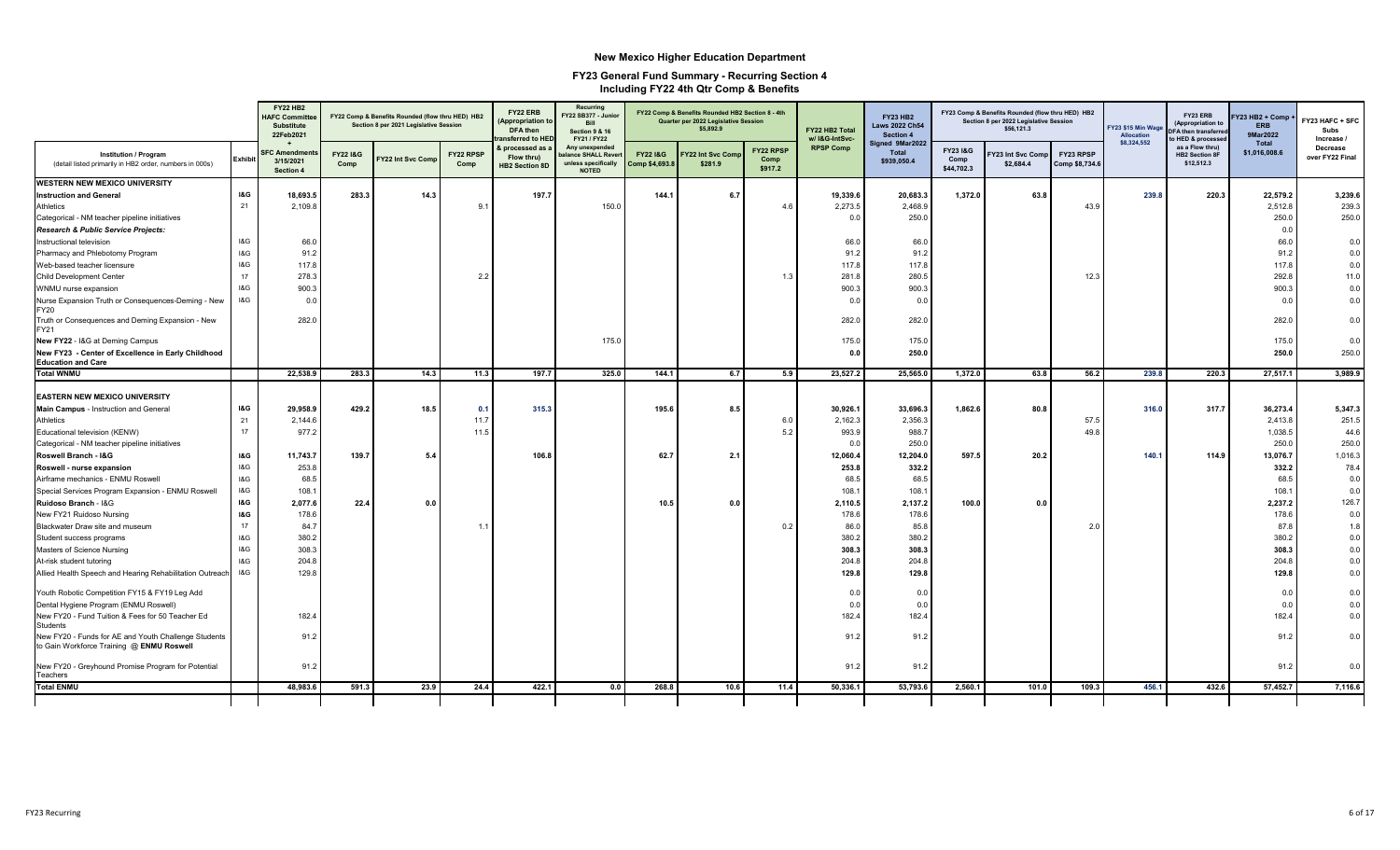|                                                                                                   |                | <b>FY22 HB2</b><br><b>HAFC Committee</b><br><b>Substitute</b><br>22Feb2021 |                             | FY22 Comp & Benefits Rounded (flow thru HED) HB2<br>Section 8 per 2021 Legislative Session |                   | FY22 ERB<br><b>Appropriation to</b><br><b>DFA</b> then<br>ansferred to HE | Recurring<br>FY22 SB377 - Junio<br>Bill<br><b>Section 9 &amp; 16</b><br>FY21 / FY22 |                                      | FY22 Comp & Benefits Rounded HB2 Section 8 - 4th<br>Quarter per 2022 Legislative Session<br>\$5,892.9 |                                     | FY22 HB2 Total<br>w/ I&G-IntSvc- | <b>FY23 HB2</b><br><b>Laws 2022 Ch54</b><br>Section 4 |                                           | FY23 Comp & Benefits Rounded (flow thru HED) HB2<br>Section 8 per 2022 Legislative Session<br>\$56,121.3 |                             | FY23 \$15 Min Wage<br><b>Allocation</b> | FY23 ERB<br>(Appropriation to<br>FA then transferred<br>HED & processe | Y23 HB2 + Comp<br><b>ERB</b><br>9Mar2022 | FY23 HAFC + SFC<br>Subs<br>Increase / |
|---------------------------------------------------------------------------------------------------|----------------|----------------------------------------------------------------------------|-----------------------------|--------------------------------------------------------------------------------------------|-------------------|---------------------------------------------------------------------------|-------------------------------------------------------------------------------------|--------------------------------------|-------------------------------------------------------------------------------------------------------|-------------------------------------|----------------------------------|-------------------------------------------------------|-------------------------------------------|----------------------------------------------------------------------------------------------------------|-----------------------------|-----------------------------------------|------------------------------------------------------------------------|------------------------------------------|---------------------------------------|
| <b>Institution / Program</b><br>(detail listed primarily in HB2 order, numbers in 000s)           | Exhibi         | <b>FC Amendment</b><br>3/15/2021<br>Section 4                              | <b>FY22 1&amp;G</b><br>Comp | Y22 Int Svc Com                                                                            | FY22 RPSP<br>Comp | & processed as<br>Flow thru)<br><b>HB2 Section 8D</b>                     | Any unexpended<br>lance SHALL Reve<br>unless specifically<br><b>NOTED</b>           | <b>FY221&amp;G</b><br>Comp \$4,693.8 | Y22 Int Svc Com<br>\$281.9                                                                            | <b>FY22 RPSP</b><br>Comp<br>\$917.2 | <b>RPSP Comp</b>                 | Signed 9Mar2022<br><b>Total</b><br>\$939,050.4        | <b>FY23 I&amp;G</b><br>Comp<br>\$44,702.3 | Y23 Int Svc Comi<br>\$2,684.4                                                                            | FY23 RPSP<br>Comp \$8,734.6 | \$8,324,552                             | as a Flow thru)<br><b>HB2 Section 8F</b><br>\$12,512.3                 | Total<br>\$1,016,008.6                   | Decrease<br>over FY22 Final           |
| <b>WESTERN NEW MEXICO UNIVERSITY</b>                                                              |                |                                                                            |                             |                                                                                            |                   |                                                                           |                                                                                     |                                      |                                                                                                       |                                     |                                  |                                                       |                                           |                                                                                                          |                             |                                         |                                                                        |                                          |                                       |
| <b>Instruction and General</b>                                                                    | <b>I&amp;G</b> | 18,693.5                                                                   | 283.3                       | 14.3                                                                                       |                   | 197.7                                                                     |                                                                                     | 144.1                                | 6.7                                                                                                   |                                     | 19,339.6                         | 20,683.3                                              | 1,372.0                                   | 63.8                                                                                                     |                             | 239.8                                   | 220.3                                                                  | 22,579.2                                 | 3,239.6                               |
| Athletics                                                                                         | 21             | 2,109.8                                                                    |                             |                                                                                            | 9.                |                                                                           | 150.0                                                                               |                                      |                                                                                                       | 4.6                                 | 2,273.5                          | 2,468.9                                               |                                           |                                                                                                          | 43.9                        |                                         |                                                                        | 2,512.8                                  | 239.3                                 |
| Categorical - NM teacher pipeline initiatives                                                     |                |                                                                            |                             |                                                                                            |                   |                                                                           |                                                                                     |                                      |                                                                                                       |                                     | 0.0                              | 250.0                                                 |                                           |                                                                                                          |                             |                                         |                                                                        | 250.0                                    | 250.0                                 |
| Research & Public Service Projects:                                                               |                |                                                                            |                             |                                                                                            |                   |                                                                           |                                                                                     |                                      |                                                                                                       |                                     |                                  |                                                       |                                           |                                                                                                          |                             |                                         |                                                                        | 0.0                                      |                                       |
| Instructional television                                                                          | I&G            | 66.0                                                                       |                             |                                                                                            |                   |                                                                           |                                                                                     |                                      |                                                                                                       |                                     | 66.0                             | 66.0                                                  |                                           |                                                                                                          |                             |                                         |                                                                        | 66.0                                     | 0.0                                   |
| Pharmacy and Phlebotomy Program                                                                   | <b>1&amp;G</b> | 91.2                                                                       |                             |                                                                                            |                   |                                                                           |                                                                                     |                                      |                                                                                                       |                                     | 91.2                             | 91.2                                                  |                                           |                                                                                                          |                             |                                         |                                                                        | 91.2                                     | 0.0                                   |
| Web-based teacher licensure                                                                       | 18G            | 117.8                                                                      |                             |                                                                                            |                   |                                                                           |                                                                                     |                                      |                                                                                                       |                                     | 117.8                            | 117.8                                                 |                                           |                                                                                                          |                             |                                         |                                                                        | 117.8                                    | 0.0                                   |
| Child Development Center                                                                          | 17             | 278.3                                                                      |                             |                                                                                            | 2.2               |                                                                           |                                                                                     |                                      |                                                                                                       | 1.3                                 | 281.8                            | 280.5                                                 |                                           |                                                                                                          | 12.3                        |                                         |                                                                        | 292.8                                    | 11.0                                  |
| WNMU nurse expansion                                                                              | 18G            | 900.3                                                                      |                             |                                                                                            |                   |                                                                           |                                                                                     |                                      |                                                                                                       |                                     | 900.3                            | 900.3                                                 |                                           |                                                                                                          |                             |                                         |                                                                        | 900.3                                    | 0.0                                   |
| Nurse Expansion Truth or Consequences-Deming - New<br><b>FY20</b>                                 | I&G            | 0.0                                                                        |                             |                                                                                            |                   |                                                                           |                                                                                     |                                      |                                                                                                       |                                     | 0.0                              | 0.0                                                   |                                           |                                                                                                          |                             |                                         |                                                                        | 0.0                                      | 0.0                                   |
| Truth or Consequences and Deming Expansion - New<br>FY21                                          |                | 282.0                                                                      |                             |                                                                                            |                   |                                                                           |                                                                                     |                                      |                                                                                                       |                                     | 282.0                            | 282.0                                                 |                                           |                                                                                                          |                             |                                         |                                                                        | 282.0                                    | 0.0                                   |
| New FY22 - I&G at Deming Campus                                                                   |                |                                                                            |                             |                                                                                            |                   |                                                                           | 175.0                                                                               |                                      |                                                                                                       |                                     | 175.0                            | 175.0                                                 |                                           |                                                                                                          |                             |                                         |                                                                        | 175.0                                    | 0.0                                   |
| New FY23 - Center of Excellence in Early Childhood<br><b>Education and Care</b>                   |                |                                                                            |                             |                                                                                            |                   |                                                                           |                                                                                     |                                      |                                                                                                       |                                     | 0.0                              | 250.0                                                 |                                           |                                                                                                          |                             |                                         |                                                                        | 250.0                                    | 250.0                                 |
| <b>Total WNMU</b>                                                                                 |                | 22,538.9                                                                   | 283.3                       | 14.3                                                                                       | 11.3              | 197.7                                                                     | 325.0                                                                               | 144.1                                | 6.7                                                                                                   | 5.9                                 | 23,527.2                         | 25,565.0                                              | 1,372.0                                   | 63.8                                                                                                     | 56.2                        | 239.8                                   | 220.3                                                                  | 27,517.1                                 | 3,989.9                               |
| <b>EASTERN NEW MEXICO UNIVERSITY</b>                                                              |                |                                                                            |                             |                                                                                            |                   |                                                                           |                                                                                     |                                      |                                                                                                       |                                     |                                  |                                                       |                                           |                                                                                                          |                             |                                         |                                                                        |                                          |                                       |
| Main Campus - Instruction and General                                                             | <b>I&amp;G</b> | 29,958.9                                                                   | 429.2                       | 18.5                                                                                       | 0.1               | 315.3                                                                     |                                                                                     | 195.6                                | 8.5                                                                                                   |                                     | 30,926.1                         | 33,696.3                                              | 1,862.6                                   | 80.8                                                                                                     |                             | 316.0                                   | 317.7                                                                  | 36,273.4                                 | 5,347.3                               |
| Athletics                                                                                         | 21             | 2,144.6                                                                    |                             |                                                                                            | 11.7              |                                                                           |                                                                                     |                                      |                                                                                                       | 6.0                                 | 2,162.3                          | 2,356.3                                               |                                           |                                                                                                          | 57.5                        |                                         |                                                                        | 2,413.8                                  | 251.5                                 |
| Educational television (KENW)                                                                     | 17             | 977.2                                                                      |                             |                                                                                            | 11.5              |                                                                           |                                                                                     |                                      |                                                                                                       | 5.2                                 | 993.9                            | 988.7                                                 |                                           |                                                                                                          | 49.8                        |                                         |                                                                        | 1,038.5                                  | 44.6                                  |
| Categorical - NM teacher pipeline initiatives                                                     |                |                                                                            |                             |                                                                                            |                   |                                                                           |                                                                                     |                                      |                                                                                                       |                                     | 0.0                              | 250.0                                                 |                                           |                                                                                                          |                             |                                         |                                                                        | 250.0                                    | 250.0                                 |
| Roswell Branch - I&G                                                                              | <b>I&amp;G</b> | 11,743.7                                                                   | 139.7                       | 5.4                                                                                        |                   | 106.8                                                                     |                                                                                     | 62.7                                 | 2.1                                                                                                   |                                     | 12,060.4                         | 12,204.0                                              | 597.5                                     | 20.2                                                                                                     |                             | 140.1                                   | 114.9                                                                  | 13,076.7                                 | 1,016.3                               |
| Roswell - nurse expansion                                                                         | 18G            | 253.8                                                                      |                             |                                                                                            |                   |                                                                           |                                                                                     |                                      |                                                                                                       |                                     | 253.8                            | 332.2                                                 |                                           |                                                                                                          |                             |                                         |                                                                        | 332.2                                    | 78.4                                  |
| Airframe mechanics - ENMU Roswell                                                                 | 18G            | 68.5                                                                       |                             |                                                                                            |                   |                                                                           |                                                                                     |                                      |                                                                                                       |                                     | 68.5                             | 68.5                                                  |                                           |                                                                                                          |                             |                                         |                                                                        | 68.                                      | 0.0                                   |
| Special Services Program Expansion - ENMU Roswell                                                 | 18G            | 108.1                                                                      |                             |                                                                                            |                   |                                                                           |                                                                                     |                                      |                                                                                                       |                                     | 108.1                            | 108.1                                                 |                                           |                                                                                                          |                             |                                         |                                                                        | 108.7                                    | 0.0                                   |
| Ruidoso Branch - I&G                                                                              | <b>I&amp;G</b> | 2,077.6                                                                    | 22.4                        | 0.0                                                                                        |                   |                                                                           |                                                                                     | 10.5                                 | 0.0                                                                                                   |                                     | 2,110.5                          | 2,137.2                                               | 100.0                                     | 0.0                                                                                                      |                             |                                         |                                                                        | 2,237.2                                  | 126.7                                 |
| New FY21 Ruidoso Nursing                                                                          | <b>I&amp;G</b> | 178.6                                                                      |                             |                                                                                            |                   |                                                                           |                                                                                     |                                      |                                                                                                       |                                     | 178.6                            | 178.6                                                 |                                           |                                                                                                          |                             |                                         |                                                                        | 178.6                                    | 0.0                                   |
| Blackwater Draw site and museum                                                                   | 17             | 84.7                                                                       |                             |                                                                                            | $\overline{1}$    |                                                                           |                                                                                     |                                      |                                                                                                       | 0.2                                 | 86.0                             | 85.8                                                  |                                           |                                                                                                          | 2.0                         |                                         |                                                                        | 87.8                                     | 1.8                                   |
| Student success programs                                                                          | 18G            | 380.2                                                                      |                             |                                                                                            |                   |                                                                           |                                                                                     |                                      |                                                                                                       |                                     | 380.2                            | 380.2                                                 |                                           |                                                                                                          |                             |                                         |                                                                        | 380.2                                    | 0.0                                   |
| Masters of Science Nursing                                                                        | 18G            | 308.3                                                                      |                             |                                                                                            |                   |                                                                           |                                                                                     |                                      |                                                                                                       |                                     | 308.3                            | 308.3                                                 |                                           |                                                                                                          |                             |                                         |                                                                        | 308.3                                    | 0.0                                   |
| At-risk student tutoring                                                                          | 18G            | 204.8                                                                      |                             |                                                                                            |                   |                                                                           |                                                                                     |                                      |                                                                                                       |                                     | 204.8                            | 204.8                                                 |                                           |                                                                                                          |                             |                                         |                                                                        | 204.8                                    | 0.0                                   |
| Allied Health Speech and Hearing Rehabilitation Outreach                                          | I&G            | 129.8                                                                      |                             |                                                                                            |                   |                                                                           |                                                                                     |                                      |                                                                                                       |                                     | 129.8                            | 129.8                                                 |                                           |                                                                                                          |                             |                                         |                                                                        | 129.8                                    | 0.0                                   |
| Youth Robotic Competition FY15 & FY19 Leg Add                                                     |                |                                                                            |                             |                                                                                            |                   |                                                                           |                                                                                     |                                      |                                                                                                       |                                     | 0.0                              | 0.0                                                   |                                           |                                                                                                          |                             |                                         |                                                                        | 0.0                                      | 0.0                                   |
| Dental Hygiene Program (ENMU Roswell)                                                             |                |                                                                            |                             |                                                                                            |                   |                                                                           |                                                                                     |                                      |                                                                                                       |                                     | 0.0                              | 0.0                                                   |                                           |                                                                                                          |                             |                                         |                                                                        | 0.0                                      | 0.0                                   |
| New FY20 - Fund Tuition & Fees for 50 Teacher Ed<br><b>Students</b>                               |                | 182.4                                                                      |                             |                                                                                            |                   |                                                                           |                                                                                     |                                      |                                                                                                       |                                     | 182.4                            | 182.4                                                 |                                           |                                                                                                          |                             |                                         |                                                                        | 182.4                                    | 0.0                                   |
| New FY20 - Funds for AE and Youth Challenge Students<br>to Gain Workforce Training @ ENMU Roswell |                | 91.2                                                                       |                             |                                                                                            |                   |                                                                           |                                                                                     |                                      |                                                                                                       |                                     | 91.2                             | 91.2                                                  |                                           |                                                                                                          |                             |                                         |                                                                        | 91.2                                     | 0.0                                   |
| New FY20 - Greyhound Promise Program for Potential<br>Teachers                                    |                | 91.2                                                                       |                             |                                                                                            |                   |                                                                           |                                                                                     |                                      |                                                                                                       |                                     | 91.2                             | 91.2                                                  |                                           |                                                                                                          |                             |                                         |                                                                        | 91.2                                     | 0.0                                   |
| <b>Total ENMU</b>                                                                                 |                | 48,983.6                                                                   | 591.3                       | 23.9                                                                                       | 24.4              | 422.1                                                                     | 0.0                                                                                 | 268.8                                | 10.6                                                                                                  | 11.4                                | 50,336.1                         | 53,793.6                                              | 2,560.1                                   | 101.0                                                                                                    | 109.3                       | 456.1                                   | 432.6                                                                  | 57,452.7                                 | 7,116.6                               |
|                                                                                                   |                |                                                                            |                             |                                                                                            |                   |                                                                           |                                                                                     |                                      |                                                                                                       |                                     |                                  |                                                       |                                           |                                                                                                          |                             |                                         |                                                                        |                                          |                                       |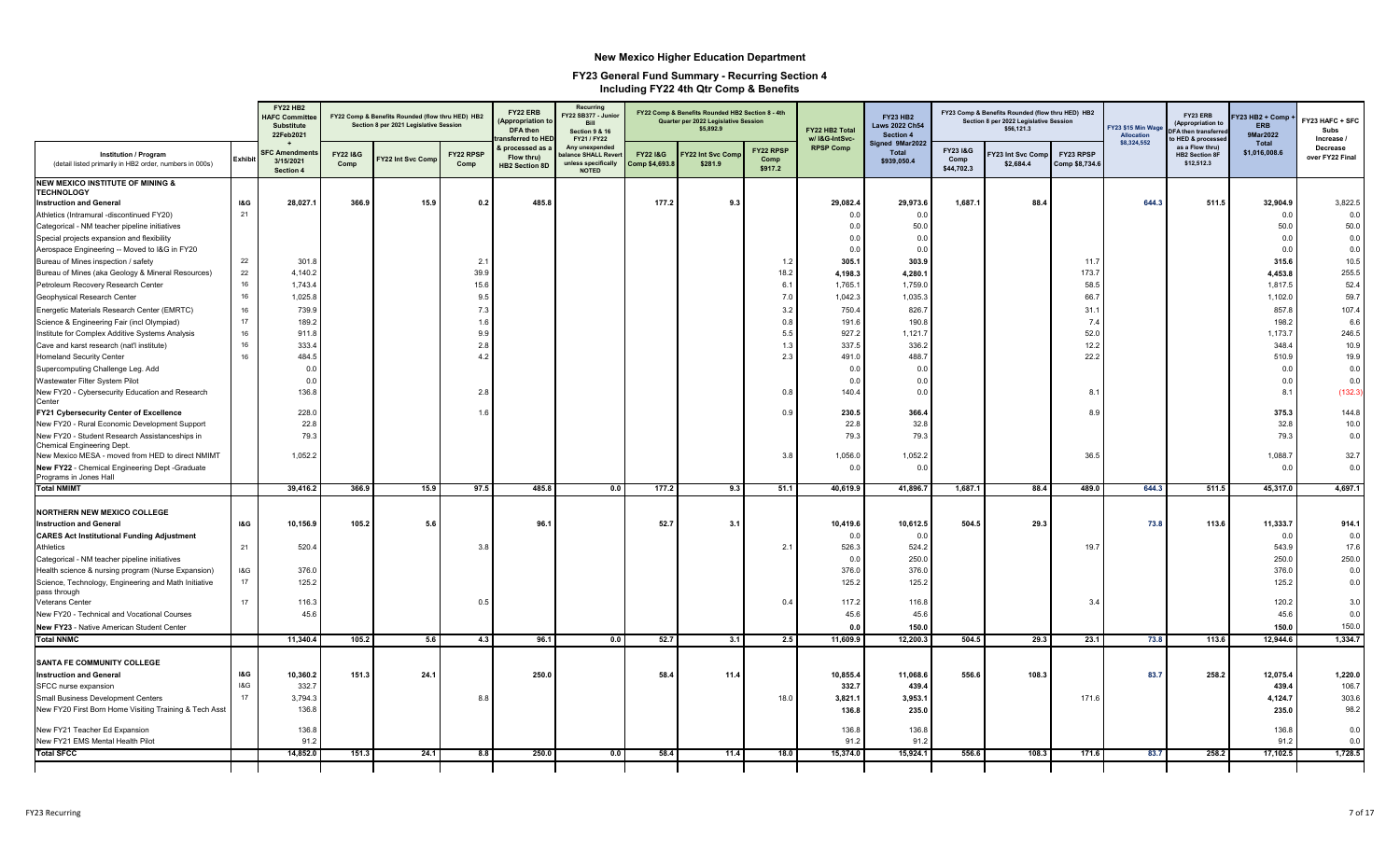|                                                                                          |                | <b>FY22 HB2</b><br><b>HAFC Committee</b><br><b>Substitute</b><br>22Feb2021 |                             | FY22 Comp & Benefits Rounded (flow thru HED) HB2<br>Section 8 per 2021 Legislative Session |                          | FY22 ERB<br><b>Appropriation 1</b><br>DFA then<br>ansferred to HEI | Recurring<br>FY22 SB377 - Junior<br><b>Bill</b><br>Section 9 & 16<br>FY21 / FY22 |                                     | FY22 Comp & Benefits Rounded HB2 Section 8 - 4th<br>Quarter per 2022 Legislative Session<br>\$5,892.9 |                                     | FY22 HB2 Total<br>w/ I&G-IntSvc- | <b>FY23 HB2</b><br><b>Laws 2022 Ch54</b><br>Section 4 |                                | FY23 Comp & Benefits Rounded (flow thru HED) HB2<br>Section 8 per 2022 Legislative Session<br>\$56,121.3 |                             | Y23 \$15 Min Wago<br>Allocation | FY23 ERB<br>(Appropriation to<br><b>DFA then transferr</b><br>o HED & processe | Y23 HB2 + Comp<br>ERB<br>9Mar2022 | FY23 HAFC + SFC<br>Subs<br>Increase / |
|------------------------------------------------------------------------------------------|----------------|----------------------------------------------------------------------------|-----------------------------|--------------------------------------------------------------------------------------------|--------------------------|--------------------------------------------------------------------|----------------------------------------------------------------------------------|-------------------------------------|-------------------------------------------------------------------------------------------------------|-------------------------------------|----------------------------------|-------------------------------------------------------|--------------------------------|----------------------------------------------------------------------------------------------------------|-----------------------------|---------------------------------|--------------------------------------------------------------------------------|-----------------------------------|---------------------------------------|
| <b>Institution / Program</b><br>(detail listed primarily in HB2 order, numbers in 000s)  | <b>Exhibit</b> | <b>SFC Amendmen</b><br>3/15/2021<br><b>Section 4</b>                       | <b>FY22 1&amp;G</b><br>Comp | Y22 Int Svc Comp                                                                           | <b>FY22 RPSP</b><br>Comp | & processed as<br>Flow thru)<br><b>HB2 Section 8D</b>              | Any unexpended<br>alance SHALL Rever<br>unless specifically<br><b>NOTED</b>      | <b>FY221&amp;G</b><br>Comp \$4,693. | Y22 Int Svc Com<br>\$281.9                                                                            | <b>FY22 RPSP</b><br>Comp<br>\$917.2 | <b>RPSP Comp</b>                 | Signed 9Mar2022<br><b>Total</b><br>\$939,050.4        | FY23 I&G<br>Comp<br>\$44,702.3 | Y23 Int Svc Comp<br>\$2,684.4                                                                            | FY23 RPSP<br>Comp \$8,734.6 | \$8,324,552                     | as a Flow thru)<br><b>HB2 Section 8F</b><br>\$12,512.3                         | <b>Total</b><br>\$1,016,008.6     | Decrease<br>over FY22 Final           |
| <b>NEW MEXICO INSTITUTE OF MINING &amp;</b><br><b>TECHNOLOGY</b>                         |                |                                                                            |                             |                                                                                            |                          |                                                                    |                                                                                  |                                     |                                                                                                       |                                     |                                  |                                                       |                                |                                                                                                          |                             |                                 |                                                                                |                                   |                                       |
| <b>Instruction and General</b>                                                           | <b>I&amp;G</b> | 28,027.1                                                                   | 366.9                       | 15.9                                                                                       | 0.2                      | 485.8                                                              |                                                                                  | 177.2                               | 9.3                                                                                                   |                                     | 29,082.4                         | 29,973.6                                              | 1,687.1                        | 88.4                                                                                                     |                             | 644.3                           | 511.5                                                                          | 32,904.9                          | 3,822.5                               |
| Athletics (Intramural -discontinued FY20)                                                | 21             |                                                                            |                             |                                                                                            |                          |                                                                    |                                                                                  |                                     |                                                                                                       |                                     | 0.0                              | 0.0                                                   |                                |                                                                                                          |                             |                                 |                                                                                | 0.0                               | 0.0                                   |
| Categorical - NM teacher pipeline initiatives                                            |                |                                                                            |                             |                                                                                            |                          |                                                                    |                                                                                  |                                     |                                                                                                       |                                     | 0.0                              | 50.0                                                  |                                |                                                                                                          |                             |                                 |                                                                                | 50.0                              | 50.0                                  |
| Special projects expansion and flexibility                                               |                |                                                                            |                             |                                                                                            |                          |                                                                    |                                                                                  |                                     |                                                                                                       |                                     | 0.0                              | 0.0                                                   |                                |                                                                                                          |                             |                                 |                                                                                | 0.0                               | 0.0                                   |
| Aerospace Engineering -- Moved to I&G in FY20                                            |                |                                                                            |                             |                                                                                            |                          |                                                                    |                                                                                  |                                     |                                                                                                       |                                     | 0.0                              | 0.0                                                   |                                |                                                                                                          |                             |                                 |                                                                                | 0.0                               | 0.0                                   |
| Bureau of Mines inspection / safety                                                      | 22             | 301.8                                                                      |                             |                                                                                            | 2.1                      |                                                                    |                                                                                  |                                     |                                                                                                       | 1.2                                 | 305.1                            | 303.9                                                 |                                |                                                                                                          | 11.7                        |                                 |                                                                                | 315.6                             | 10.5                                  |
| Bureau of Mines (aka Geology & Mineral Resources)                                        | 22             | 4,140.2                                                                    |                             |                                                                                            | 39.9                     |                                                                    |                                                                                  |                                     |                                                                                                       | 18.2                                | 4,198.3                          | 4,280.1                                               |                                |                                                                                                          | 173.7                       |                                 |                                                                                | 4,453.8                           | 255.5                                 |
| Petroleum Recovery Research Center                                                       | 16             | 1,743.4                                                                    |                             |                                                                                            | 15.6                     |                                                                    |                                                                                  |                                     |                                                                                                       | 6.1                                 | 1,765.                           | 1,759.0                                               |                                |                                                                                                          | 58.5                        |                                 |                                                                                | 1,817.5                           | 52.4                                  |
| Geophysical Research Center                                                              | 16             | 1,025.8                                                                    |                             |                                                                                            | 9.5                      |                                                                    |                                                                                  |                                     |                                                                                                       | 7.0                                 | 1,042.3                          | 1,035.3                                               |                                |                                                                                                          | 66.7                        |                                 |                                                                                | 1,102.0                           | 59.7                                  |
| Energetic Materials Research Center (EMRTC)                                              | 16             | 739.9                                                                      |                             |                                                                                            | 7.3                      |                                                                    |                                                                                  |                                     |                                                                                                       | 3.2                                 | 750.4                            | 826.7                                                 |                                |                                                                                                          | 31.1                        |                                 |                                                                                | 857.8                             | 107.4                                 |
| Science & Engineering Fair (incl Olympiad)                                               | 17             | 189.2                                                                      |                             |                                                                                            | 1.6                      |                                                                    |                                                                                  |                                     |                                                                                                       | 0.8                                 | 191.6                            | 190.8                                                 |                                |                                                                                                          | 7.4                         |                                 |                                                                                | 198.2                             | 6.6                                   |
| Institute for Complex Additive Systems Analysis                                          | 16             | 911.8                                                                      |                             |                                                                                            | 9.9                      |                                                                    |                                                                                  |                                     |                                                                                                       | 5.5                                 | 927.2                            | 1,121.7                                               |                                |                                                                                                          | 52.0                        |                                 |                                                                                | 1,173.7                           | 246.5                                 |
| Cave and karst research (nat'l institute)                                                | 16             | 333.4                                                                      |                             |                                                                                            | 2.8                      |                                                                    |                                                                                  |                                     |                                                                                                       | 1.3                                 | 337.5                            | 336.2                                                 |                                |                                                                                                          | 12.2                        |                                 |                                                                                | 348.4                             | 10.9                                  |
| <b>Homeland Security Center</b>                                                          | 16             | 484.5                                                                      |                             |                                                                                            | 4.2                      |                                                                    |                                                                                  |                                     |                                                                                                       | 2.3                                 | 491.0                            | 488.7                                                 |                                |                                                                                                          | 22.2                        |                                 |                                                                                | 510.9                             | 19.9                                  |
| Supercomputing Challenge Leg. Add                                                        |                | 0.0                                                                        |                             |                                                                                            |                          |                                                                    |                                                                                  |                                     |                                                                                                       |                                     | 0.0                              | 0.0                                                   |                                |                                                                                                          |                             |                                 |                                                                                | 0.0                               | 0.0                                   |
| Wastewater Filter System Pilot                                                           |                | 0.0                                                                        |                             |                                                                                            |                          |                                                                    |                                                                                  |                                     |                                                                                                       |                                     | 0.0                              | 0.0                                                   |                                |                                                                                                          |                             |                                 |                                                                                | 0.0                               | 0.0                                   |
| New FY20 - Cybersecurity Education and Research<br>Center                                |                | 136.8                                                                      |                             |                                                                                            | 2.8                      |                                                                    |                                                                                  |                                     |                                                                                                       | 0.8                                 | 140.4                            | 0.0                                                   |                                |                                                                                                          | 8.                          |                                 |                                                                                | 8.1                               | (132.3)                               |
| FY21 Cybersecurity Center of Excellence                                                  |                | 228.0                                                                      |                             |                                                                                            | 1.6                      |                                                                    |                                                                                  |                                     |                                                                                                       | 0.9                                 | 230.5                            | 366.4                                                 |                                |                                                                                                          | 8.9                         |                                 |                                                                                | 375.3                             | 144.8                                 |
| New FY20 - Rural Economic Development Support                                            |                | 22.8                                                                       |                             |                                                                                            |                          |                                                                    |                                                                                  |                                     |                                                                                                       |                                     | 22.8                             | 32.8                                                  |                                |                                                                                                          |                             |                                 |                                                                                | 32.8                              | 10.0                                  |
| New FY20 - Student Research Assistanceships in<br>Chemical Engineering Dept.             |                | 79.3                                                                       |                             |                                                                                            |                          |                                                                    |                                                                                  |                                     |                                                                                                       |                                     | 79.3                             | 79.3                                                  |                                |                                                                                                          |                             |                                 |                                                                                | 79.3                              | 0.0                                   |
| New Mexico MESA - moved from HED to direct NMIMT                                         |                | 1,052.2                                                                    |                             |                                                                                            |                          |                                                                    |                                                                                  |                                     |                                                                                                       | 3.8                                 | 1,056.0                          | 1,052.2                                               |                                |                                                                                                          | 36.5                        |                                 |                                                                                | 1,088.7                           | 32.7                                  |
| New FY22 - Chemical Engineering Dept - Graduate<br>Programs in Jones Hall<br>Total NMIMT |                |                                                                            |                             |                                                                                            |                          |                                                                    |                                                                                  |                                     |                                                                                                       |                                     | 0.0                              | 0.0                                                   |                                |                                                                                                          |                             |                                 |                                                                                | 0.0                               | 0.0                                   |
|                                                                                          |                | 39,416.2                                                                   | 366.9                       | 15.9                                                                                       | 97.5                     | 485.8                                                              | 0.0                                                                              | 177.2                               | 9.3                                                                                                   | 51.1                                | 40,619.9                         | 41,896.7                                              | 1,687.1                        | 88.4                                                                                                     | 489.0                       | 644.3                           | 511.5                                                                          | 45,317.0                          | 4,697.1                               |
| <b>NORTHERN NEW MEXICO COLLEGE</b>                                                       |                |                                                                            |                             |                                                                                            |                          |                                                                    |                                                                                  |                                     |                                                                                                       |                                     |                                  |                                                       |                                |                                                                                                          |                             |                                 |                                                                                |                                   |                                       |
| <b>Instruction and General</b>                                                           | I&G            | 10,156.9                                                                   | 105.2                       | 5.6                                                                                        |                          | 96.                                                                |                                                                                  | 52.7                                | 3.1                                                                                                   |                                     | 10,419.6                         | 10,612.5                                              | 504.5                          | 29.3                                                                                                     |                             | 73.8                            | 113.6                                                                          | 11,333.7                          | 914.1                                 |
| <b>CARES Act Institutional Funding Adjustment</b>                                        |                |                                                                            |                             |                                                                                            |                          |                                                                    |                                                                                  |                                     |                                                                                                       |                                     | 0.0                              | 0.0                                                   |                                |                                                                                                          |                             |                                 |                                                                                | 0.0                               | 0.0                                   |
| Athletics                                                                                | 21             | 520.4                                                                      |                             |                                                                                            | 3.8                      |                                                                    |                                                                                  |                                     |                                                                                                       | 2.1                                 | 526.3                            | 524.2                                                 |                                |                                                                                                          | 19.7                        |                                 |                                                                                | 543.9                             | 17.6                                  |
| Categorical - NM teacher pipeline initiatives                                            |                |                                                                            |                             |                                                                                            |                          |                                                                    |                                                                                  |                                     |                                                                                                       |                                     | 0.0                              | 250.0                                                 |                                |                                                                                                          |                             |                                 |                                                                                | 250.0                             | 250.0                                 |
| Health science & nursing program (Nurse Expansion)                                       | I&G            | 376.0                                                                      |                             |                                                                                            |                          |                                                                    |                                                                                  |                                     |                                                                                                       |                                     | 376.0                            | 376.0                                                 |                                |                                                                                                          |                             |                                 |                                                                                | 376.0                             | 0.0                                   |
| Science, Technology, Engineering and Math Initiative                                     | 17             | 125.2                                                                      |                             |                                                                                            |                          |                                                                    |                                                                                  |                                     |                                                                                                       |                                     | 125.2                            | 125.2                                                 |                                |                                                                                                          |                             |                                 |                                                                                | 125.2                             | 0.0                                   |
| pass through<br><b>Veterans Center</b>                                                   | 17             | 116.3                                                                      |                             |                                                                                            | 0.5                      |                                                                    |                                                                                  |                                     |                                                                                                       | 0.4                                 | 117.2                            | 116.8                                                 |                                |                                                                                                          | 3.4                         |                                 |                                                                                | 120.2                             | 3.0                                   |
| New FY20 - Technical and Vocational Courses                                              |                | 45.6                                                                       |                             |                                                                                            |                          |                                                                    |                                                                                  |                                     |                                                                                                       |                                     | 45.6                             | 45.6                                                  |                                |                                                                                                          |                             |                                 |                                                                                | 45.6                              | 0.0                                   |
|                                                                                          |                |                                                                            |                             |                                                                                            |                          |                                                                    |                                                                                  |                                     |                                                                                                       |                                     |                                  |                                                       |                                |                                                                                                          |                             |                                 |                                                                                |                                   | 150.0                                 |
| New FY23 - Native American Student Center<br><b>Total NNMC</b>                           |                |                                                                            |                             |                                                                                            | 4.3                      |                                                                    | 0.0                                                                              |                                     | 3.1                                                                                                   |                                     | 0.0<br>11,609.9                  | 150.0                                                 |                                | 29.3                                                                                                     |                             |                                 |                                                                                | 150.0                             |                                       |
|                                                                                          |                | 11,340.4                                                                   | 105.2                       | 5.6                                                                                        |                          | 96.1                                                               |                                                                                  | 52.7                                |                                                                                                       | 2.5                                 |                                  | 12,200.3                                              | 504.5                          |                                                                                                          | 23.1                        | 73.8                            | 113.6                                                                          | 12,944.6                          | 1,334.7                               |
| SANTA FE COMMUNITY COLLEGE                                                               |                |                                                                            |                             |                                                                                            |                          |                                                                    |                                                                                  |                                     |                                                                                                       |                                     |                                  |                                                       |                                |                                                                                                          |                             |                                 |                                                                                |                                   |                                       |
| <b>Instruction and General</b>                                                           | I&G            | 10,360.2                                                                   | 151.3                       | 24.1                                                                                       |                          | 250.0                                                              |                                                                                  | 58.4                                | 11.4                                                                                                  |                                     | 10,855.4                         | 11,068.6                                              | 556.6                          | 108.3                                                                                                    |                             | 83.7                            | 258.2                                                                          | 12,075.4                          | 1,220.0                               |
| SFCC nurse expansion                                                                     | 18G            | 332.7                                                                      |                             |                                                                                            |                          |                                                                    |                                                                                  |                                     |                                                                                                       |                                     | 332.7                            | 439.4                                                 |                                |                                                                                                          |                             |                                 |                                                                                | 439.4                             | 106.7                                 |
| <b>Small Business Development Centers</b>                                                | 17             | 3,794.3                                                                    |                             |                                                                                            | 8.8                      |                                                                    |                                                                                  |                                     |                                                                                                       | 18.0                                | 3,821.1                          | 3,953.1                                               |                                |                                                                                                          | 171.6                       |                                 |                                                                                | 4,124.7                           | 303.6                                 |
| New FY20 First Born Home Visiting Training & Tech Asst                                   |                | 136.8                                                                      |                             |                                                                                            |                          |                                                                    |                                                                                  |                                     |                                                                                                       |                                     | 136.8                            | 235.0                                                 |                                |                                                                                                          |                             |                                 |                                                                                | 235.0                             | 98.2                                  |
|                                                                                          |                |                                                                            |                             |                                                                                            |                          |                                                                    |                                                                                  |                                     |                                                                                                       |                                     |                                  |                                                       |                                |                                                                                                          |                             |                                 |                                                                                |                                   |                                       |
| New FY21 Teacher Ed Expansion                                                            |                | 136.8                                                                      |                             |                                                                                            |                          |                                                                    |                                                                                  |                                     |                                                                                                       |                                     | 136.8                            | 136.8                                                 |                                |                                                                                                          |                             |                                 |                                                                                | 136.8                             | 0.0                                   |
| New FY21 EMS Mental Health Pilot                                                         |                | 91.2                                                                       |                             |                                                                                            |                          |                                                                    |                                                                                  |                                     |                                                                                                       |                                     | 91.2                             | 91.2                                                  |                                |                                                                                                          |                             |                                 |                                                                                | 91.2                              | 0.0                                   |
| <b>Total SFCC</b>                                                                        |                | 14,852.0                                                                   | 151.3                       | 24.1                                                                                       | 8.8                      | 250.0                                                              | 0.0                                                                              | 58.4                                | 11.4                                                                                                  | 18.0                                | 15,374.0                         | 15,924.1                                              | 556.6                          | 108.3                                                                                                    | 171.6                       | 83.7                            | 258.2                                                                          | 17,102.5                          | 1,728.5                               |
|                                                                                          |                |                                                                            |                             |                                                                                            |                          |                                                                    |                                                                                  |                                     |                                                                                                       |                                     |                                  |                                                       |                                |                                                                                                          |                             |                                 |                                                                                |                                   |                                       |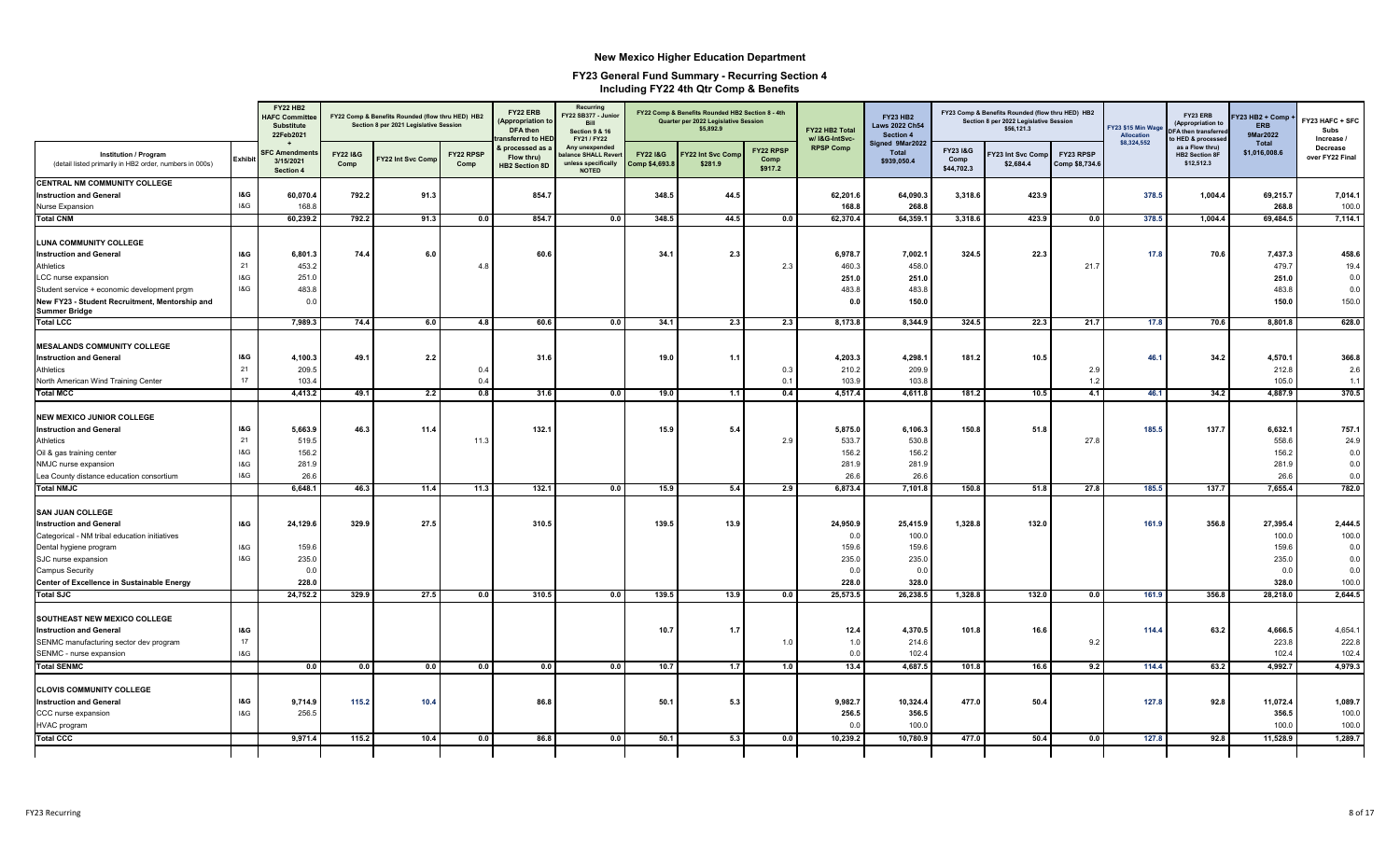|                                                                                         |                | <b>FY22 HB2</b><br><b>HAFC Committe</b><br><b>Substitute</b><br>22Feb2021 |                             | FY22 Comp & Benefits Rounded (flow thru HED) HB2<br>Section 8 per 2021 Legislative Session |                   | FY22 ERB<br><b>Appropriation to</b><br>DFA then<br>nsferred to HED | Recurring<br>Y22 SB377 - Junior<br>Bill<br><b>Section 9 &amp; 16</b><br>FY21 / FY22 |                                  | FY22 Comp & Benefits Rounded HB2 Section 8 - 4th<br>Quarter per 2022 Legislative Session<br>\$5,892.9 |                              | FY22 HB2 Total<br>w/ I&G-IntSvc- | <b>FY23 HB2</b><br><b>Laws 2022 Ch54</b><br>Section 4 |                                | FY23 Comp & Benefits Rounded (flow thru HED) HB2<br>Section 8 per 2022 Legislative Session<br>\$56,121.3 |                             | FY23 \$15 Min Wag<br>Allocation<br>\$8,324,552 | FY23 ERB<br>(Appropriation to<br><b>DFA then transferr</b><br>o HED & processe | Y23 HB2 + Comp +<br><b>ERB</b><br>9Mar2022 | FY23 HAFC + SFC<br>Subs<br>Increase / |
|-----------------------------------------------------------------------------------------|----------------|---------------------------------------------------------------------------|-----------------------------|--------------------------------------------------------------------------------------------|-------------------|--------------------------------------------------------------------|-------------------------------------------------------------------------------------|----------------------------------|-------------------------------------------------------------------------------------------------------|------------------------------|----------------------------------|-------------------------------------------------------|--------------------------------|----------------------------------------------------------------------------------------------------------|-----------------------------|------------------------------------------------|--------------------------------------------------------------------------------|--------------------------------------------|---------------------------------------|
| <b>Institution / Program</b><br>(detail listed primarily in HB2 order, numbers in 000s) | <b>Exhibit</b> | <b>SFC Amendmer</b><br>3/15/2021<br><b>Section 4</b>                      | <b>FY22 I&amp;G</b><br>Comp | <b>TY22 Int Svc Comp</b>                                                                   | FY22 RPSP<br>Comp | & processed as<br>Flow thru)<br><b>HB2 Section 8D</b>              | Any unexpended<br>alance SHALL Rever<br>unless specifically<br><b>NOTED</b>         | FY221&G<br><b>Comp \$4,693.8</b> | Y22 Int Svc Com<br>\$281.9                                                                            | FY22 RPSP<br>Comp<br>\$917.2 | <b>RPSP Comp</b>                 | Signed 9Mar2022<br><b>Total</b><br>\$939,050.4        | FY23 I&G<br>Comp<br>\$44,702.3 | Y23 Int Svc Comp<br>\$2,684.4                                                                            | FY23 RPSP<br>Comp \$8,734.6 |                                                | as a Flow thru)<br><b>HB2 Section 8F</b><br>\$12,512.3                         | Total<br>\$1,016,008.6                     | <b>Decrease</b><br>over FY22 Final    |
| CENTRAL NM COMMUNITY COLLEGE                                                            |                |                                                                           |                             |                                                                                            |                   |                                                                    |                                                                                     |                                  |                                                                                                       |                              |                                  |                                                       |                                |                                                                                                          |                             |                                                |                                                                                |                                            |                                       |
| <b>Instruction and General</b>                                                          | I&G            | 60,070.4                                                                  | 792.2                       | 91.3                                                                                       |                   | 854.7                                                              |                                                                                     | 348.5                            | 44.5                                                                                                  |                              | 62,201.6                         | 64,090.3                                              | 3,318.6                        | 423.9                                                                                                    |                             | 378.5                                          | 1,004.4                                                                        | 69,215.7                                   | 7,014.1                               |
| <b>Nurse Expansion</b>                                                                  | 18G            | 168.8                                                                     |                             |                                                                                            |                   |                                                                    |                                                                                     |                                  |                                                                                                       |                              | 168.8                            | 268.8                                                 |                                |                                                                                                          |                             |                                                |                                                                                | 268.8                                      | 100.0                                 |
| <b>Total CNM</b>                                                                        |                | 60,239.2                                                                  | 792.2                       | 91.3                                                                                       | 0.0               | 854.7                                                              | 0.0                                                                                 | 348.5                            | 44.5                                                                                                  | 0.0                          | 62,370.4                         | 64,359.1                                              | 3,318.6                        | 423.9                                                                                                    | 0.0                         | 378.5                                          | 1,004.4                                                                        | 69,484.5                                   | 7,114.1                               |
| <b>LUNA COMMUNITY COLLEGE</b>                                                           |                |                                                                           |                             |                                                                                            |                   |                                                                    |                                                                                     |                                  |                                                                                                       |                              |                                  |                                                       |                                |                                                                                                          |                             |                                                |                                                                                |                                            |                                       |
| <b>Instruction and General</b>                                                          | <b>I&amp;G</b> | 6,801.3                                                                   | 74.4                        | 6.0                                                                                        |                   | 60.6                                                               |                                                                                     | 34.1                             | 2.3                                                                                                   |                              | 6,978.7                          | 7,002.7                                               | 324.5                          | 22.3                                                                                                     |                             | 17.8                                           | 70.6                                                                           | 7,437.3                                    | 458.6                                 |
| Athletics                                                                               | 21             | 453.2                                                                     |                             |                                                                                            | 4.8               |                                                                    |                                                                                     |                                  |                                                                                                       | 2.3                          | 460.3                            | 458.0                                                 |                                |                                                                                                          | 21.7                        |                                                |                                                                                | 479.7                                      | 19.4                                  |
| LCC nurse expansion                                                                     | I&G            | 251.0                                                                     |                             |                                                                                            |                   |                                                                    |                                                                                     |                                  |                                                                                                       |                              | 251.0                            | 251.0                                                 |                                |                                                                                                          |                             |                                                |                                                                                | 251.0                                      | 0.0                                   |
| Student service + economic development prgm                                             | 18G            | 483.8                                                                     |                             |                                                                                            |                   |                                                                    |                                                                                     |                                  |                                                                                                       |                              | 483.8                            | 483.8                                                 |                                |                                                                                                          |                             |                                                |                                                                                | 483.8                                      | 0.0                                   |
| New FY23 - Student Recruitment, Mentorship and                                          |                | 0.0                                                                       |                             |                                                                                            |                   |                                                                    |                                                                                     |                                  |                                                                                                       |                              | 0.0                              | 150.0                                                 |                                |                                                                                                          |                             |                                                |                                                                                | 150.0                                      | 150.0                                 |
| <b>Summer Bridge</b>                                                                    |                |                                                                           |                             |                                                                                            |                   |                                                                    |                                                                                     |                                  |                                                                                                       |                              |                                  |                                                       |                                |                                                                                                          |                             |                                                |                                                                                |                                            |                                       |
| <b>Total LCC</b>                                                                        |                | 7,989.3                                                                   | 74.4                        | 6.0                                                                                        | 4.8               | 60.6                                                               | 0.0                                                                                 | 34.1                             | 2.3                                                                                                   | 2.3                          | 8,173.8                          | 8,344.9                                               | 324.5                          | 22.3                                                                                                     | 21.7                        | 17.8                                           | 70.6                                                                           | 8,801.8                                    | 628.0                                 |
| <b>MESALANDS COMMUNITY COLLEGE</b>                                                      |                |                                                                           |                             |                                                                                            |                   |                                                                    |                                                                                     |                                  |                                                                                                       |                              |                                  |                                                       |                                |                                                                                                          |                             |                                                |                                                                                |                                            |                                       |
| <b>Instruction and General</b>                                                          | I&G            | 4,100.3                                                                   | 49.1                        | 2.2                                                                                        |                   | 31.6                                                               |                                                                                     | 19.0                             | 1.1                                                                                                   |                              | 4,203.3                          | 4,298.1                                               | 181.2                          | 10.5                                                                                                     |                             | 46.1                                           | 34.2                                                                           | 4,570.1                                    | 366.8                                 |
| Athletics                                                                               | 21             | 209.5                                                                     |                             |                                                                                            | 0.4               |                                                                    |                                                                                     |                                  |                                                                                                       | 0.3                          | 210.2                            | 209.9                                                 |                                |                                                                                                          | 2.9                         |                                                |                                                                                | 212.8                                      | 2.6                                   |
| North American Wind Training Center                                                     | 17             | 103.4                                                                     |                             |                                                                                            | 0.4               |                                                                    |                                                                                     |                                  |                                                                                                       | 0.1                          | 103.9                            | 103.8                                                 |                                |                                                                                                          | 1.2                         |                                                |                                                                                | 105.0                                      | 1.1                                   |
| <b>Total MCC</b>                                                                        |                | 4,413.2                                                                   | 49.1                        | 2.2                                                                                        | 0.8               | 31.6                                                               | 0.0                                                                                 | 19.0                             | 1.1                                                                                                   | 0.4                          | 4,517.4                          | 4,611.                                                | 181.2                          | 10.5                                                                                                     | 4.1                         | 46.1                                           | 34.2                                                                           | 4,887.9                                    | 370.5                                 |
|                                                                                         |                |                                                                           |                             |                                                                                            |                   |                                                                    |                                                                                     |                                  |                                                                                                       |                              |                                  |                                                       |                                |                                                                                                          |                             |                                                |                                                                                |                                            |                                       |
| <b>NEW MEXICO JUNIOR COLLEGE</b>                                                        |                |                                                                           |                             |                                                                                            |                   |                                                                    |                                                                                     |                                  |                                                                                                       |                              |                                  |                                                       |                                |                                                                                                          |                             |                                                |                                                                                |                                            |                                       |
| <b>Instruction and General</b>                                                          | I&G            | 5,663.9                                                                   | 46.3                        | 11.4                                                                                       |                   | 132.1                                                              |                                                                                     | 15.9                             | 5.4                                                                                                   |                              | 5,875.0                          | 6,106.3                                               | 150.8                          | 51.8                                                                                                     |                             | 185.5                                          | 137.7                                                                          | 6,632.1                                    | 757.1                                 |
| Athletics                                                                               | 21             | 519.5                                                                     |                             |                                                                                            | 11.3              |                                                                    |                                                                                     |                                  |                                                                                                       | 2.9                          | 533.7                            | 530.8                                                 |                                |                                                                                                          | 27.8                        |                                                |                                                                                | 558.6                                      | 24.9                                  |
| Oil & gas training center                                                               | 18G            | 156.2                                                                     |                             |                                                                                            |                   |                                                                    |                                                                                     |                                  |                                                                                                       |                              | 156.2                            | 156.2                                                 |                                |                                                                                                          |                             |                                                |                                                                                | 156.2                                      | 0.0                                   |
| NMJC nurse expansion                                                                    | 18G            | 281.9                                                                     |                             |                                                                                            |                   |                                                                    |                                                                                     |                                  |                                                                                                       |                              | 281.9                            | 281.9                                                 |                                |                                                                                                          |                             |                                                |                                                                                | 281.9                                      | 0.0                                   |
| Lea County distance education consortium                                                | 18G            | 26.6                                                                      |                             |                                                                                            |                   |                                                                    |                                                                                     |                                  |                                                                                                       |                              | 26.6                             | 26.6                                                  |                                |                                                                                                          |                             |                                                |                                                                                | 26.6                                       | 0.0                                   |
| <b>Total NMJC</b>                                                                       |                | 6,648.1                                                                   | 46.3                        | 11.4                                                                                       | 11.3              | 132.1                                                              | 0.0                                                                                 | 15.9                             | 5.4                                                                                                   | 2.9                          | 6,873.4                          | 7,101.8                                               | 150.8                          | 51.8                                                                                                     | 27.8                        | 185.5                                          | 137.7                                                                          | 7,655.4                                    | 782.0                                 |
| <b>SAN JUAN COLLEGE</b>                                                                 |                |                                                                           |                             |                                                                                            |                   |                                                                    |                                                                                     |                                  |                                                                                                       |                              |                                  |                                                       |                                |                                                                                                          |                             |                                                |                                                                                |                                            |                                       |
| <b>Instruction and General</b>                                                          | I&G            | 24,129.6                                                                  | 329.9                       | 27.5                                                                                       |                   | 310.5                                                              |                                                                                     | 139.5                            | 13.9                                                                                                  |                              | 24,950.9                         | 25,415.9                                              | 1,328.8                        | 132.0                                                                                                    |                             | 161.9                                          | 356.8                                                                          | 27,395.4                                   | 2,444.5                               |
| Categorical - NM tribal education initiatives                                           |                |                                                                           |                             |                                                                                            |                   |                                                                    |                                                                                     |                                  |                                                                                                       |                              | 0.0                              | 100.0                                                 |                                |                                                                                                          |                             |                                                |                                                                                | 100.0                                      | 100.0                                 |
| Dental hygiene program                                                                  | 18G            | 159.6                                                                     |                             |                                                                                            |                   |                                                                    |                                                                                     |                                  |                                                                                                       |                              | 159.6                            | 159.6                                                 |                                |                                                                                                          |                             |                                                |                                                                                | 159.6                                      | 0.0                                   |
| SJC nurse expansion                                                                     | 18G            | 235.0                                                                     |                             |                                                                                            |                   |                                                                    |                                                                                     |                                  |                                                                                                       |                              | 235.0                            | 235.0                                                 |                                |                                                                                                          |                             |                                                |                                                                                | 235.0                                      | 0.0                                   |
| <b>Campus Security</b>                                                                  |                | 0.0                                                                       |                             |                                                                                            |                   |                                                                    |                                                                                     |                                  |                                                                                                       |                              | 0.0                              | 0.0                                                   |                                |                                                                                                          |                             |                                                |                                                                                | 0.0                                        | 0.0                                   |
| Center of Excellence in Sustainable Energy                                              |                | 228.0                                                                     |                             |                                                                                            |                   |                                                                    |                                                                                     |                                  |                                                                                                       |                              | 228.0                            | 328.0                                                 |                                |                                                                                                          |                             |                                                |                                                                                | 328.0                                      | 100.0                                 |
| Total SJC                                                                               |                | 24,752.2                                                                  | 329.9                       | 27.5                                                                                       | 0.0               | 310.5                                                              | 0.0                                                                                 | 139.5                            | 13.9                                                                                                  | $\overline{\mathbf{0.0}}$    | 25,573.5                         | 26,238.5                                              | 1,328.8                        | 132.0                                                                                                    | 0.0                         | 161.9                                          | 356.8                                                                          | 28,218.0                                   | 2.644.5                               |
|                                                                                         |                |                                                                           |                             |                                                                                            |                   |                                                                    |                                                                                     |                                  |                                                                                                       |                              |                                  |                                                       |                                |                                                                                                          |                             |                                                |                                                                                |                                            |                                       |
| SOUTHEAST NEW MEXICO COLLEGE                                                            |                |                                                                           |                             |                                                                                            |                   |                                                                    |                                                                                     |                                  |                                                                                                       |                              |                                  |                                                       |                                |                                                                                                          |                             |                                                |                                                                                |                                            |                                       |
| <b>Instruction and General</b>                                                          | I&G<br>17      |                                                                           |                             |                                                                                            |                   |                                                                    |                                                                                     | 10.7                             | 1.7                                                                                                   | 1.0                          | 12.4<br>1.0                      | 4,370.5<br>214.6                                      | 101.8                          | 16.6                                                                                                     | 9.2                         | 114.4                                          | 63.2                                                                           | 4,666.5<br>223.8                           | 4,654.<br>222.8                       |
| SENMC manufacturing sector dev program<br>SENMC - nurse expansion                       | 18G            |                                                                           |                             |                                                                                            |                   |                                                                    |                                                                                     |                                  |                                                                                                       |                              | 0.0                              | 102.4                                                 |                                |                                                                                                          |                             |                                                |                                                                                | 102.4                                      | 102.4                                 |
| <b>Total SENMC</b>                                                                      |                | 0.0                                                                       | 0.0                         | 0.0                                                                                        | 0.0               | 0.0                                                                | 0.0                                                                                 | 10.7                             | 1.7                                                                                                   | 1.0                          | 13.4                             | 4,687.5                                               | 101.8                          | 16.6                                                                                                     | 9.2                         | 114.4                                          | 63.2                                                                           | 4,992.7                                    | 4,979.3                               |
|                                                                                         |                |                                                                           |                             |                                                                                            |                   |                                                                    |                                                                                     |                                  |                                                                                                       |                              |                                  |                                                       |                                |                                                                                                          |                             |                                                |                                                                                |                                            |                                       |
| <b>CLOVIS COMMUNITY COLLEGE</b>                                                         |                |                                                                           |                             |                                                                                            |                   |                                                                    |                                                                                     |                                  |                                                                                                       |                              |                                  |                                                       |                                |                                                                                                          |                             |                                                |                                                                                |                                            |                                       |
| <b>Instruction and General</b>                                                          | I&G            | 9,714.9                                                                   | 115.2                       | 10.4                                                                                       |                   | 86.8                                                               |                                                                                     | 50.1                             | 5.3                                                                                                   |                              | 9,982.7                          | 10,324.4                                              | 477.0                          | 50.4                                                                                                     |                             | 127.8                                          | 92.8                                                                           | 11,072.4                                   | 1,089.7                               |
| CCC nurse expansion                                                                     | 18G            | 256.5                                                                     |                             |                                                                                            |                   |                                                                    |                                                                                     |                                  |                                                                                                       |                              | 256.5                            | 356.5                                                 |                                |                                                                                                          |                             |                                                |                                                                                | 356.5                                      | 100.0                                 |
| <b>HVAC</b> program                                                                     |                |                                                                           |                             |                                                                                            |                   |                                                                    |                                                                                     |                                  |                                                                                                       |                              | 0.0                              | 100.0                                                 |                                |                                                                                                          |                             |                                                |                                                                                | 100.0                                      | 100.0                                 |
| <b>Total CCC</b>                                                                        |                | 9,971.4                                                                   | 115.2                       | 10.4                                                                                       | 0.0               | 86.8                                                               | 0.0                                                                                 | 50.1                             | 5.3                                                                                                   | 0.0                          | 10,239.2                         | 10,780.9                                              | 477.0                          | 50.4                                                                                                     | 0.0                         | 127.8                                          | 92.8                                                                           | 11,528.9                                   | 1,289.7                               |
|                                                                                         |                |                                                                           |                             |                                                                                            |                   |                                                                    |                                                                                     |                                  |                                                                                                       |                              |                                  |                                                       |                                |                                                                                                          |                             |                                                |                                                                                |                                            |                                       |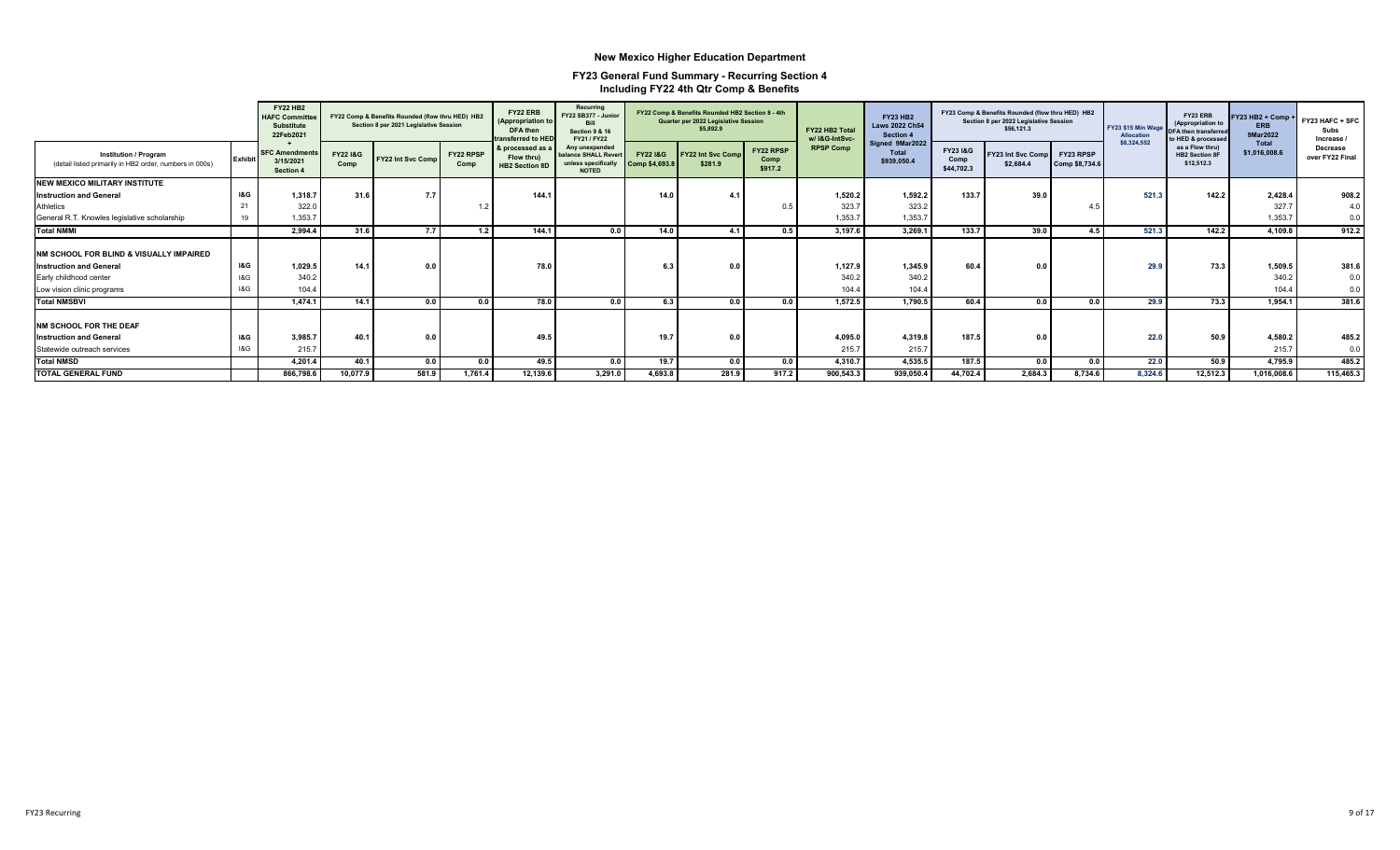|                                                                                         |                | <b>FY22 HB2</b><br><b>HAFC Committee</b><br><b>Substitute</b><br>22Feb2021 |                  | FY22 Comp & Benefits Rounded (flow thru HED) HB2<br>Section 8 per 2021 Legislative Session |                   | FY22 ERB<br>(Appropriation to<br>DFA then<br>ransferred to HED | Recurring<br>FY22 SB377 - Junior<br>Rill<br>Section 9 & 16<br>FY21 / FY22    |                          | FY22 Comp & Benefits Rounded HB2 Section 8 - 4th<br>Quarter per 2022 Legislative Session<br>\$5,892.9 |                              | FY22 HB2 Total<br>w/ I&G-IntSvc- | <b>FY23 HB2</b><br><b>Laws 2022 Ch54</b><br>Section 4 |                                          | FY23 Comp & Benefits Rounded (flow thru HED) HB2<br>Section 8 per 2022 Legislative Session<br>\$56,121.3 |                             | FY23 \$15 Min Wage<br>Allocation | FY23 ERB<br>(Appropriation to<br><b>DFA then transferred</b><br>to HED & processed | FY23 HB2 + Comp +<br><b>ERB</b><br>9Mar2022 | FY23 HAFC + SFC<br>Subs<br>Increase |
|-----------------------------------------------------------------------------------------|----------------|----------------------------------------------------------------------------|------------------|--------------------------------------------------------------------------------------------|-------------------|----------------------------------------------------------------|------------------------------------------------------------------------------|--------------------------|-------------------------------------------------------------------------------------------------------|------------------------------|----------------------------------|-------------------------------------------------------|------------------------------------------|----------------------------------------------------------------------------------------------------------|-----------------------------|----------------------------------|------------------------------------------------------------------------------------|---------------------------------------------|-------------------------------------|
| <b>Institution / Program</b><br>(detail listed primarily in HB2 order, numbers in 000s) | <b>Exhibit</b> | <b>SFC Amendment</b><br>3/15/2021<br>Section 4                             | FY22 1&G<br>Comp | <b>FY22 Int Svc Comp</b>                                                                   | FY22 RPSP<br>Comp | & processed as a<br>Flow thru)<br><b>HB2 Section 8D</b>        | Any unexpended<br>valance SHALL Rever<br>unless specifically<br><b>NOTED</b> | FY221&G<br>Comp \$4,693. | <b>FY22 Int Svc Comp</b><br>\$281.9                                                                   | FY22 RPSP<br>Comp<br>\$917.2 | <b>RPSP Comp</b>                 | Signed 9Mar2022<br><b>Total</b><br>\$939,050.4        | <b>FY231&amp;G</b><br>Comp<br>\$44,702.3 | FY23 Int Svc Comp<br>\$2.684.4                                                                           | FY23 RPSP<br>Comp \$8,734.6 | \$8,324,552                      | as a Flow thru)<br><b>HB2 Section 8F</b><br>\$12,512.3                             | Total<br>\$1.016.008.6                      | Decrease<br>over FY22 Final         |
| <b>NEW MEXICO MILITARY INSTITUTE</b>                                                    |                |                                                                            |                  |                                                                                            |                   |                                                                |                                                                              |                          |                                                                                                       |                              |                                  |                                                       |                                          |                                                                                                          |                             |                                  |                                                                                    |                                             |                                     |
| <b>Instruction and General</b>                                                          | <b>1&amp;G</b> | 1.318.7                                                                    | 31.6             | 7.7                                                                                        |                   | 144.1                                                          |                                                                              | 14.0                     |                                                                                                       |                              | 1,520.2                          | 1.592.2                                               | 133.7                                    | 39.0                                                                                                     |                             | 521.3                            | 142.2                                                                              | 2,428.4                                     | 908.2                               |
| Athletics                                                                               | 21             | 322.0                                                                      |                  |                                                                                            |                   |                                                                |                                                                              |                          |                                                                                                       | $\Omega$                     | 323.                             | 323.2                                                 |                                          |                                                                                                          | 4.5                         |                                  |                                                                                    | 327.7                                       | 4.0                                 |
| General R.T. Knowles legislative scholarship                                            | 19             | 1.353.7                                                                    |                  |                                                                                            |                   |                                                                |                                                                              |                          |                                                                                                       |                              | 1,353.7                          | 1,353.7                                               |                                          |                                                                                                          |                             |                                  |                                                                                    | 1,353.7                                     | 0.0                                 |
| <b>Total NMMI</b>                                                                       |                | 2.994.4                                                                    | 31.6             | 77                                                                                         | 1.2               | 144.7                                                          | 0.0                                                                          | 14.0                     | 4.1                                                                                                   | 0.5                          | 3.197.6                          | 3.269.1                                               | 133.7                                    | 39.0                                                                                                     | 4.5                         | 521.3                            | 142.2                                                                              | 4,109.8                                     | 912.2                               |
| INM SCHOOL FOR BLIND & VISUALLY IMPAIRED                                                |                |                                                                            |                  |                                                                                            |                   |                                                                |                                                                              |                          |                                                                                                       |                              |                                  |                                                       |                                          |                                                                                                          |                             |                                  |                                                                                    |                                             |                                     |
| <b>Instruction and General</b>                                                          | I&G            | 1.029.5                                                                    | 14.1             | 0.0                                                                                        |                   | 78.0                                                           |                                                                              | 6.3                      |                                                                                                       |                              | 1.127.9                          | 1.345.9                                               | 60.4                                     | 0.0                                                                                                      |                             | 29.9                             | 73.3                                                                               | 1,509.5                                     | 381.6                               |
| Early childhood center                                                                  | I&G            | 340.2                                                                      |                  |                                                                                            |                   |                                                                |                                                                              |                          |                                                                                                       |                              | 340.2                            | 340.2                                                 |                                          |                                                                                                          |                             |                                  |                                                                                    | 340.2                                       | 0.0                                 |
| Low vision clinic programs                                                              | 18G            | 104.4                                                                      |                  |                                                                                            |                   |                                                                |                                                                              |                          |                                                                                                       |                              | 104.4                            | 104.4                                                 |                                          |                                                                                                          |                             |                                  |                                                                                    | 104.4                                       | 0.0                                 |
| <b>Total NMSBVI</b>                                                                     |                | 1.474.1                                                                    | 14.1             | 0.0                                                                                        | 0.0               | 78.0                                                           | 0.0                                                                          | 6.3                      | 0.0                                                                                                   | 0.0                          | 1,572.5                          | 1,790.5                                               | 60.4                                     | 0.0                                                                                                      | 0.0                         | 29.9                             | 73.3                                                                               | 1,954.1                                     | 381.6                               |
| <b>NM SCHOOL FOR THE DEAF</b>                                                           |                |                                                                            |                  |                                                                                            |                   |                                                                |                                                                              |                          |                                                                                                       |                              |                                  |                                                       |                                          |                                                                                                          |                             |                                  |                                                                                    |                                             |                                     |
| <b>Instruction and General</b>                                                          | I&G            | 3.985.7                                                                    | 40.1             | 0.0                                                                                        |                   | 49.5                                                           |                                                                              | 19.7                     | 0 <sup>0</sup>                                                                                        |                              | 4,095.0                          | 4,319.8                                               | 187.5                                    | 0.0                                                                                                      |                             | 22.0                             | 50.9                                                                               | 4,580.2                                     | 485.2                               |
| Statewide outreach services                                                             | 18G            | 215.7                                                                      |                  |                                                                                            |                   |                                                                |                                                                              |                          |                                                                                                       |                              | 215.7                            | 215.7                                                 |                                          |                                                                                                          |                             |                                  |                                                                                    | 215.7                                       | 0.0                                 |
| <b>Total NMSD</b>                                                                       |                | 4,201.4                                                                    | 40.1             | 0.0                                                                                        | 0.0               | 49.5                                                           | 0.0                                                                          | 19.7                     | 0.0                                                                                                   | 0.0                          | 4,310.7                          | 4,535.5                                               | 187.5                                    | 0.0                                                                                                      | 0.0                         | 22.0                             | 50.9                                                                               | 4,795.9                                     | 485.2                               |
| <b>TOTAL GENERAL FUND</b>                                                               |                | 866,798.6                                                                  | 10,077.9         | 581.9                                                                                      | 1.761.4           | 12,139.6                                                       | 3,291.0                                                                      | 4.693.8                  | 281.9                                                                                                 | 917.2                        | 900,543.3                        | 939,050.4                                             | 44,702.4                                 | 2,684.3                                                                                                  | 8.734.6                     | 8.324.6                          | 12,512.3                                                                           | 1,016,008.6                                 | 115,465.3                           |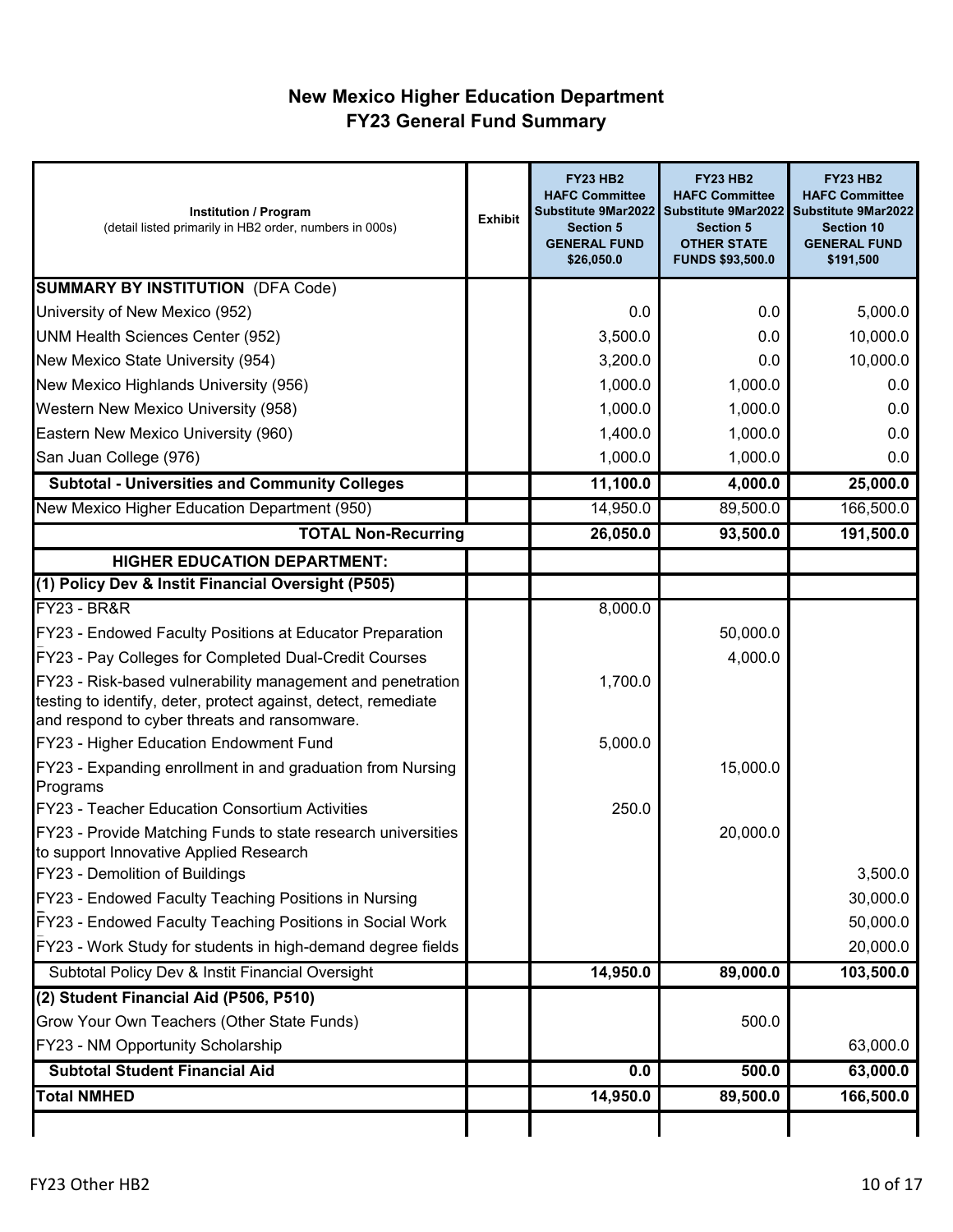# **New Mexico Higher Education Department FY23 General Fund Summary**

| <b>Institution / Program</b><br>(detail listed primarily in HB2 order, numbers in 000s)                                                                                      | <b>Exhibit</b> | <b>FY23 HB2</b><br><b>HAFC Committee</b><br>Substitute 9Mar2022<br><b>Section 5</b><br><b>GENERAL FUND</b><br>\$26,050.0 | <b>FY23 HB2</b><br><b>HAFC Committee</b><br><b>Section 5</b><br><b>OTHER STATE</b><br><b>FUNDS \$93,500.0</b> | <b>FY23 HB2</b><br><b>HAFC Committee</b><br>Substitute 9Mar2022 Substitute 9Mar2022<br><b>Section 10</b><br><b>GENERAL FUND</b><br>\$191,500 |
|------------------------------------------------------------------------------------------------------------------------------------------------------------------------------|----------------|--------------------------------------------------------------------------------------------------------------------------|---------------------------------------------------------------------------------------------------------------|----------------------------------------------------------------------------------------------------------------------------------------------|
| <b>SUMMARY BY INSTITUTION (DFA Code)</b>                                                                                                                                     |                |                                                                                                                          |                                                                                                               |                                                                                                                                              |
| University of New Mexico (952)                                                                                                                                               |                | 0.0                                                                                                                      | 0.0                                                                                                           | 5,000.0                                                                                                                                      |
| <b>UNM Health Sciences Center (952)</b>                                                                                                                                      |                | 3,500.0                                                                                                                  | 0.0                                                                                                           | 10,000.0                                                                                                                                     |
| New Mexico State University (954)                                                                                                                                            |                | 3,200.0                                                                                                                  | 0.0                                                                                                           | 10,000.0                                                                                                                                     |
| New Mexico Highlands University (956)                                                                                                                                        |                | 1,000.0                                                                                                                  | 1,000.0                                                                                                       | 0.0                                                                                                                                          |
| Western New Mexico University (958)                                                                                                                                          |                | 1,000.0                                                                                                                  | 1,000.0                                                                                                       | 0.0                                                                                                                                          |
| Eastern New Mexico University (960)                                                                                                                                          |                | 1,400.0                                                                                                                  | 1,000.0                                                                                                       | 0.0                                                                                                                                          |
| San Juan College (976)                                                                                                                                                       |                | 1,000.0                                                                                                                  | 1,000.0                                                                                                       | 0.0                                                                                                                                          |
| <b>Subtotal - Universities and Community Colleges</b>                                                                                                                        |                | 11,100.0                                                                                                                 | 4,000.0                                                                                                       | 25,000.0                                                                                                                                     |
| New Mexico Higher Education Department (950)                                                                                                                                 |                | 14,950.0                                                                                                                 | 89,500.0                                                                                                      | 166,500.0                                                                                                                                    |
| <b>TOTAL Non-Recurring</b>                                                                                                                                                   |                | 26,050.0                                                                                                                 | 93,500.0                                                                                                      | 191,500.0                                                                                                                                    |
| <b>HIGHER EDUCATION DEPARTMENT:</b>                                                                                                                                          |                |                                                                                                                          |                                                                                                               |                                                                                                                                              |
| (1) Policy Dev & Instit Financial Oversight (P505)                                                                                                                           |                |                                                                                                                          |                                                                                                               |                                                                                                                                              |
| <b>FY23 - BR&amp;R</b>                                                                                                                                                       |                | 8,000.0                                                                                                                  |                                                                                                               |                                                                                                                                              |
| FY23 - Endowed Faculty Positions at Educator Preparation                                                                                                                     |                |                                                                                                                          | 50,000.0                                                                                                      |                                                                                                                                              |
| FY23 - Pay Colleges for Completed Dual-Credit Courses                                                                                                                        |                |                                                                                                                          | 4,000.0                                                                                                       |                                                                                                                                              |
| FY23 - Risk-based vulnerability management and penetration<br>testing to identify, deter, protect against, detect, remediate<br>and respond to cyber threats and ransomware. |                | 1,700.0                                                                                                                  |                                                                                                               |                                                                                                                                              |
| FY23 - Higher Education Endowment Fund                                                                                                                                       |                | 5,000.0                                                                                                                  |                                                                                                               |                                                                                                                                              |
| FY23 - Expanding enrollment in and graduation from Nursing<br>Programs                                                                                                       |                |                                                                                                                          | 15,000.0                                                                                                      |                                                                                                                                              |
| FY23 - Teacher Education Consortium Activities                                                                                                                               |                | 250.0                                                                                                                    |                                                                                                               |                                                                                                                                              |
| FY23 - Provide Matching Funds to state research universities<br>to support Innovative Applied Research                                                                       |                |                                                                                                                          | 20,000.0                                                                                                      |                                                                                                                                              |
| FY23 - Demolition of Buildings                                                                                                                                               |                |                                                                                                                          |                                                                                                               | 3,500.0                                                                                                                                      |
| FY23 - Endowed Faculty Teaching Positions in Nursing                                                                                                                         |                |                                                                                                                          |                                                                                                               | 30,000.0                                                                                                                                     |
| FY23 - Endowed Faculty Teaching Positions in Social Work                                                                                                                     |                |                                                                                                                          |                                                                                                               | 50,000.0                                                                                                                                     |
| FY23 - Work Study for students in high-demand degree fields                                                                                                                  |                |                                                                                                                          |                                                                                                               | 20,000.0                                                                                                                                     |
| Subtotal Policy Dev & Instit Financial Oversight                                                                                                                             |                | 14,950.0                                                                                                                 | 89,000.0                                                                                                      | 103,500.0                                                                                                                                    |
| (2) Student Financial Aid (P506, P510)                                                                                                                                       |                |                                                                                                                          |                                                                                                               |                                                                                                                                              |
| Grow Your Own Teachers (Other State Funds)                                                                                                                                   |                |                                                                                                                          | 500.0                                                                                                         |                                                                                                                                              |
| FY23 - NM Opportunity Scholarship                                                                                                                                            |                |                                                                                                                          |                                                                                                               | 63,000.0                                                                                                                                     |
| <b>Subtotal Student Financial Aid</b>                                                                                                                                        |                | 0.0                                                                                                                      | 500.0                                                                                                         | 63,000.0                                                                                                                                     |
| <b>Total NMHED</b>                                                                                                                                                           |                | 14,950.0                                                                                                                 | 89,500.0                                                                                                      | 166,500.0                                                                                                                                    |
|                                                                                                                                                                              |                |                                                                                                                          |                                                                                                               |                                                                                                                                              |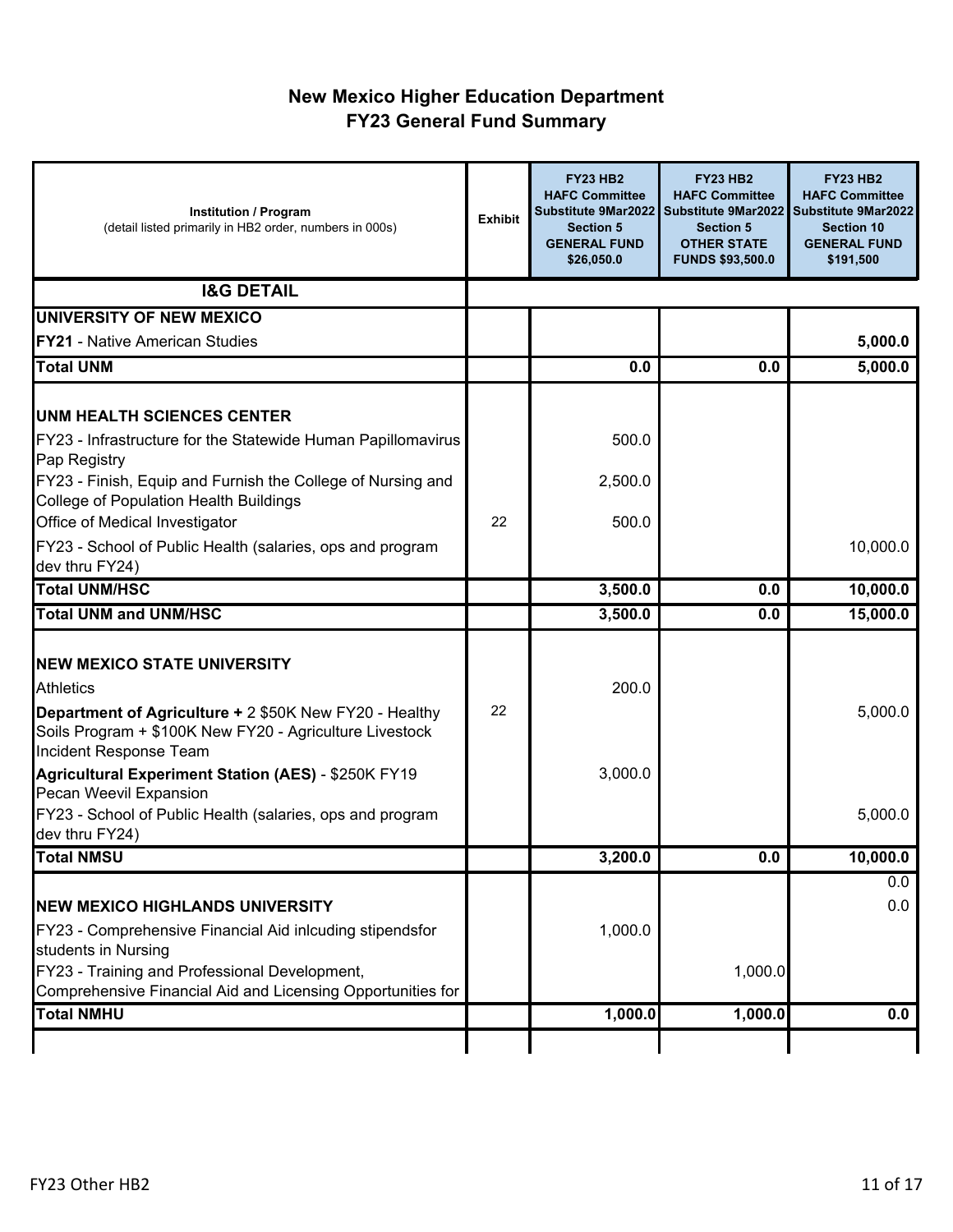## **New Mexico Higher Education Department FY23 General Fund Summary**

| <b>Institution / Program</b><br>(detail listed primarily in HB2 order, numbers in 000s)                                                     | <b>Exhibit</b> | <b>FY23 HB2</b><br><b>HAFC Committee</b><br>Substitute 9Mar2022<br><b>Section 5</b><br><b>GENERAL FUND</b><br>\$26,050.0 | <b>FY23 HB2</b><br><b>HAFC Committee</b><br>Substitute 9Mar2022<br><b>Section 5</b><br><b>OTHER STATE</b><br><b>FUNDS \$93,500.0</b> | <b>FY23 HB2</b><br><b>HAFC Committee</b><br><b>Substitute 9Mar2022</b><br><b>Section 10</b><br><b>GENERAL FUND</b><br>\$191,500 |
|---------------------------------------------------------------------------------------------------------------------------------------------|----------------|--------------------------------------------------------------------------------------------------------------------------|--------------------------------------------------------------------------------------------------------------------------------------|---------------------------------------------------------------------------------------------------------------------------------|
| <b>I&amp;G DETAIL</b>                                                                                                                       |                |                                                                                                                          |                                                                                                                                      |                                                                                                                                 |
| UNIVERSITY OF NEW MEXICO                                                                                                                    |                |                                                                                                                          |                                                                                                                                      |                                                                                                                                 |
| <b>FY21 - Native American Studies</b>                                                                                                       |                |                                                                                                                          |                                                                                                                                      | 5,000.0                                                                                                                         |
| <b>Total UNM</b>                                                                                                                            |                | 0.0                                                                                                                      | 0.0                                                                                                                                  | 5,000.0                                                                                                                         |
| <b>UNM HEALTH SCIENCES CENTER</b>                                                                                                           |                |                                                                                                                          |                                                                                                                                      |                                                                                                                                 |
| FY23 - Infrastructure for the Statewide Human Papillomavirus<br>Pap Registry                                                                |                | 500.0                                                                                                                    |                                                                                                                                      |                                                                                                                                 |
| FY23 - Finish, Equip and Furnish the College of Nursing and<br><b>College of Population Health Buildings</b>                                |                | 2,500.0                                                                                                                  |                                                                                                                                      |                                                                                                                                 |
| Office of Medical Investigator                                                                                                              | 22             | 500.0                                                                                                                    |                                                                                                                                      |                                                                                                                                 |
| FY23 - School of Public Health (salaries, ops and program<br>dev thru FY24)                                                                 |                |                                                                                                                          |                                                                                                                                      | 10,000.0                                                                                                                        |
| <b>Total UNM/HSC</b>                                                                                                                        |                | 3,500.0                                                                                                                  | 0.0                                                                                                                                  | 10,000.0                                                                                                                        |
| <b>Total UNM and UNM/HSC</b>                                                                                                                |                | 3,500.0                                                                                                                  | 0.0                                                                                                                                  | 15,000.0                                                                                                                        |
| <b>NEW MEXICO STATE UNIVERSITY</b><br><b>Athletics</b>                                                                                      |                | 200.0                                                                                                                    |                                                                                                                                      |                                                                                                                                 |
| Department of Agriculture + 2 \$50K New FY20 - Healthy<br>Soils Program + \$100K New FY20 - Agriculture Livestock<br>Incident Response Team | 22             |                                                                                                                          |                                                                                                                                      | 5,000.0                                                                                                                         |
| Agricultural Experiment Station (AES) - \$250K FY19<br>Pecan Weevil Expansion                                                               |                | 3,000.0                                                                                                                  |                                                                                                                                      |                                                                                                                                 |
| FY23 - School of Public Health (salaries, ops and program<br>dev thru FY24)                                                                 |                |                                                                                                                          |                                                                                                                                      | 5,000.0                                                                                                                         |
| <b>Total NMSU</b>                                                                                                                           |                | 3,200.0                                                                                                                  | U.U                                                                                                                                  | 10,000.0                                                                                                                        |
| <b>NEW MEXICO HIGHLANDS UNIVERSITY</b><br>FY23 - Comprehensive Financial Aid inlcuding stipendsfor                                          |                | 1,000.0                                                                                                                  |                                                                                                                                      | 0.0<br>0.0                                                                                                                      |
| students in Nursing                                                                                                                         |                |                                                                                                                          |                                                                                                                                      |                                                                                                                                 |
| FY23 - Training and Professional Development,                                                                                               |                |                                                                                                                          | 1,000.0                                                                                                                              |                                                                                                                                 |
| Comprehensive Financial Aid and Licensing Opportunities for<br><b>Total NMHU</b>                                                            |                | 1,000.0                                                                                                                  | 1,000.0                                                                                                                              | 0.0                                                                                                                             |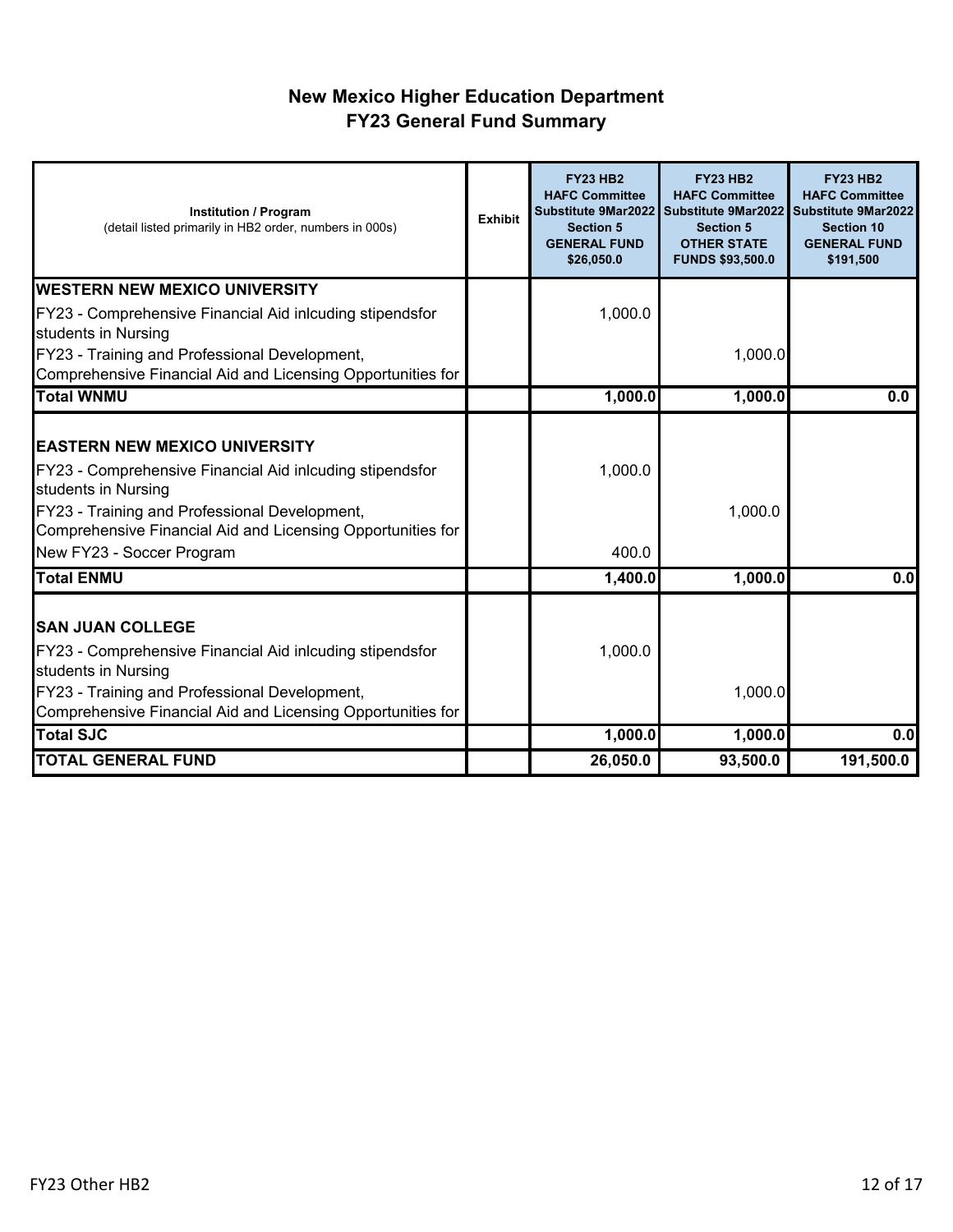## **New Mexico Higher Education Department FY23 General Fund Summary**

| <b>Institution / Program</b><br>(detail listed primarily in HB2 order, numbers in 000s)                                                                                                                                                                              | <b>Exhibit</b> | <b>FY23 HB2</b><br><b>HAFC Committee</b><br>Substitute 9Mar2022<br><b>Section 5</b><br><b>GENERAL FUND</b><br>\$26,050.0 | <b>FY23 HB2</b><br><b>HAFC Committee</b><br><b>Section 5</b><br><b>OTHER STATE</b><br><b>FUNDS \$93,500.0</b> | <b>FY23 HB2</b><br><b>HAFC Committee</b><br>Substitute 9Mar2022 Substitute 9Mar2022<br><b>Section 10</b><br><b>GENERAL FUND</b><br>\$191,500 |
|----------------------------------------------------------------------------------------------------------------------------------------------------------------------------------------------------------------------------------------------------------------------|----------------|--------------------------------------------------------------------------------------------------------------------------|---------------------------------------------------------------------------------------------------------------|----------------------------------------------------------------------------------------------------------------------------------------------|
| <b>WESTERN NEW MEXICO UNIVERSITY</b>                                                                                                                                                                                                                                 |                |                                                                                                                          |                                                                                                               |                                                                                                                                              |
| FY23 - Comprehensive Financial Aid inlcuding stipendsfor<br>students in Nursing                                                                                                                                                                                      |                | 1,000.0                                                                                                                  |                                                                                                               |                                                                                                                                              |
| FY23 - Training and Professional Development,<br>Comprehensive Financial Aid and Licensing Opportunities for                                                                                                                                                         |                |                                                                                                                          | 1,000.0                                                                                                       |                                                                                                                                              |
| <b>Total WNMU</b>                                                                                                                                                                                                                                                    |                | 1,000.0                                                                                                                  | 1,000.0                                                                                                       | 0.0                                                                                                                                          |
| <b>EASTERN NEW MEXICO UNIVERSITY</b><br>FY23 - Comprehensive Financial Aid inlcuding stipendsfor<br>students in Nursing<br>FY23 - Training and Professional Development,<br>Comprehensive Financial Aid and Licensing Opportunities for<br>New FY23 - Soccer Program |                | 1,000.0<br>400.0                                                                                                         | 1,000.0                                                                                                       |                                                                                                                                              |
| <b>Total ENMU</b>                                                                                                                                                                                                                                                    |                | 1,400.0                                                                                                                  | 1,000.0                                                                                                       | $\overline{0.0}$                                                                                                                             |
| <b>ISAN JUAN COLLEGE</b><br>FY23 - Comprehensive Financial Aid inlcuding stipendsfor<br>students in Nursing<br>FY23 - Training and Professional Development,<br>Comprehensive Financial Aid and Licensing Opportunities for                                          |                | 1,000.0                                                                                                                  | 1,000.0                                                                                                       |                                                                                                                                              |
| <b>Total SJC</b>                                                                                                                                                                                                                                                     |                | 1,000.0                                                                                                                  | 1,000.0                                                                                                       | 0.0                                                                                                                                          |
| <b>TOTAL GENERAL FUND</b>                                                                                                                                                                                                                                            |                | 26,050.0                                                                                                                 | 93,500.0                                                                                                      | 191,500.0                                                                                                                                    |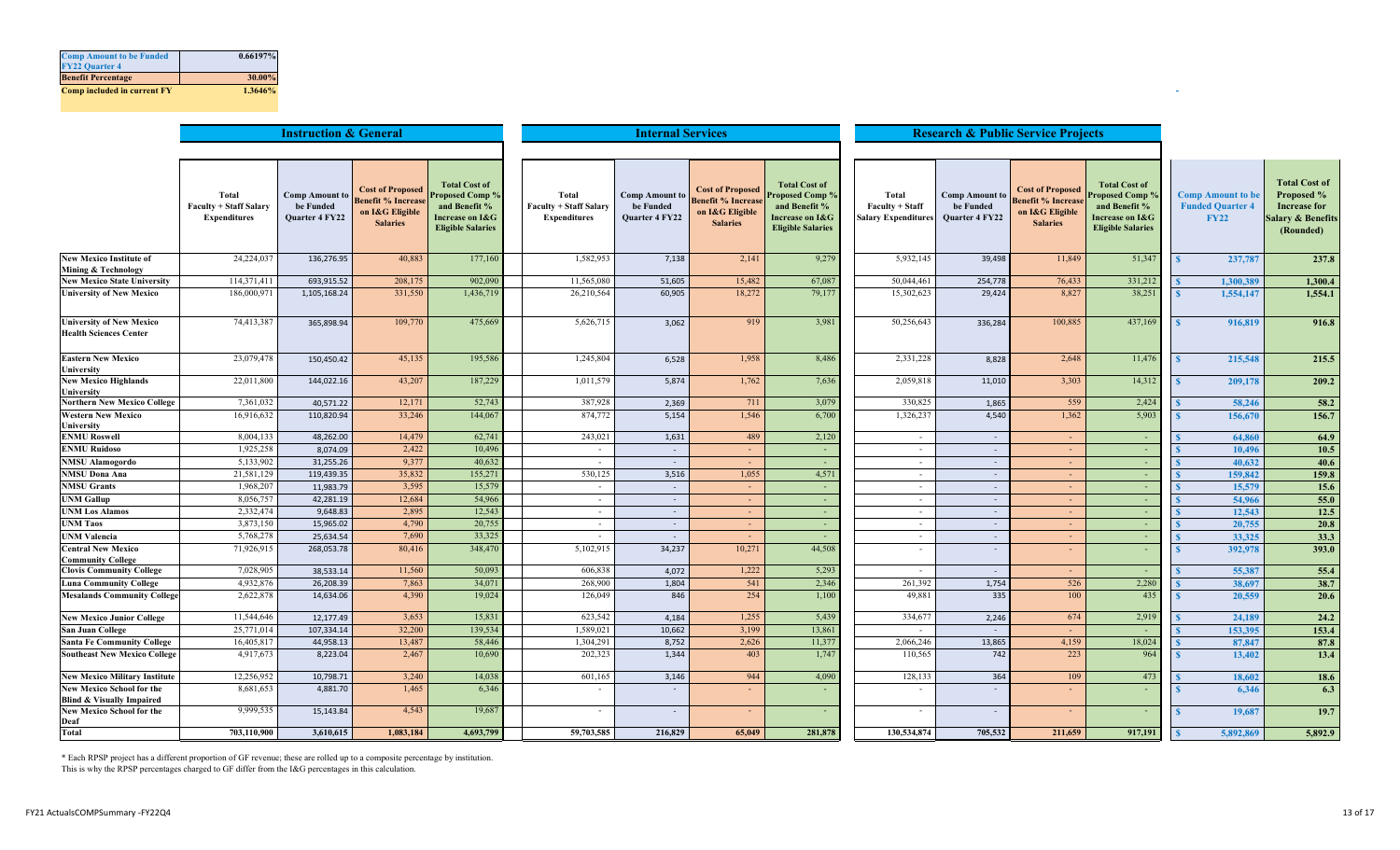| <b>Comp Amount to be Funded</b>    | 0.66197% |
|------------------------------------|----------|
| <b>FY22 Quarter 4</b>              |          |
| <b>Benefit Percentage</b>          | 30.00%   |
| <b>Comp included in current FY</b> | 1.3646%  |

|                                                                          | <b>Instruction &amp; General</b>                              |                                                             |                                                                                            |                                                                                                                           |                                                               | <b>Research &amp; Public Service Projects</b>               |                                                                                           |                                                                                                         |                                                        |                                                      |                                                                                            |                                                                                                         |                                                                    |           |                                                                                                        |
|--------------------------------------------------------------------------|---------------------------------------------------------------|-------------------------------------------------------------|--------------------------------------------------------------------------------------------|---------------------------------------------------------------------------------------------------------------------------|---------------------------------------------------------------|-------------------------------------------------------------|-------------------------------------------------------------------------------------------|---------------------------------------------------------------------------------------------------------|--------------------------------------------------------|------------------------------------------------------|--------------------------------------------------------------------------------------------|---------------------------------------------------------------------------------------------------------|--------------------------------------------------------------------|-----------|--------------------------------------------------------------------------------------------------------|
|                                                                          |                                                               |                                                             |                                                                                            |                                                                                                                           |                                                               |                                                             |                                                                                           |                                                                                                         |                                                        |                                                      |                                                                                            |                                                                                                         |                                                                    |           |                                                                                                        |
|                                                                          | Total<br><b>Faculty + Staff Salary</b><br><b>Expenditures</b> | <b>Comp Amount to</b><br>be Funded<br><b>Quarter 4 FY22</b> | <b>Cost of Proposed</b><br><b>Benefit % Increase</b><br>on I&G Eligible<br><b>Salaries</b> | <b>Total Cost of</b><br><b>Proposed Comp %</b><br>and Benefit %<br><b>Increase on I&amp;G</b><br><b>Eligible Salaries</b> | Total<br><b>Faculty + Staff Salary</b><br><b>Expenditures</b> | <b>Comp Amount to</b><br>be Funded<br><b>Quarter 4 FY22</b> | <b>Cost of Proposed</b><br><b>Benefit % Increas</b><br>on I&G Eligible<br><b>Salaries</b> | <b>Total Cost of</b><br>Proposed Comp %<br>and Benefit %<br>Increase on I&G<br><b>Eligible Salaries</b> | Total<br>Faculty + Staff<br><b>Salary Expenditures</b> | <b>Comp Amount to</b><br>be Funded<br>Quarter 4 FY22 | <b>Cost of Proposed</b><br><b>Benefit % Increase</b><br>on I&G Eligible<br><b>Salaries</b> | <b>Total Cost of</b><br>Proposed Comp 9<br>and Benefit %<br>Increase on I&G<br><b>Eligible Salaries</b> | <b>Comp Amount to be</b><br><b>Funded Quarter 4</b><br><b>FY22</b> |           | <b>Total Cost of</b><br>Proposed %<br><b>Increase for</b><br><b>Salary &amp; Benefits</b><br>(Rounded) |
| <b>New Mexico Institute of</b><br>Mining & Technology                    | 24,224,037                                                    | 136,276.95                                                  | 40,883                                                                                     | 177,160                                                                                                                   | 1,582,953                                                     | 7,138                                                       | 2,141                                                                                     | 9,279                                                                                                   | 5,932,145                                              | 39,498                                               | 11,849                                                                                     | 51,347                                                                                                  | $\mathbf{S}$                                                       | 237,787   | 237.8                                                                                                  |
| <b>New Mexico State University</b>                                       | 114,371,411                                                   | 693,915.52                                                  | 208,175                                                                                    | 902,090                                                                                                                   | 11,565,080                                                    | 51,605                                                      | 15,482                                                                                    | 67,087                                                                                                  | 50,044,461                                             | 254,778                                              | 76,433                                                                                     | 331,212                                                                                                 |                                                                    | 1,300,38  | 1,300.4                                                                                                |
| <b>University of New Mexico</b>                                          | 186,000,971                                                   | 1,105,168.24                                                | 331,550                                                                                    | 1,436,719                                                                                                                 | 26,210,564                                                    | 60,905                                                      | 18,272                                                                                    | 79,177                                                                                                  | 15,302,623                                             | 29,424                                               | 8.827                                                                                      | 38,251                                                                                                  |                                                                    | 1,554,147 | 1,554.1                                                                                                |
| <b>University of New Mexico</b><br><b>Health Sciences Center</b>         | 74,413,387                                                    | 365,898.94                                                  | 109,770                                                                                    | 475,669                                                                                                                   | 5,626,715                                                     | 3,062                                                       | 919                                                                                       | 3,981                                                                                                   | 50,256,643                                             | 336,284                                              | 100,885                                                                                    | 437,169                                                                                                 |                                                                    | 916,819   | 916.8                                                                                                  |
| <b>Eastern New Mexico</b><br>University                                  | 23,079,478                                                    | 150,450.42                                                  | 45,135                                                                                     | 195,586                                                                                                                   | 1,245,804                                                     | 6,528                                                       | 1,958                                                                                     | 8,486                                                                                                   | 2,331,228                                              | 8,828                                                | 2,648                                                                                      | 11,476                                                                                                  | $\mathbf{\mathcal{R}}$                                             | 215,548   | 215.5                                                                                                  |
| <b>New Mexico Highlands</b><br>University                                | 22,011,800                                                    | 144,022.16                                                  | 43,207                                                                                     | 187,229                                                                                                                   | 1,011,579                                                     | 5,874                                                       | 1,762                                                                                     | 7,636                                                                                                   | 2,059,81                                               | 11,010                                               | 3,303                                                                                      | 14,312                                                                                                  | $\mathbf{S}$                                                       | 209,178   | 209.2                                                                                                  |
| <b>Northern New Mexico College</b>                                       | 7,361,032                                                     | 40.571.22                                                   | 12,171                                                                                     | 52,743                                                                                                                    | 387,928                                                       | 2,369                                                       | 711                                                                                       | 3,079                                                                                                   | 330,825                                                | 1,865                                                | 559                                                                                        | 2,424                                                                                                   |                                                                    | 58,246    | 58.2                                                                                                   |
| <b>Western New Mexico</b><br>University                                  | 16,916,632                                                    | 110,820.94                                                  | 33,246                                                                                     | 144,067                                                                                                                   | 874,772                                                       | 5,154                                                       | 1,546                                                                                     | 6,700                                                                                                   | 1,326,237                                              | 4,540                                                | 1.362                                                                                      | 5,903                                                                                                   |                                                                    | 156,670   | 156.7                                                                                                  |
| <b>ENMU Roswell</b>                                                      | 8,004,133                                                     | 48,262.00                                                   | 14,479                                                                                     | 62,741                                                                                                                    | 243,021                                                       | 1,631                                                       | 489                                                                                       | 2,120                                                                                                   | $\sim$                                                 |                                                      |                                                                                            | $\sim$                                                                                                  |                                                                    | 64,860    | 64.9                                                                                                   |
| <b>ENMU Ruidoso</b>                                                      | 1,925,258                                                     | 8,074.09                                                    | 2,422                                                                                      | 10,496                                                                                                                    | $\sim$                                                        | $\sim$                                                      | $\sim$                                                                                    | $\sim$                                                                                                  | $\sim$                                                 | $\sim$                                               | $\sim$                                                                                     | $\sim$                                                                                                  |                                                                    | 10.496    | 10.5                                                                                                   |
| <b>NMSU Alamogordo</b>                                                   | 5,133,902                                                     | 31,255.26                                                   | 9,377                                                                                      | 40,632                                                                                                                    | $\overline{\phantom{a}}$                                      | $\sim$                                                      | $\sim$                                                                                    |                                                                                                         | $\sim$                                                 | $\sim$                                               | $\sim$                                                                                     | ×.                                                                                                      |                                                                    | 40.632    | 40.6                                                                                                   |
| <b>NMSU Dona Ana</b>                                                     | 21,581,129                                                    | 119,439.35                                                  | 35,832                                                                                     | 155,27                                                                                                                    | 530,125                                                       | 3,516                                                       | 1,055                                                                                     | 4,571                                                                                                   | $\sim$                                                 | $\overline{\phantom{a}}$                             | $\sim$                                                                                     | $\sim$                                                                                                  |                                                                    | 159,842   | 159.8                                                                                                  |
| <b>NMSU Grants</b>                                                       | 1,968,207                                                     | 11.983.79                                                   | 3,595                                                                                      | 15,579                                                                                                                    |                                                               | $\sim$                                                      | $\sim$                                                                                    |                                                                                                         | $\sim$                                                 | $\sim$                                               |                                                                                            | $\sim$                                                                                                  |                                                                    | 15,579    | 15.6                                                                                                   |
| <b>UNM Gallup</b>                                                        | 8,056,757                                                     | 42,281.19                                                   | 12,684                                                                                     | 54,966                                                                                                                    | $\sim$                                                        | $\sim$                                                      | $\sim$                                                                                    | $\sim$                                                                                                  | $\sim$                                                 | $\sim$                                               | $\sim$                                                                                     | $\sim$                                                                                                  |                                                                    | 54,966    | 55.0                                                                                                   |
| <b>UNM Los Alamos</b>                                                    | 2,332,474                                                     | 9,648.83                                                    | 2,895                                                                                      | 12,543                                                                                                                    | $\sim$                                                        | $\sim$                                                      | $\sim$                                                                                    |                                                                                                         | $\sim$                                                 | $\sim$                                               | $\sim$                                                                                     | $\sim$                                                                                                  |                                                                    | 12,543    | 12.5                                                                                                   |
| <b>UNM Taos</b>                                                          | 3,873,150                                                     | 15,965.02                                                   | 4,790                                                                                      | 20,755                                                                                                                    | $\sim$                                                        | $\sim$                                                      | $\sim$                                                                                    | $\sim$                                                                                                  | $\sim$                                                 | $\sim$                                               | $\sim$                                                                                     | $\sim$                                                                                                  |                                                                    | 20,755    | 20.8                                                                                                   |
| <b>UNM Valencia</b>                                                      | 5,768,278                                                     | 25,634.54                                                   | 7,690                                                                                      | 33,325                                                                                                                    | $\sim$                                                        | $\overline{\phantom{a}}$                                    | $\sim$                                                                                    |                                                                                                         | $\sim$                                                 | $\overline{\phantom{a}}$                             | $\sim$                                                                                     | $\sim$                                                                                                  |                                                                    | 33,325    | 33.3                                                                                                   |
| <b>Central New Mexico</b><br><b>Community College</b>                    | 71,926,915                                                    | 268,053.78                                                  | 80,416                                                                                     | 348,470                                                                                                                   | 5,102,915                                                     | 34,237                                                      | 10,271                                                                                    | 44,508                                                                                                  | $\sim$                                                 | $\sim$                                               | $\sim$                                                                                     | ÷.                                                                                                      |                                                                    | 392,978   | 393.0                                                                                                  |
| <b>Clovis Community College</b>                                          | 7.028.905                                                     | 38.533.14                                                   | 11,560                                                                                     | 50,093                                                                                                                    | 606.838                                                       | 4.072                                                       | 1,222                                                                                     | 5,293                                                                                                   | $\sim$                                                 | $\sim$                                               | $\sim$                                                                                     | $\sim$                                                                                                  |                                                                    | 55,387    | 55.4                                                                                                   |
| Luna Community College                                                   | 4,932,876                                                     | 26,208.39                                                   | 7,863                                                                                      | 34,071                                                                                                                    | 268,900                                                       | 1,804                                                       | 541                                                                                       | 2,346                                                                                                   | 261,392                                                | 1,754                                                | 526                                                                                        | 2,280                                                                                                   |                                                                    | 38,697    | 38.7                                                                                                   |
| <b>Mesalands Community College</b>                                       | 2,622,878                                                     | 14,634.06                                                   | 4,390                                                                                      | 19,024                                                                                                                    | 126,049                                                       | 846                                                         | 254                                                                                       | 1,100                                                                                                   | 49,881                                                 | 335                                                  | 100                                                                                        | 435                                                                                                     |                                                                    | 20,559    | 20.6                                                                                                   |
| <b>New Mexico Junior College</b>                                         | 11,544,646                                                    | 12,177.49                                                   | 3,653                                                                                      | 15,831                                                                                                                    | 623,542                                                       | 4,184                                                       | 1,255                                                                                     | 5,439                                                                                                   | 334,677                                                | 2,246                                                | 674                                                                                        | 2,919                                                                                                   |                                                                    | 24,189    | 24.2                                                                                                   |
| <b>San Juan College</b>                                                  | 25,771,014                                                    | 107.334.14                                                  | 32,200                                                                                     | 139,534                                                                                                                   | 1,589,021                                                     | 10,662                                                      | 3,199                                                                                     | 13,861                                                                                                  |                                                        |                                                      |                                                                                            | $\sim$                                                                                                  |                                                                    | 153,395   | 153.4                                                                                                  |
| <b>Santa Fe Community College</b>                                        | 16,405,81                                                     | 44,958.13                                                   | 13,487                                                                                     | 58,446                                                                                                                    | 1,304,291                                                     | 8,752                                                       | 2,626                                                                                     | 11,377                                                                                                  | 2,066,246                                              | 13,865                                               | 4,159                                                                                      | 18,024                                                                                                  |                                                                    | 87,847    | 87.8                                                                                                   |
| <b>Southeast New Mexico College</b>                                      | 4,917,673                                                     | 8,223.04                                                    | 2,467                                                                                      | 10,690                                                                                                                    | 202,323                                                       | 1.344                                                       | 403                                                                                       | 1,747                                                                                                   | 110,565                                                | 742                                                  | 223                                                                                        | 964                                                                                                     |                                                                    | 13,402    | 13.4                                                                                                   |
| <b>New Mexico Military Institute</b>                                     | 12,256,952                                                    | 10,798.71                                                   | 3,240                                                                                      | 14,038                                                                                                                    | 601,165                                                       | 3,146                                                       | 944                                                                                       | 4,090                                                                                                   | 128,133                                                | 364                                                  | 109                                                                                        | 473                                                                                                     |                                                                    | 18,602    | 18.6                                                                                                   |
| <b>New Mexico School for the</b><br><b>Blind &amp; Visually Impaired</b> | 8,681,653                                                     | 4,881.70                                                    | 1,465                                                                                      | 6.346                                                                                                                     |                                                               | $\sim$                                                      |                                                                                           |                                                                                                         |                                                        |                                                      |                                                                                            |                                                                                                         |                                                                    | 6.346     | 6.3                                                                                                    |
| <b>New Mexico School for the</b><br>Deaf                                 | 9,999,535                                                     | 15,143.84                                                   | 4,543                                                                                      | 19,687                                                                                                                    |                                                               | $\sim$                                                      |                                                                                           |                                                                                                         | $\sim$                                                 |                                                      |                                                                                            | <b>100</b>                                                                                              |                                                                    | 19,687    | 19.7                                                                                                   |
| <b>Total</b>                                                             | 703,110,900                                                   | 3,610,615                                                   | 1,083,184                                                                                  | 4,693,799                                                                                                                 | 59,703,585                                                    | 216,829                                                     | 65,049                                                                                    | 281,878                                                                                                 | 130,534,874                                            | 705,532                                              | 211,659                                                                                    | 917,191                                                                                                 |                                                                    | 5,892,869 | 5,892.9                                                                                                |

\* Each RPSP project has a different proportion of GF revenue; these are rolled up to a composite percentage by institution. This is why the RPSP percentages charged to GF differ from the I&G percentages in this calculation.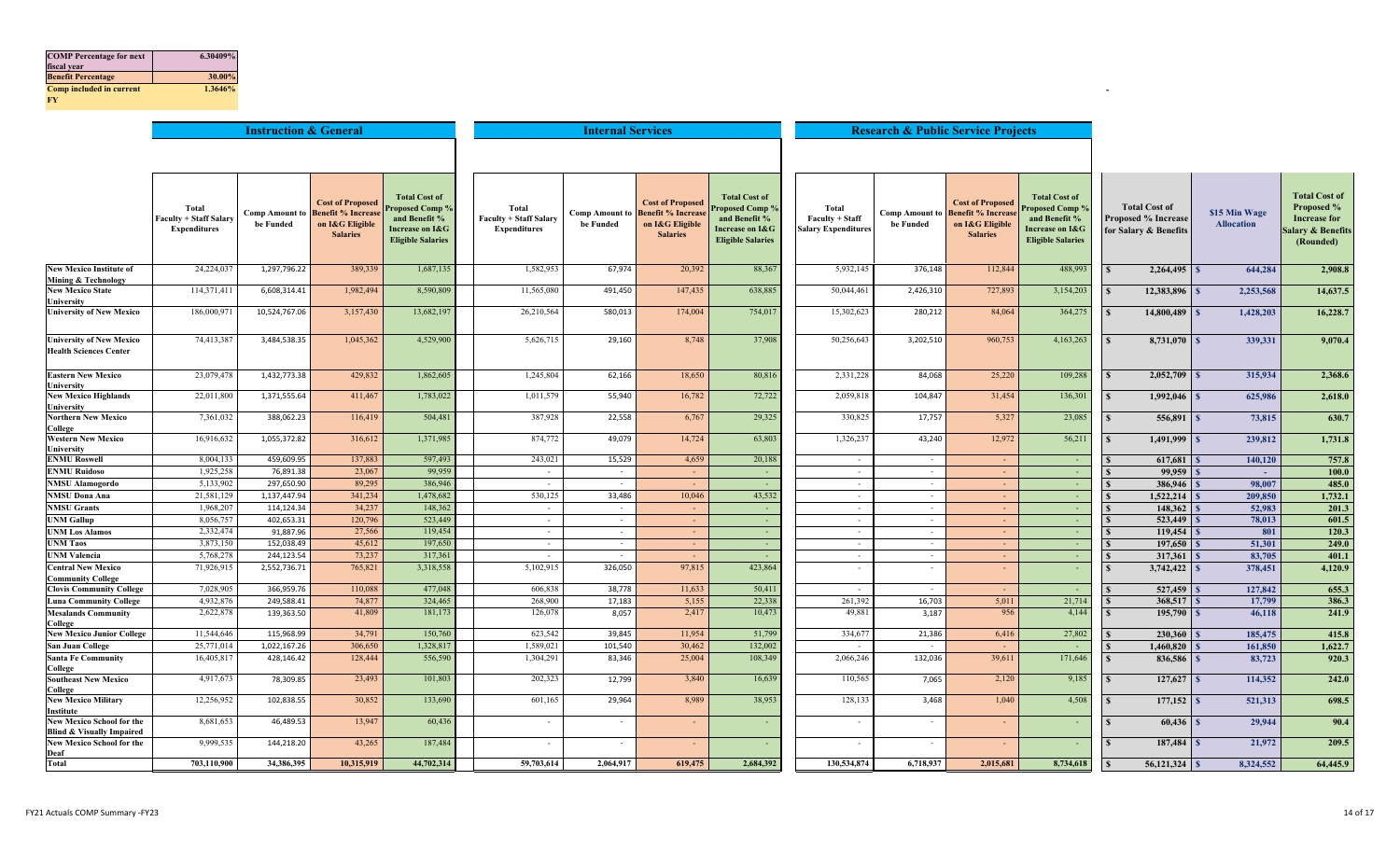| <b>COMP</b> Percentage for next | 6.30409% |
|---------------------------------|----------|
| fiscal year                     |          |
| <b>Benefit Percentage</b>       | 30.00%   |
| <b>Comp included in current</b> | 1.3646%  |
| <b>FY</b>                       |          |

|                                                                          | <b>Instruction &amp; General</b>                              |                                    |                                                                                           |                                                                                                         | <b>Internal Services</b>                                      |                                    |                                                                                            |                                                                                                        |                                                        |                                    | <b>Research &amp; Public Service Projects</b>                                             |                                                                                                                |                                                                             |                                    |                                                                                            |
|--------------------------------------------------------------------------|---------------------------------------------------------------|------------------------------------|-------------------------------------------------------------------------------------------|---------------------------------------------------------------------------------------------------------|---------------------------------------------------------------|------------------------------------|--------------------------------------------------------------------------------------------|--------------------------------------------------------------------------------------------------------|--------------------------------------------------------|------------------------------------|-------------------------------------------------------------------------------------------|----------------------------------------------------------------------------------------------------------------|-----------------------------------------------------------------------------|------------------------------------|--------------------------------------------------------------------------------------------|
|                                                                          |                                                               |                                    |                                                                                           |                                                                                                         |                                                               |                                    |                                                                                            |                                                                                                        |                                                        |                                    |                                                                                           |                                                                                                                |                                                                             |                                    |                                                                                            |
|                                                                          |                                                               |                                    |                                                                                           |                                                                                                         |                                                               |                                    |                                                                                            |                                                                                                        |                                                        |                                    |                                                                                           |                                                                                                                |                                                                             |                                    |                                                                                            |
|                                                                          |                                                               |                                    |                                                                                           |                                                                                                         |                                                               |                                    |                                                                                            |                                                                                                        |                                                        |                                    |                                                                                           |                                                                                                                |                                                                             |                                    |                                                                                            |
|                                                                          | Total<br><b>Faculty + Staff Salary</b><br><b>Expenditures</b> | <b>Comp Amount to</b><br>be Funded | <b>Cost of Proposed</b><br><b>Benefit % Increas</b><br>on I&G Eligible<br><b>Salaries</b> | <b>Total Cost of</b><br>Proposed Comp %<br>and Benefit %<br>Increase on I&G<br><b>Eligible Salaries</b> | Total<br><b>Faculty + Staff Salary</b><br><b>Expenditures</b> | <b>Comp Amount to</b><br>be Funded | <b>Cost of Proposed</b><br><b>Benefit % Increase</b><br>on I&G Eligible<br><b>Salaries</b> | <b>Total Cost of</b><br>roposed Comp 9<br>and Benefit %<br>Increase on I&G<br><b>Eligible Salaries</b> | Total<br>Faculty + Staff<br><b>Salary Expenditures</b> | <b>Comp Amount to</b><br>be Funded | <b>Cost of Proposed</b><br><b>Benefit % Increas</b><br>on I&G Eligible<br><b>Salaries</b> | <b>Total Cost of</b><br><b>Proposed Comp %</b><br>and Benefit %<br>Increase on I&G<br><b>Eligible Salaries</b> | <b>Total Cost of</b><br><b>Proposed % Increase</b><br>for Salary & Benefits | \$15 Min Wage<br><b>Allocation</b> | <b>Total Cost of</b><br>Proposed %<br><b>Increase for</b><br>alary & Benefits<br>(Rounded) |
| <b>New Mexico Institute of</b><br>Mining & Technology                    | 24,224,03                                                     | 1,297,796.22                       | 389,339                                                                                   | 1,687,135                                                                                               | 1,582,953                                                     | 67,974                             | 20,392                                                                                     | 88,367                                                                                                 | 5,932,145                                              | 376,148                            | 112,844                                                                                   | 488,993                                                                                                        |                                                                             | 644,284                            | 2,908.8                                                                                    |
| <b>New Mexico State</b><br>University                                    | 114,371,41                                                    | 6,608,314.41                       | 1,982,494                                                                                 | 8,590,809                                                                                               | 11,565,080                                                    | 491,450                            | 147,435                                                                                    | 638,885                                                                                                | 50,044,461                                             | 2,426,310                          | 727,893                                                                                   | 3,154,203                                                                                                      | 12,383,896                                                                  | 2,253,568                          | 14,637.5                                                                                   |
| <b>University of New Mexico</b>                                          | 186,000,97                                                    | 10,524,767.06                      | 3,157,430                                                                                 | 13,682,19                                                                                               | 26,210,564                                                    | 580,013                            | 174,004                                                                                    | 754,017                                                                                                | 15,302,623                                             | 280,212                            | 84,064                                                                                    | 364,27:                                                                                                        | 14,800,489                                                                  | 1,428,203                          | 16,228.7                                                                                   |
| <b>University of New Mexico</b><br><b>Health Sciences Center</b>         | 74,413,387                                                    | 3,484,538.35                       | 1,045,362                                                                                 | 4,529,900                                                                                               | 5,626,715                                                     | 29,160                             | 8,748                                                                                      | 37,908                                                                                                 | 50,256,643                                             | 3,202,510                          | 960,753                                                                                   | 4,163,263                                                                                                      | 8,731,070                                                                   | 339,331                            | 9,070.4                                                                                    |
| <b>Eastern New Mexico</b><br>University                                  | 23,079,478                                                    | 1,432,773.38                       | 429,832                                                                                   | 1,862,605                                                                                               | 1,245,804                                                     | 62,166                             | 18,650                                                                                     | 80,816                                                                                                 | 2,331,228                                              | 84,068                             | 25,220                                                                                    | 109,288                                                                                                        | 2,052,709<br>$\mathbf{s}$                                                   | 315,934<br><b>S</b>                | 2,368.6                                                                                    |
| <b>New Mexico Highlands</b><br>University                                | 22,011,800                                                    | 1,371,555.64                       | 411,467                                                                                   | 1,783,022                                                                                               | 1,011,579                                                     | 55,940                             | 16,782                                                                                     | 72,722                                                                                                 | 2,059,81                                               | 104,847                            | 31,454                                                                                    | 136,30                                                                                                         | 1,992,046                                                                   | 625,986                            | 2,618.0                                                                                    |
| <b>Northern New Mexico</b><br>College                                    | 7,361,032                                                     | 388,062.23                         | 116,419                                                                                   | 504,481                                                                                                 | 387,928                                                       | 22,558                             | 6,767                                                                                      | 29,325                                                                                                 | 330,825                                                | 17,757                             | 5,327                                                                                     | 23,085                                                                                                         | 556,891                                                                     | 73,815                             | 630.7                                                                                      |
| <b>Western New Mexico</b><br>University                                  | 16,916,632                                                    | 1,055,372.82                       | 316,612                                                                                   | 1,371,985                                                                                               | 874,772                                                       | 49,079                             | 14,724                                                                                     | 63,803                                                                                                 | 1,326,237                                              | 43,240                             | 12,972                                                                                    | 56,21                                                                                                          | 1,491,999                                                                   | 239,812                            | 1,731.8                                                                                    |
| <b>ENMU Roswell</b>                                                      | 8,004,133                                                     | 459,609.95                         | 137,883                                                                                   | 597,493                                                                                                 | 243,021                                                       | 15,529                             | 4,659                                                                                      | 20,188                                                                                                 | $\sim$                                                 | $\sim$                             |                                                                                           | $\sim$                                                                                                         | 617,681                                                                     | 140,120                            | 757.8                                                                                      |
| <b>ENMU Ruidoso</b>                                                      | 1,925,258                                                     | 76,891.38                          | 23,067                                                                                    | 99,959                                                                                                  | $\sim$                                                        | $\sim$                             | $\sim$                                                                                     | $\sim$                                                                                                 | $\sim$                                                 | $\sim$                             |                                                                                           | $\sim$                                                                                                         | $99,959$ $\sqrt{s}$                                                         | $\sim$ $-$                         | 100.0                                                                                      |
| <b>NMSU</b> Alamogordo                                                   | 5,133,902                                                     | 297,650.90                         | 89,295                                                                                    | 386,946                                                                                                 | $\sim$                                                        | $\sim$                             | $\sim$                                                                                     | $\sim$ $-$                                                                                             | $\sim$                                                 | $\sim$                             | $\sim$                                                                                    | $\sim$                                                                                                         | 386,946                                                                     | 98,007                             | 485.0                                                                                      |
| <b>NMSU Dona Ana</b>                                                     | 21,581,129                                                    | 1,137,447.94                       | 341,234                                                                                   | 1,478,682                                                                                               | 530,125                                                       | 33,486                             | 10,046                                                                                     | 43,532                                                                                                 | $\sim$                                                 | $\overline{\phantom{a}}$           |                                                                                           | $\sim$                                                                                                         | 1,522,214                                                                   | 209,850                            | 1,732.1                                                                                    |
| <b>NMSU Grants</b>                                                       | 1,968,207                                                     | 114,124.34                         | 34,237                                                                                    | 148,362                                                                                                 | $\sim$                                                        | $\sim$                             | $\sim$                                                                                     | $\sim$                                                                                                 | $\sim$                                                 | $\sim$                             |                                                                                           | $\sim$                                                                                                         | 148,362                                                                     | 52,983                             | 201.3                                                                                      |
| <b>UNM Gallup</b>                                                        | 8,056,757                                                     | 402,653.31                         | 120,796                                                                                   | 523,449                                                                                                 | $\sim$                                                        | $\sim$                             | $\sim$                                                                                     | $\sim$                                                                                                 | $\sim$                                                 | $\sim$                             | $\sim$                                                                                    | $\sim$                                                                                                         | 523,449                                                                     | 78,013                             | 601.5                                                                                      |
| <b>UNM Los Alamos</b>                                                    | 2,332,474                                                     | 91,887.96                          | 27,566                                                                                    | 119,454                                                                                                 | $\sim$                                                        | $\sim$                             | $\sim$                                                                                     | $\sim$                                                                                                 | $\sim$                                                 | $\overline{\phantom{a}}$           |                                                                                           | $\sim$                                                                                                         | 119,454                                                                     | 801                                | 120.3                                                                                      |
| <b>UNM Taos</b>                                                          | 3,873,150                                                     | 152,038.49                         | 45,612                                                                                    | 197,650                                                                                                 | $\sim$                                                        | $\sim$                             | $\sim$                                                                                     | $\sim$                                                                                                 | $\sim$                                                 |                                    |                                                                                           | $\sim$                                                                                                         | 197,650                                                                     | 51,301                             | 249.0                                                                                      |
| <b>UNM</b> Valencia                                                      | 5,768,278                                                     | 244,123.54                         | 73,237                                                                                    | 317,361                                                                                                 | $\sim$                                                        | $\sim$                             | $\sim$                                                                                     | $\sim$                                                                                                 | $\sim$                                                 | $\sim$                             |                                                                                           | $\sim$                                                                                                         | 317,361                                                                     | 83,705                             | 401.1                                                                                      |
| <b>Central New Mexico</b><br><b>Community College</b>                    | 71,926,915                                                    | 2,552,736.71                       | 765,821                                                                                   | 3,318,558                                                                                               | 5,102,915                                                     | 326,050                            | 97,815                                                                                     | 423,864                                                                                                |                                                        |                                    |                                                                                           |                                                                                                                | $3,742,422$ S                                                               | 378,451                            | 4,120.9                                                                                    |
| <b>Clovis Community College</b>                                          | 7,028,905                                                     | 366,959.76                         | 110,088                                                                                   | 477,048                                                                                                 | 606,838                                                       | 38,778                             | 11,633                                                                                     | 50,411                                                                                                 | $\sim$                                                 | $\sim$                             | $\sim$                                                                                    | $\sim$                                                                                                         | 527,459                                                                     | 127,842                            | 655.3                                                                                      |
| <b>Luna Community College</b>                                            | 4,932,876                                                     | 249,588.41                         | 74,877                                                                                    | 324,465                                                                                                 | 268,900                                                       | 17,183                             | 5,155                                                                                      | 22,338                                                                                                 | 261,392                                                | 16,703                             | 5,011                                                                                     | 21,714                                                                                                         | 368,517                                                                     | 17,799                             | 386.3                                                                                      |
| <b>Mesalands Community</b><br>College                                    | 2,622,878                                                     | 139,363.50                         | 41,809                                                                                    | 181,173                                                                                                 | 126,078                                                       | 8,057                              | 2,417                                                                                      | 10,473                                                                                                 | 49,881                                                 | 3,187                              | 956                                                                                       | 4,144                                                                                                          | 195,790                                                                     | 46,118                             | 241.9                                                                                      |
| <b>New Mexico Junior College</b>                                         | 11,544,646                                                    | 115,968.99                         | 34,791                                                                                    | 150,760                                                                                                 | 623,542                                                       | 39,845                             | 11,954                                                                                     | 51,799                                                                                                 | 334,677                                                | 21,386                             | 6,416                                                                                     | 27,802                                                                                                         | 230,360                                                                     | 185,475                            | 415.8                                                                                      |
| <b>San Juan College</b>                                                  | 25,771,014                                                    | 1,022,167.26                       | 306,650                                                                                   | 1,328,81                                                                                                | 1,589,021                                                     | 101,540                            | 30,462                                                                                     | 132,002                                                                                                | $\sim$                                                 |                                    |                                                                                           |                                                                                                                | 1,460,820                                                                   | 161,850                            | 1,622.7                                                                                    |
| <b>Santa Fe Community</b><br>College                                     | 16,405,817                                                    | 428,146.42                         | 128,444                                                                                   | 556,590                                                                                                 | 1,304,291                                                     | 83,346                             | 25,004                                                                                     | 108,349                                                                                                | 2,066,246                                              | 132,036                            | 39,611                                                                                    | 171,646                                                                                                        | 836,586                                                                     | 83,723                             | 920.3                                                                                      |
| <b>Southeast New Mexico</b><br>College                                   | 4,917,673                                                     | 78,309.85                          | 23,493                                                                                    | 101,803                                                                                                 | 202,323                                                       | 12,799                             | 3,840                                                                                      | 16,639                                                                                                 | 110,565                                                | 7,065                              | 2,120                                                                                     | 9,185                                                                                                          | 127,627                                                                     | 114,352<br>- 8                     | 242.0                                                                                      |
| <b>New Mexico Military</b><br>Institute                                  | 12,256,952                                                    | 102,838.55                         | 30,852                                                                                    | 133,690                                                                                                 | 601,165                                                       | 29,964                             | 8,989                                                                                      | 38,953                                                                                                 | 128,133                                                | 3,468                              | 1,040                                                                                     | 4,508                                                                                                          | 177,152                                                                     | 521,313                            | 698.5                                                                                      |
| <b>New Mexico School for the</b><br><b>Blind &amp; Visually Impaired</b> | 8,681,653                                                     | 46,489.53                          | 13,947                                                                                    | 60,436                                                                                                  |                                                               |                                    |                                                                                            | $\blacksquare$                                                                                         |                                                        |                                    |                                                                                           |                                                                                                                | 60,436                                                                      | 29,944                             | 90.4                                                                                       |
| <b>New Mexico School for the</b><br>Deaf                                 | 9,999,535                                                     | 144,218.20                         | 43,265                                                                                    | 187,484                                                                                                 | $\overline{\phantom{a}}$                                      |                                    |                                                                                            |                                                                                                        |                                                        |                                    |                                                                                           |                                                                                                                | 187,484                                                                     | 21,972                             | 209.5                                                                                      |
| <b>Total</b>                                                             | 703,110,900                                                   | 34,386,395                         | 10,315,919                                                                                | 44,702,314                                                                                              | 59,703,614                                                    | 2,064,917                          | 619,475                                                                                    | 2,684,392                                                                                              | 130,534,874                                            | 6,718,937                          | 2,015,681                                                                                 | 8,734,618                                                                                                      | 56,121,324                                                                  | 8.324.552                          | 64,445.9                                                                                   |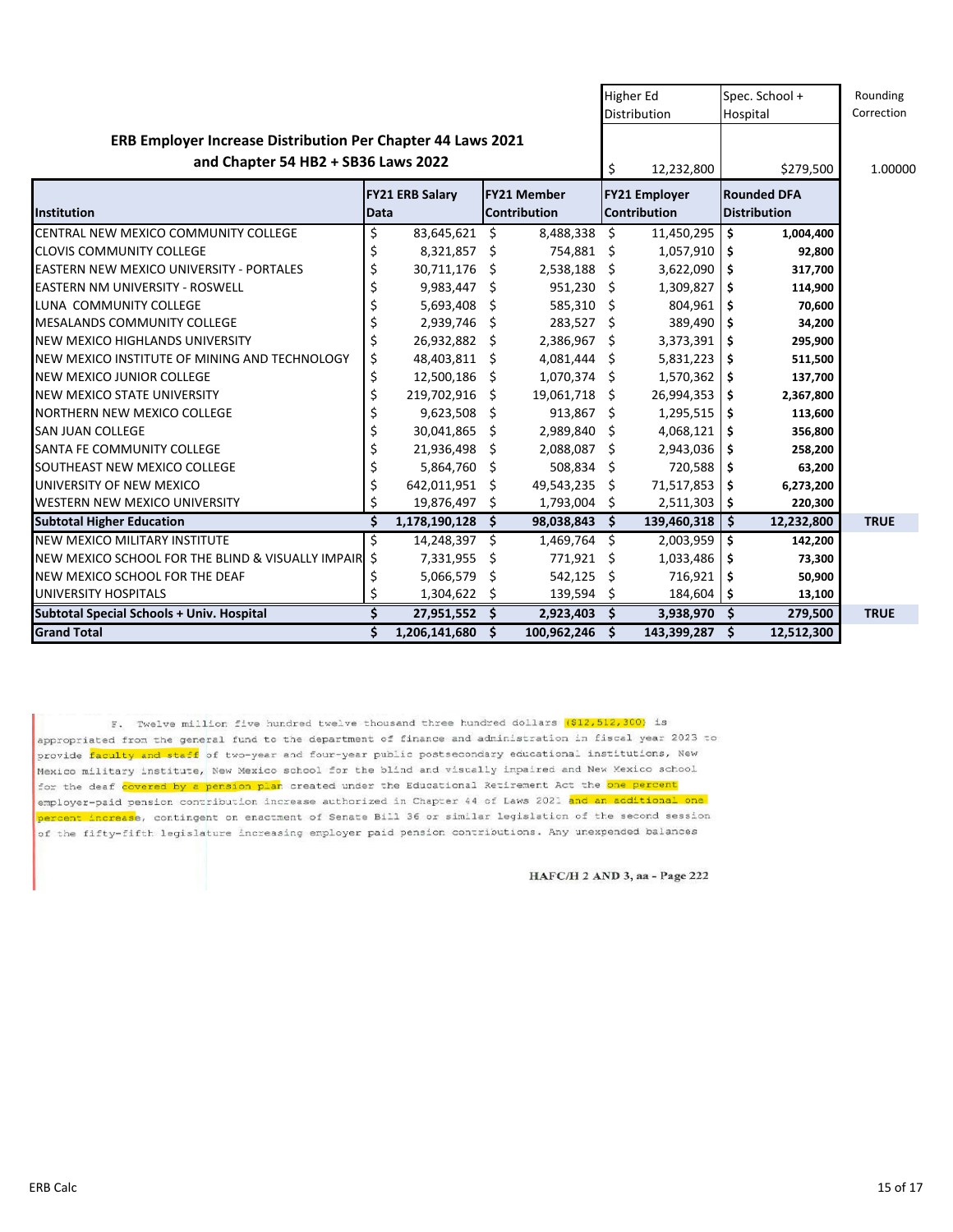|                                                                                                    | <b>Higher Ed</b><br><b>Distribution</b> |                        |     | Spec. School +<br>Hospital                | Rounding<br>Correction |                                      |     |                                           |             |
|----------------------------------------------------------------------------------------------------|-----------------------------------------|------------------------|-----|-------------------------------------------|------------------------|--------------------------------------|-----|-------------------------------------------|-------------|
| ERB Employer Increase Distribution Per Chapter 44 Laws 2021<br>and Chapter 54 HB2 + SB36 Laws 2022 | \$                                      | 12,232,800             |     | \$279,500                                 | 1.00000                |                                      |     |                                           |             |
| <b>Institution</b>                                                                                 | Data                                    | <b>FY21 ERB Salary</b> |     | <b>FY21 Member</b><br><b>Contribution</b> |                        | <b>FY21 Employer</b><br>Contribution |     | <b>Rounded DFA</b><br><b>Distribution</b> |             |
| CENTRAL NEW MEXICO COMMUNITY COLLEGE                                                               | \$                                      | 83,645,621             | \$  | 8,488,338                                 | \$                     | 11,450,295                           | \$  | 1,004,400                                 |             |
| <b>CLOVIS COMMUNITY COLLEGE</b>                                                                    | \$                                      | 8,321,857 \$           |     | 754,881 \$                                |                        | 1,057,910                            | \$  | 92,800                                    |             |
| <b>EASTERN NEW MEXICO UNIVERSITY - PORTALES</b>                                                    | \$                                      | 30,711,176             | Ŝ.  | 2,538,188                                 | Ŝ.                     | 3,622,090                            | \$  | 317,700                                   |             |
| <b>EASTERN NM UNIVERSITY - ROSWELL</b>                                                             | \$                                      | 9,983,447 \$           |     | $951,230$ \$                              |                        | 1,309,827                            | \$  | 114,900                                   |             |
| LUNA COMMUNITY COLLEGE                                                                             | \$                                      | 5,693,408              | Ŝ.  | $585,310$ \$                              |                        | 804,961                              | \$  | 70,600                                    |             |
| <b>MESALANDS COMMUNITY COLLEGE</b>                                                                 | \$                                      | 2,939,746              | Ŝ.  | 283,527 \$                                |                        | 389,490                              | -\$ | 34,200                                    |             |
| <b>NEW MEXICO HIGHLANDS UNIVERSITY</b>                                                             | \$                                      | 26,932,882 \$          |     | 2,386,967 \$                              |                        | 3,373,391                            | -\$ | 295,900                                   |             |
| NEW MEXICO INSTITUTE OF MINING AND TECHNOLOGY                                                      | \$                                      | 48,403,811             | Ŝ.  | 4,081,444                                 | Ŝ.                     | 5,831,223                            | \$  | 511,500                                   |             |
| <b>NEW MEXICO JUNIOR COLLEGE</b>                                                                   | \$                                      | 12,500,186             | -S  | 1,070,374 \$                              |                        | 1,570,362                            | \$  | 137,700                                   |             |
| <b>NEW MEXICO STATE UNIVERSITY</b>                                                                 | \$                                      | 219,702,916            | \$  | 19,061,718                                | S.                     | 26,994,353                           | \$  | 2,367,800                                 |             |
| NORTHERN NEW MEXICO COLLEGE                                                                        | \$                                      | 9,623,508              | \$  | $913,867$ \$                              |                        | 1,295,515                            | \$  | 113,600                                   |             |
| <b>SAN JUAN COLLEGE</b>                                                                            | \$                                      | 30,041,865             | S.  | 2,989,840                                 | -\$                    | 4,068,121                            | \$  | 356,800                                   |             |
| <b>SANTA FE COMMUNITY COLLEGE</b>                                                                  | \$                                      | 21,936,498             | \$. | 2,088,087                                 | S.                     | 2,943,036                            | \$  | 258,200                                   |             |
| SOUTHEAST NEW MEXICO COLLEGE                                                                       | \$                                      | 5,864,760 \$           |     | 508,834 \$                                |                        | 720,588                              | \$  | 63,200                                    |             |
| UNIVERSITY OF NEW MEXICO                                                                           | \$                                      | 642,011,951            | \$  | 49,543,235                                | \$                     | 71,517,853                           | \$  | 6,273,200                                 |             |
| WESTERN NEW MEXICO UNIVERSITY                                                                      | \$                                      | 19,876,497             | \$  | 1,793,004 \$                              |                        | $2,511,303$   \$                     |     | 220,300                                   |             |
| <b>Subtotal Higher Education</b>                                                                   | \$                                      | 1,178,190,128          | \$. | 98,038,843                                | -\$                    | 139,460,318                          | \$  | 12,232,800                                | <b>TRUE</b> |
| NEW MEXICO MILITARY INSTITUTE                                                                      | \$                                      | 14,248,397             | \$  | 1,469,764                                 | Ŝ.                     | 2,003,959                            | \$  | 142,200                                   |             |
| NEW MEXICO SCHOOL FOR THE BLIND & VISUALLY IMPAIR                                                  | \$                                      | 7,331,955              | \$  | 771,921                                   | \$                     | 1,033,486                            | \$  | 73,300                                    |             |
| NEW MEXICO SCHOOL FOR THE DEAF                                                                     | \$                                      | 5,066,579              | \$  | 542,125                                   | \$                     | 716,921                              | \$  | 50,900                                    |             |
| UNIVERSITY HOSPITALS                                                                               | \$                                      | 1,304,622              | \$. | 139,594                                   | \$.                    | $184,604$ \$                         |     | 13,100                                    |             |
| <b>Subtotal Special Schools + Univ. Hospital</b>                                                   | Ś                                       | 27,951,552             | Ś.  | 2,923,403                                 | Ŝ.                     | 3,938,970                            | \$  | 279,500                                   | <b>TRUE</b> |
| <b>Grand Total</b>                                                                                 | \$                                      | 1,206,141,680          | Ś.  | 100,962,246                               | Ś.                     | 143,399,287                          | Ŝ.  | 12,512,300                                |             |

F. Twelve million five hundred twelve thousand three hundred dollars (\$12,512,300) is appropriated from the general fund to the department of finance and administration in fiscal year 2023 to provide faculty and staff of two-year and four-year public postsecondary educational institutions, New .<br>Mexico military institute, New Mexico school for the blind and visually impaired and New Mexico school for the deaf covered by a pension plan created under the Educational Retirement Act the one percent employer-paid pension contribution increase authorized in Chapter 44 of Laws 2021 and an additional one percent increase, contingent on enactment of Senate Bill 36 or similar legislation of the second session of the fifty-fifth legislature increasing employer paid pension contributions. Any unexpended balances

HAFC/H 2 AND 3, aa - Page 222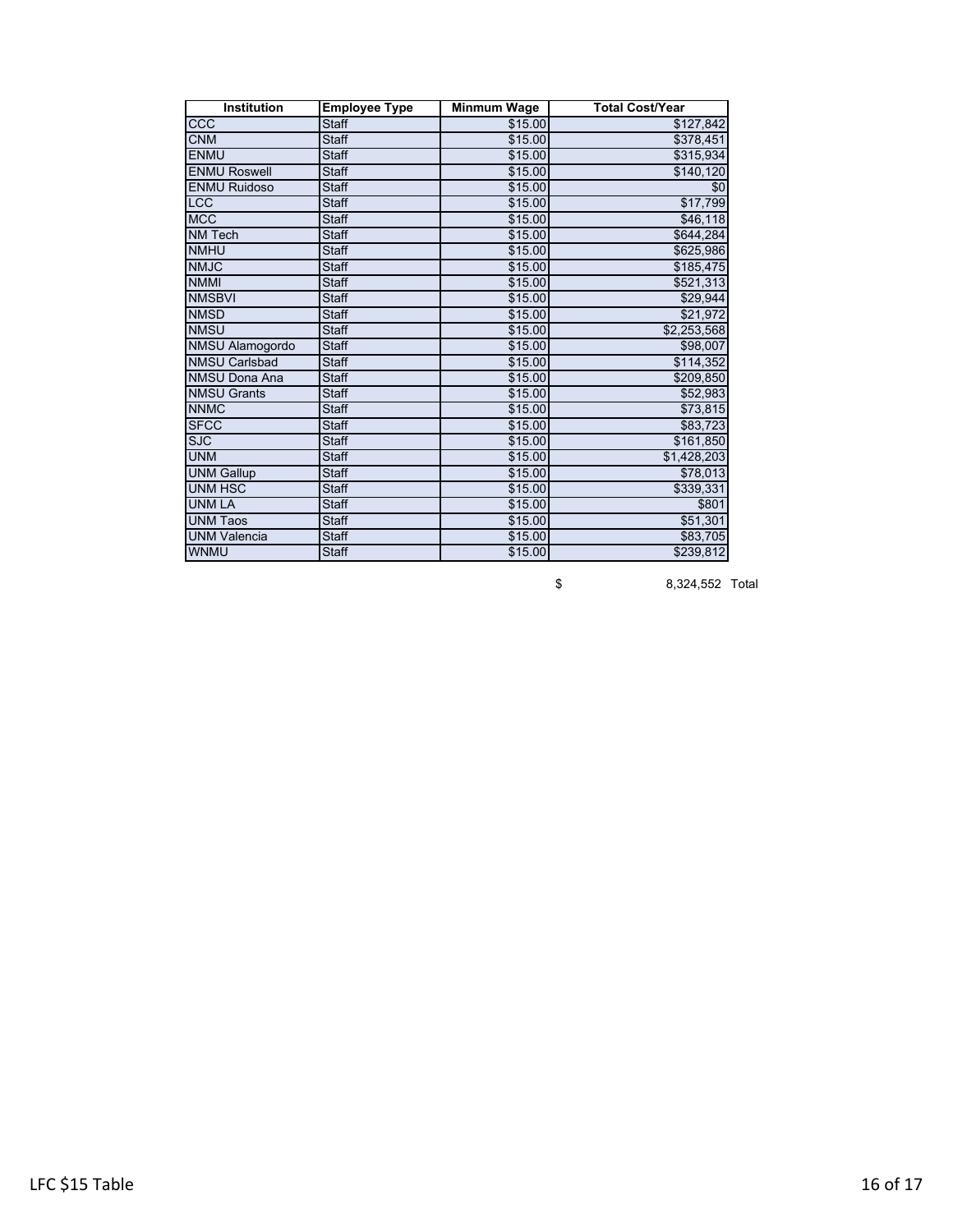| <b>Institution</b>     | <b>Employee Type</b> | Minmum Wage | <b>Total Cost/Year</b> |
|------------------------|----------------------|-------------|------------------------|
| ccc                    | <b>Staff</b>         | \$15.00     | \$127,842              |
| <b>CNM</b>             | <b>Staff</b>         | \$15.00     | \$378,451              |
| <b>ENMU</b>            | <b>Staff</b>         | \$15.00     | \$315,934              |
| <b>ENMU Roswell</b>    | <b>Staff</b>         | \$15.00     | \$140,120              |
| <b>ENMU Ruidoso</b>    | <b>Staff</b>         | \$15.00     | \$0                    |
| <b>LCC</b>             | <b>Staff</b>         | \$15.00     | \$17,799               |
| <b>MCC</b>             | <b>Staff</b>         | \$15.00     | \$46,118               |
| <b>NM Tech</b>         | <b>Staff</b>         | \$15.00     | \$644,284              |
| <b>NMHU</b>            | <b>Staff</b>         | \$15.00     | \$625,986              |
| <b>NMJC</b>            | <b>Staff</b>         | \$15.00     | \$185,475              |
| <b>NMMI</b>            | <b>Staff</b>         | \$15.00     | \$521,313              |
| <b>NMSBVI</b>          | <b>Staff</b>         | \$15.00     | \$29,944               |
| <b>NMSD</b>            | <b>Staff</b>         | \$15.00     | \$21,972               |
| <b>NMSU</b>            | <b>Staff</b>         | \$15.00     | \$2,253,568            |
| <b>NMSU Alamogordo</b> | <b>Staff</b>         | \$15.00     | \$98,007               |
| <b>NMSU Carlsbad</b>   | <b>Staff</b>         | \$15.00     | \$114,352              |
| <b>NMSU Dona Ana</b>   | <b>Staff</b>         | \$15.00     | \$209,850              |
| <b>NMSU Grants</b>     | <b>Staff</b>         | \$15.00     | \$52,983               |
| <b>NNMC</b>            | <b>Staff</b>         | \$15.00     | \$73,815               |
| <b>SFCC</b>            | <b>Staff</b>         | \$15.00     | \$83,723               |
| <b>SJC</b>             | <b>Staff</b>         | \$15.00     | \$161,850              |
| <b>UNM</b>             | <b>Staff</b>         | \$15.00     | \$1,428,203            |
| <b>UNM Gallup</b>      | <b>Staff</b>         | \$15.00     | \$78,013               |
| <b>UNM HSC</b>         | <b>Staff</b>         | \$15.00     | \$339,331              |
| <b>UNM LA</b>          | <b>Staff</b>         | \$15.00     | \$801                  |
| <b>UNM Taos</b>        | <b>Staff</b>         | \$15.00     | \$51,301               |
| <b>UNM Valencia</b>    | <b>Staff</b>         | \$15.00     | \$83,705               |
| <b>WNMU</b>            | <b>Staff</b>         | \$15.00     | \$239,812              |

\$ 8,324,552 Total